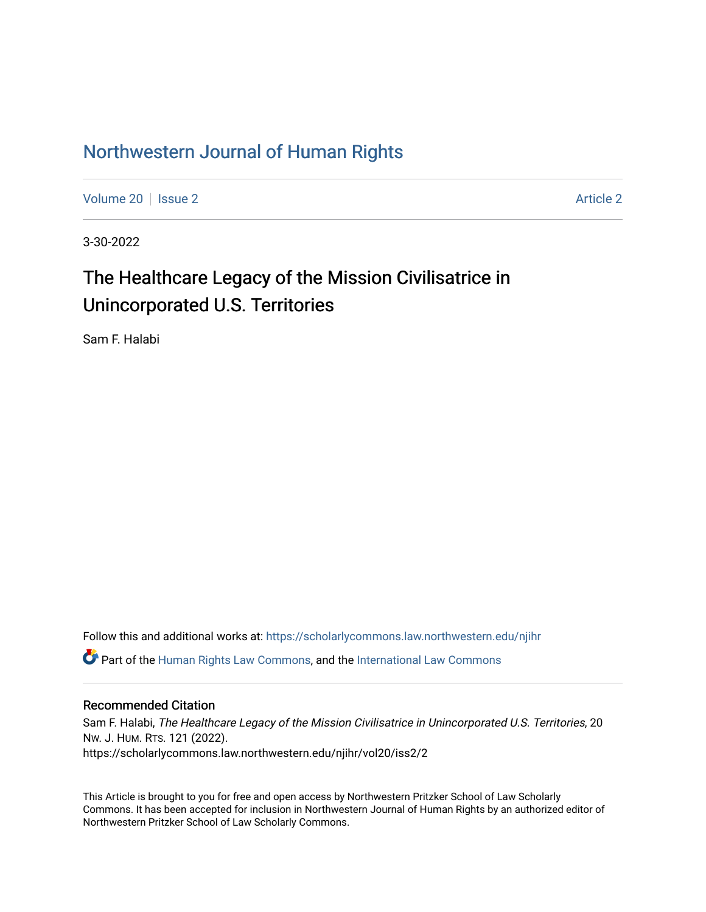## [Northwestern Journal of Human Rights](https://scholarlycommons.law.northwestern.edu/njihr)

[Volume 20](https://scholarlycommons.law.northwestern.edu/njihr/vol20) | [Issue 2](https://scholarlycommons.law.northwestern.edu/njihr/vol20/iss2) [Article 2](https://scholarlycommons.law.northwestern.edu/njihr/vol20/iss2/2) Article 2 Article 2 Article 2 Article 2 Article 2 Article 2 Article 2 Article 2

3-30-2022

# The Healthcare Legacy of the Mission Civilisatrice in Unincorporated U.S. Territories

Sam F. Halabi

Follow this and additional works at: [https://scholarlycommons.law.northwestern.edu/njihr](https://scholarlycommons.law.northwestern.edu/njihr?utm_source=scholarlycommons.law.northwestern.edu%2Fnjihr%2Fvol20%2Fiss2%2F2&utm_medium=PDF&utm_campaign=PDFCoverPages)   $\bullet$  Part of the [Human Rights Law Commons,](http://network.bepress.com/hgg/discipline/847?utm_source=scholarlycommons.law.northwestern.edu%2Fnjihr%2Fvol20%2Fiss2%2F2&utm_medium=PDF&utm_campaign=PDFCoverPages) and the International Law Commons

## Recommended Citation

Sam F. Halabi, The Healthcare Legacy of the Mission Civilisatrice in Unincorporated U.S. Territories, 20 NW. J. HUM. RTS. 121 (2022). https://scholarlycommons.law.northwestern.edu/njihr/vol20/iss2/2

This Article is brought to you for free and open access by Northwestern Pritzker School of Law Scholarly Commons. It has been accepted for inclusion in Northwestern Journal of Human Rights by an authorized editor of Northwestern Pritzker School of Law Scholarly Commons.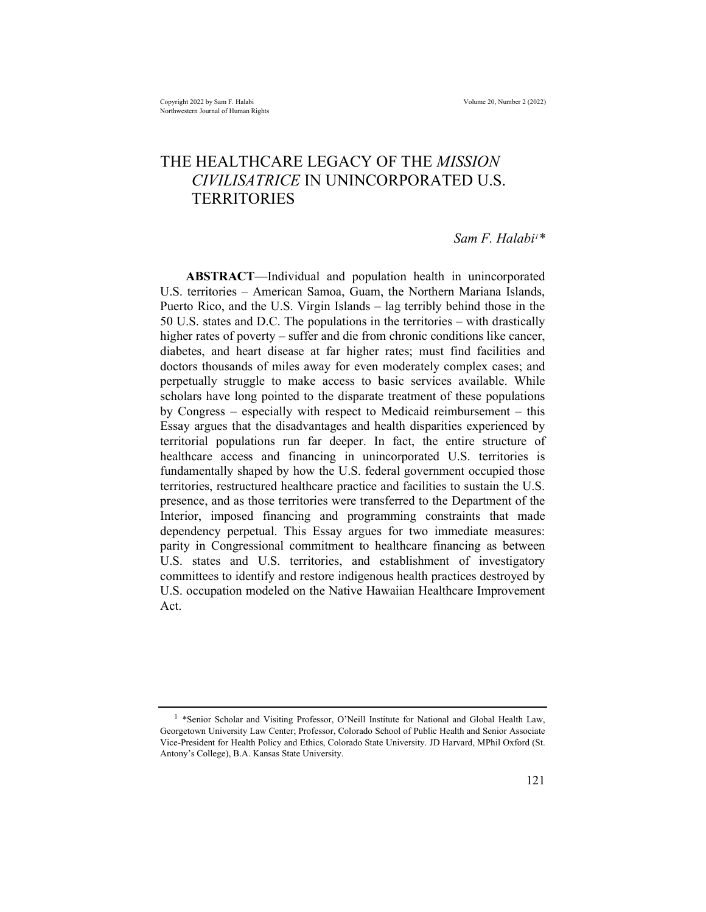## THE HEALTHCARE LEGACY OF THE *MISSION* CIVILISATRICE IN UNINCORPORATED U.S. **TERRITORIES**

#### Sam F. Halabi<sup>1\*</sup>

ABSTRACT—Individual and population health in unincorporated U.S. territories – American Samoa, Guam, the Northern Mariana Islands, Puerto Rico, and the U.S. Virgin Islands – lag terribly behind those in the 50 U.S. states and D.C. The populations in the territories – with drastically higher rates of poverty – suffer and die from chronic conditions like cancer, diabetes, and heart disease at far higher rates; must find facilities and doctors thousands of miles away for even moderately complex cases; and perpetually struggle to make access to basic services available. While scholars have long pointed to the disparate treatment of these populations by Congress – especially with respect to Medicaid reimbursement – this Essay argues that the disadvantages and health disparities experienced by territorial populations run far deeper. In fact, the entire structure of healthcare access and financing in unincorporated U.S. territories is fundamentally shaped by how the U.S. federal government occupied those territories, restructured healthcare practice and facilities to sustain the U.S. presence, and as those territories were transferred to the Department of the Interior, imposed financing and programming constraints that made dependency perpetual. This Essay argues for two immediate measures: parity in Congressional commitment to healthcare financing as between U.S. states and U.S. territories, and establishment of investigatory committees to identify and restore indigenous health practices destroyed by U.S. occupation modeled on the Native Hawaiian Healthcare Improvement Act.

<sup>&</sup>lt;sup>1</sup> \*Senior Scholar and Visiting Professor, O'Neill Institute for National and Global Health Law, Georgetown University Law Center; Professor, Colorado School of Public Health and Senior Associate Vice-President for Health Policy and Ethics, Colorado State University. JD Harvard, MPhil Oxford (St. Antony's College), B.A. Kansas State University.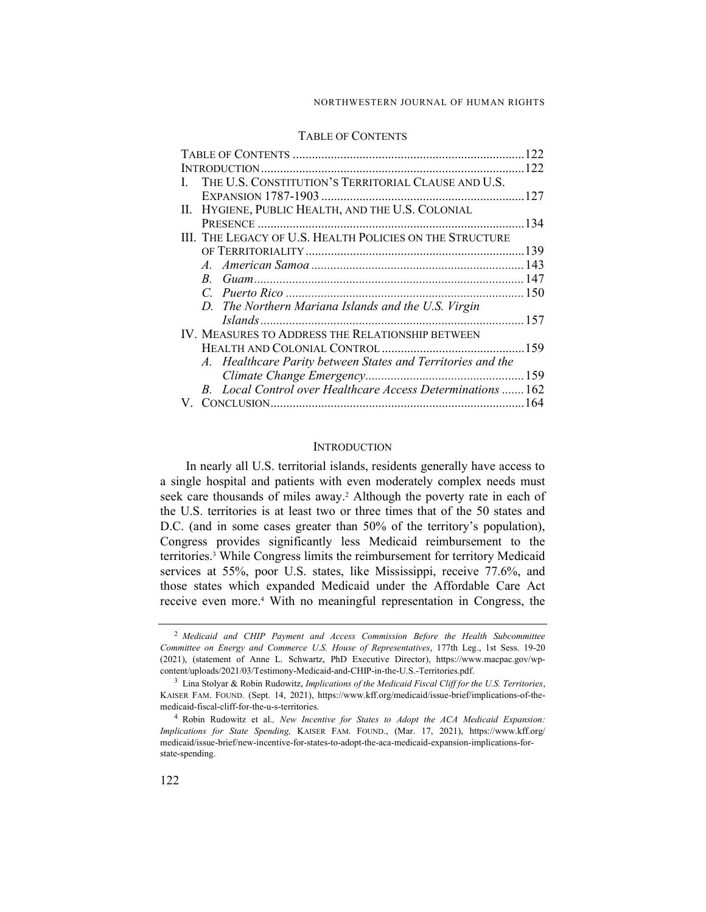#### NORTHWESTERN JOURNAL OF HUMAN RIGHTS

#### TABLE OF CONTENTS

|  | THE U.S. CONSTITUTION'S TERRITORIAL CLAUSE AND U.S.         |  |
|--|-------------------------------------------------------------|--|
|  |                                                             |  |
|  | II. HYGIENE, PUBLIC HEALTH, AND THE U.S. COLONIAL           |  |
|  |                                                             |  |
|  | III. THE LEGACY OF U.S. HEALTH POLICIES ON THE STRUCTURE    |  |
|  |                                                             |  |
|  |                                                             |  |
|  |                                                             |  |
|  |                                                             |  |
|  | D. The Northern Mariana Islands and the U.S. Virgin         |  |
|  |                                                             |  |
|  | IV. MEASURES TO ADDRESS THE RELATIONSHIP BETWEEN            |  |
|  |                                                             |  |
|  | A. Healthcare Parity between States and Territories and the |  |
|  |                                                             |  |
|  | B. Local Control over Healthcare Access Determinations  162 |  |
|  |                                                             |  |
|  |                                                             |  |

#### INTRODUCTION

In nearly all U.S. territorial islands, residents generally have access to a single hospital and patients with even moderately complex needs must seek care thousands of miles away.<sup>2</sup> Although the poverty rate in each of the U.S. territories is at least two or three times that of the 50 states and D.C. (and in some cases greater than 50% of the territory's population), Congress provides significantly less Medicaid reimbursement to the territories.<sup>3</sup> While Congress limits the reimbursement for territory Medicaid services at 55%, poor U.S. states, like Mississippi, receive 77.6%, and those states which expanded Medicaid under the Affordable Care Act receive even more.<sup>4</sup> With no meaningful representation in Congress, the

<sup>&</sup>lt;sup>2</sup> Medicaid and CHIP Payment and Access Commission Before the Health Subcommittee Committee on Energy and Commerce U.S. House of Representatives, 177th Leg., 1st Sess. 19-20 (2021), (statement of Anne L. Schwartz, PhD Executive Director), https://www.macpac.gov/wpcontent/uploads/2021/03/Testimony-Medicaid-and-CHIP-in-the-U.S.-Territories.pdf.

 $3$  Lina Stolyar & Robin Rudowitz, Implications of the Medicaid Fiscal Cliff for the U.S. Territories, KAISER FAM. FOUND. (Sept. 14, 2021), https://www.kff.org/medicaid/issue-brief/implications-of-themedicaid-fiscal-cliff-for-the-u-s-territories.

<sup>&</sup>lt;sup>4</sup> Robin Rudowitz et al., New Incentive for States to Adopt the ACA Medicaid Expansion: Implications for State Spending, KAISER FAM. FOUND., (Mar. 17, 2021), https://www.kff.org/ medicaid/issue-brief/new-incentive-for-states-to-adopt-the-aca-medicaid-expansion-implications-forstate-spending.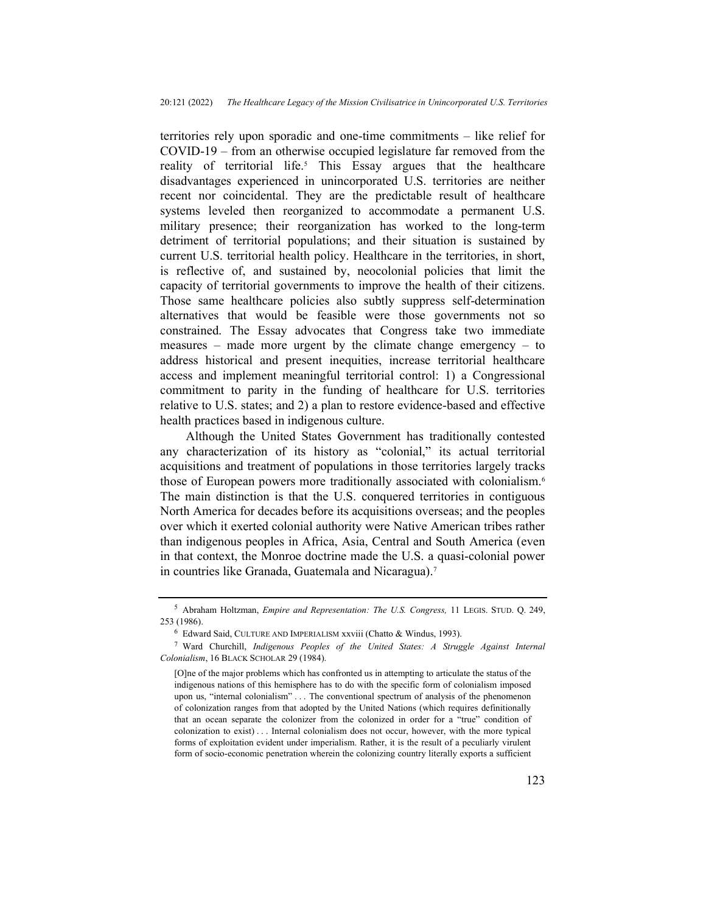territories rely upon sporadic and one-time commitments – like relief for COVID-19 – from an otherwise occupied legislature far removed from the reality of territorial life.<sup>5</sup> This Essay argues that the healthcare disadvantages experienced in unincorporated U.S. territories are neither recent nor coincidental. They are the predictable result of healthcare systems leveled then reorganized to accommodate a permanent U.S. military presence; their reorganization has worked to the long-term detriment of territorial populations; and their situation is sustained by current U.S. territorial health policy. Healthcare in the territories, in short, is reflective of, and sustained by, neocolonial policies that limit the capacity of territorial governments to improve the health of their citizens. Those same healthcare policies also subtly suppress self-determination alternatives that would be feasible were those governments not so constrained. The Essay advocates that Congress take two immediate measures – made more urgent by the climate change emergency – to address historical and present inequities, increase territorial healthcare access and implement meaningful territorial control: 1) a Congressional commitment to parity in the funding of healthcare for U.S. territories relative to U.S. states; and 2) a plan to restore evidence-based and effective health practices based in indigenous culture.

Although the United States Government has traditionally contested any characterization of its history as "colonial," its actual territorial acquisitions and treatment of populations in those territories largely tracks those of European powers more traditionally associated with colonialism.<sup>6</sup> The main distinction is that the U.S. conquered territories in contiguous North America for decades before its acquisitions overseas; and the peoples over which it exerted colonial authority were Native American tribes rather than indigenous peoples in Africa, Asia, Central and South America (even in that context, the Monroe doctrine made the U.S. a quasi-colonial power in countries like Granada, Guatemala and Nicaragua).<sup>7</sup>

<sup>&</sup>lt;sup>5</sup> Abraham Holtzman, *Empire and Representation: The U.S. Congress*, 11 LEGIS. STUD. Q. 249, 253 (1986).

<sup>6</sup> Edward Said, CULTURE AND IMPERIALISM xxviii (Chatto & Windus, 1993).

<sup>&</sup>lt;sup>7</sup> Ward Churchill, Indigenous Peoples of the United States: A Struggle Against Internal Colonialism, 16 BLACK SCHOLAR 29 (1984).

<sup>[</sup>O]ne of the major problems which has confronted us in attempting to articulate the status of the indigenous nations of this hemisphere has to do with the specific form of colonialism imposed upon us, "internal colonialism" . . . The conventional spectrum of analysis of the phenomenon of colonization ranges from that adopted by the United Nations (which requires definitionally that an ocean separate the colonizer from the colonized in order for a "true" condition of colonization to exist) . . . Internal colonialism does not occur, however, with the more typical forms of exploitation evident under imperialism. Rather, it is the result of a peculiarly virulent form of socio-economic penetration wherein the colonizing country literally exports a sufficient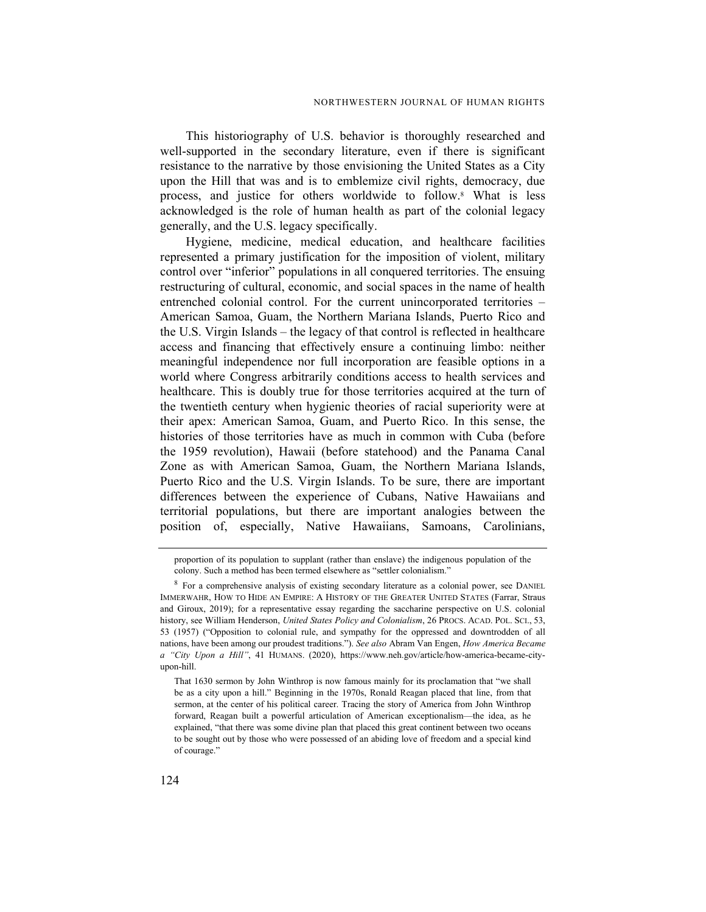This historiography of U.S. behavior is thoroughly researched and well-supported in the secondary literature, even if there is significant resistance to the narrative by those envisioning the United States as a City upon the Hill that was and is to emblemize civil rights, democracy, due process, and justice for others worldwide to follow.<sup>8</sup> What is less acknowledged is the role of human health as part of the colonial legacy generally, and the U.S. legacy specifically.

Hygiene, medicine, medical education, and healthcare facilities represented a primary justification for the imposition of violent, military control over "inferior" populations in all conquered territories. The ensuing restructuring of cultural, economic, and social spaces in the name of health entrenched colonial control. For the current unincorporated territories – American Samoa, Guam, the Northern Mariana Islands, Puerto Rico and the U.S. Virgin Islands – the legacy of that control is reflected in healthcare access and financing that effectively ensure a continuing limbo: neither meaningful independence nor full incorporation are feasible options in a world where Congress arbitrarily conditions access to health services and healthcare. This is doubly true for those territories acquired at the turn of the twentieth century when hygienic theories of racial superiority were at their apex: American Samoa, Guam, and Puerto Rico. In this sense, the histories of those territories have as much in common with Cuba (before the 1959 revolution), Hawaii (before statehood) and the Panama Canal Zone as with American Samoa, Guam, the Northern Mariana Islands, Puerto Rico and the U.S. Virgin Islands. To be sure, there are important differences between the experience of Cubans, Native Hawaiians and territorial populations, but there are important analogies between the position of, especially, Native Hawaiians, Samoans, Carolinians,

proportion of its population to supplant (rather than enslave) the indigenous population of the colony. Such a method has been termed elsewhere as "settler colonialism."

<sup>&</sup>lt;sup>8</sup> For a comprehensive analysis of existing secondary literature as a colonial power, see DANIEL IMMERWAHR, HOW TO HIDE AN EMPIRE: A HISTORY OF THE GREATER UNITED STATES (Farrar, Straus and Giroux, 2019); for a representative essay regarding the saccharine perspective on U.S. colonial history, see William Henderson, United States Policy and Colonialism, 26 PROCS. ACAD. POL. SCI., 53, 53 (1957) ("Opposition to colonial rule, and sympathy for the oppressed and downtrodden of all nations, have been among our proudest traditions."). See also Abram Van Engen, How America Became a "City Upon a Hill", 41 HUMANS. (2020), https://www.neh.gov/article/how-america-became-cityupon-hill.

That 1630 sermon by John Winthrop is now famous mainly for its proclamation that "we shall be as a city upon a hill." Beginning in the 1970s, Ronald Reagan placed that line, from that sermon, at the center of his political career. Tracing the story of America from John Winthrop forward, Reagan built a powerful articulation of American exceptionalism—the idea, as he explained, "that there was some divine plan that placed this great continent between two oceans to be sought out by those who were possessed of an abiding love of freedom and a special kind of courage."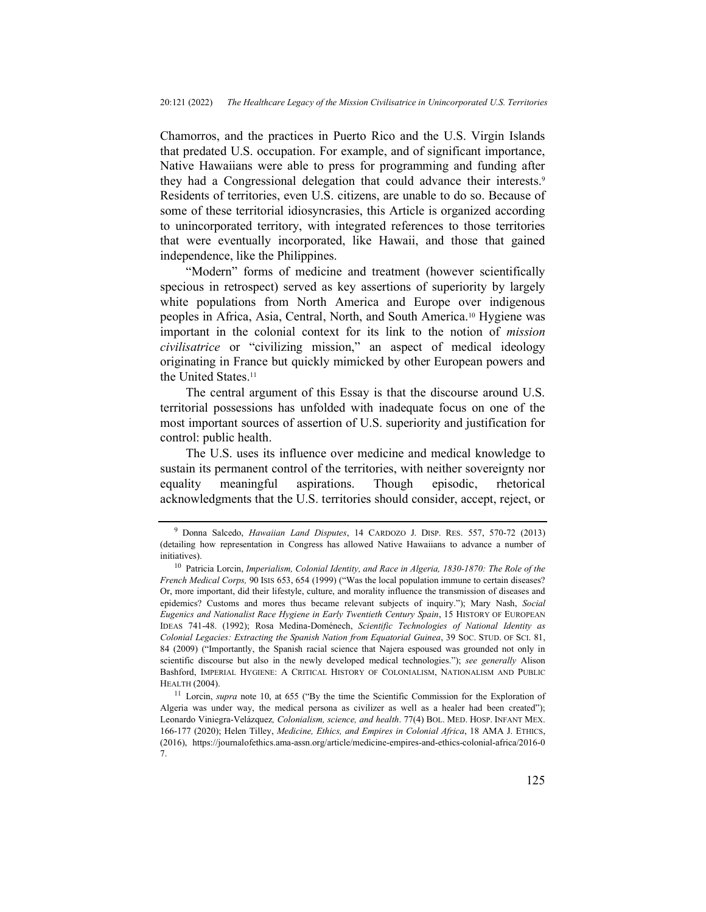Chamorros, and the practices in Puerto Rico and the U.S. Virgin Islands that predated U.S. occupation. For example, and of significant importance, Native Hawaiians were able to press for programming and funding after they had a Congressional delegation that could advance their interests.<sup>9</sup> Residents of territories, even U.S. citizens, are unable to do so. Because of some of these territorial idiosyncrasies, this Article is organized according to unincorporated territory, with integrated references to those territories that were eventually incorporated, like Hawaii, and those that gained independence, like the Philippines.

"Modern" forms of medicine and treatment (however scientifically specious in retrospect) served as key assertions of superiority by largely white populations from North America and Europe over indigenous peoples in Africa, Asia, Central, North, and South America.10 Hygiene was important in the colonial context for its link to the notion of mission civilisatrice or "civilizing mission," an aspect of medical ideology originating in France but quickly mimicked by other European powers and the United States.<sup>11</sup>

The central argument of this Essay is that the discourse around U.S. territorial possessions has unfolded with inadequate focus on one of the most important sources of assertion of U.S. superiority and justification for control: public health.

The U.S. uses its influence over medicine and medical knowledge to sustain its permanent control of the territories, with neither sovereignty nor equality meaningful aspirations. Though episodic, rhetorical acknowledgments that the U.S. territories should consider, accept, reject, or

<sup>&</sup>lt;sup>9</sup> Donna Salcedo, *Hawaiian Land Disputes*, 14 CARDOZO J. DISP. RES. 557, 570-72 (2013) (detailing how representation in Congress has allowed Native Hawaiians to advance a number of initiatives).

<sup>&</sup>lt;sup>10</sup> Patricia Lorcin, Imperialism, Colonial Identity, and Race in Algeria, 1830-1870: The Role of the French Medical Corps, 90 Isis 653, 654 (1999) ("Was the local population immune to certain diseases? Or, more important, did their lifestyle, culture, and morality influence the transmission of diseases and epidemics? Customs and mores thus became relevant subjects of inquiry."); Mary Nash, Social Eugenics and Nationalist Race Hygiene in Early Twentieth Century Spain, 15 HISTORY OF EUROPEAN IDEAS 741-48. (1992); Rosa Medina-Doménech, Scientific Technologies of National Identity as Colonial Legacies: Extracting the Spanish Nation from Equatorial Guinea, 39 SOC. STUD. OF SCI. 81, 84 (2009) ("Importantly, the Spanish racial science that Najera espoused was grounded not only in scientific discourse but also in the newly developed medical technologies."); see generally Alison Bashford, IMPERIAL HYGIENE: A CRITICAL HISTORY OF COLONIALISM, NATIONALISM AND PUBLIC HEALTH (2004).

<sup>&</sup>lt;sup>11</sup> Lorcin, *supra* note 10, at 655 ("By the time the Scientific Commission for the Exploration of Algeria was under way, the medical persona as civilizer as well as a healer had been created"); Leonardo Viniegra-Velázquez, Colonialism, science, and health. 77(4) BOL. MED. HOSP. INFANT MEX. 166-177 (2020); Helen Tilley, Medicine, Ethics, and Empires in Colonial Africa, 18 AMA J. ETHICS, (2016), https://journalofethics.ama-assn.org/article/medicine-empires-and-ethics-colonial-africa/2016-0 7.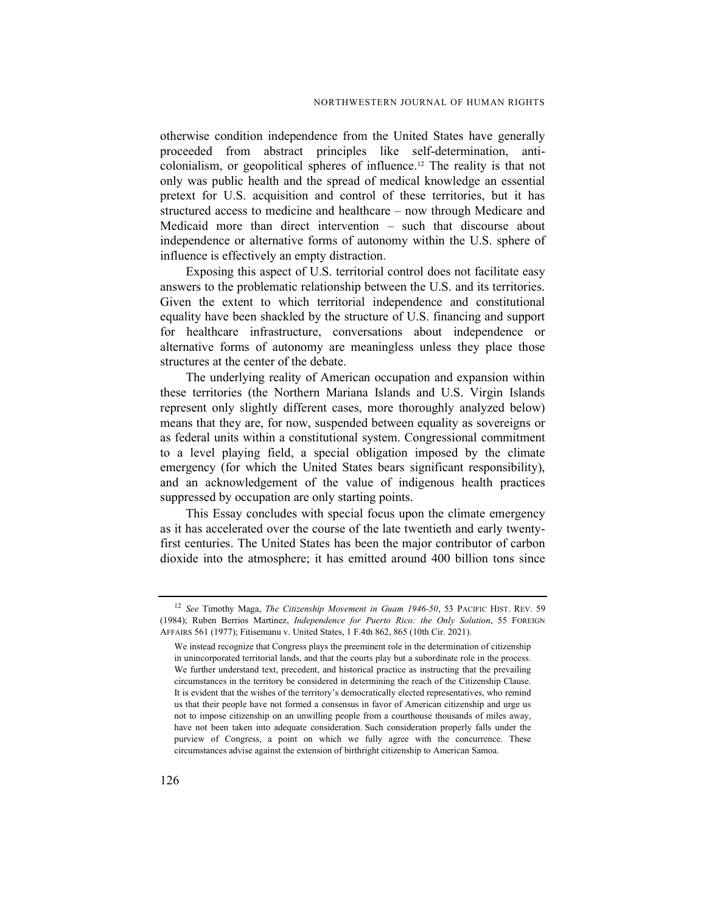otherwise condition independence from the United States have generally proceeded from abstract principles like self-determination, anticolonialism, or geopolitical spheres of influence.12 The reality is that not only was public health and the spread of medical knowledge an essential pretext for U.S. acquisition and control of these territories, but it has structured access to medicine and healthcare – now through Medicare and Medicaid more than direct intervention – such that discourse about independence or alternative forms of autonomy within the U.S. sphere of influence is effectively an empty distraction.

Exposing this aspect of U.S. territorial control does not facilitate easy answers to the problematic relationship between the U.S. and its territories. Given the extent to which territorial independence and constitutional equality have been shackled by the structure of U.S. financing and support for healthcare infrastructure, conversations about independence or alternative forms of autonomy are meaningless unless they place those structures at the center of the debate.

The underlying reality of American occupation and expansion within these territories (the Northern Mariana Islands and U.S. Virgin Islands represent only slightly different cases, more thoroughly analyzed below) means that they are, for now, suspended between equality as sovereigns or as federal units within a constitutional system. Congressional commitment to a level playing field, a special obligation imposed by the climate emergency (for which the United States bears significant responsibility), and an acknowledgement of the value of indigenous health practices suppressed by occupation are only starting points.

This Essay concludes with special focus upon the climate emergency as it has accelerated over the course of the late twentieth and early twentyfirst centuries. The United States has been the major contributor of carbon dioxide into the atmosphere; it has emitted around 400 billion tons since

<sup>&</sup>lt;sup>12</sup> See Timothy Maga, *The Citizenship Movement in Guam 1946-50*, 53 PACIFIC HIST. REV. 59 (1984); Ruben Berrios Martinez, Independence for Puerto Rico: the Only Solution, 55 FOREIGN AFFAIRS 561 (1977); Fitisemanu v. United States, 1 F.4th 862, 865 (10th Cir. 2021).

We instead recognize that Congress plays the preeminent role in the determination of citizenship in unincorporated territorial lands, and that the courts play but a subordinate role in the process. We further understand text, precedent, and historical practice as instructing that the prevailing circumstances in the territory be considered in determining the reach of the Citizenship Clause. It is evident that the wishes of the territory's democratically elected representatives, who remind us that their people have not formed a consensus in favor of American citizenship and urge us not to impose citizenship on an unwilling people from a courthouse thousands of miles away, have not been taken into adequate consideration. Such consideration properly falls under the purview of Congress, a point on which we fully agree with the concurrence. These circumstances advise against the extension of birthright citizenship to American Samoa.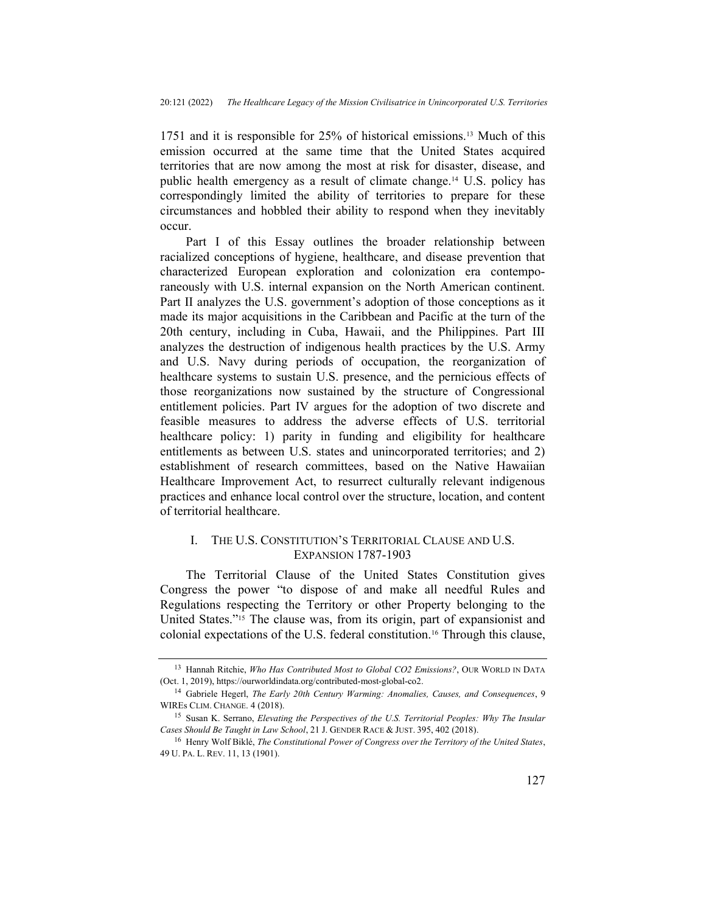1751 and it is responsible for 25% of historical emissions.13 Much of this emission occurred at the same time that the United States acquired territories that are now among the most at risk for disaster, disease, and public health emergency as a result of climate change.14 U.S. policy has correspondingly limited the ability of territories to prepare for these circumstances and hobbled their ability to respond when they inevitably occur.

Part I of this Essay outlines the broader relationship between racialized conceptions of hygiene, healthcare, and disease prevention that characterized European exploration and colonization era contemporaneously with U.S. internal expansion on the North American continent. Part II analyzes the U.S. government's adoption of those conceptions as it made its major acquisitions in the Caribbean and Pacific at the turn of the 20th century, including in Cuba, Hawaii, and the Philippines. Part III analyzes the destruction of indigenous health practices by the U.S. Army and U.S. Navy during periods of occupation, the reorganization of healthcare systems to sustain U.S. presence, and the pernicious effects of those reorganizations now sustained by the structure of Congressional entitlement policies. Part IV argues for the adoption of two discrete and feasible measures to address the adverse effects of U.S. territorial healthcare policy: 1) parity in funding and eligibility for healthcare entitlements as between U.S. states and unincorporated territories; and 2) establishment of research committees, based on the Native Hawaiian Healthcare Improvement Act, to resurrect culturally relevant indigenous practices and enhance local control over the structure, location, and content of territorial healthcare.

## I. THE U.S. CONSTITUTION'S TERRITORIAL CLAUSE AND U.S. EXPANSION 1787-1903

The Territorial Clause of the United States Constitution gives Congress the power "to dispose of and make all needful Rules and Regulations respecting the Territory or other Property belonging to the United States."15 The clause was, from its origin, part of expansionist and colonial expectations of the U.S. federal constitution.16 Through this clause,

<sup>&</sup>lt;sup>13</sup> Hannah Ritchie, Who Has Contributed Most to Global CO2 Emissions?, OUR WORLD IN DATA (Oct. 1, 2019), https://ourworldindata.org/contributed-most-global-co2.

<sup>&</sup>lt;sup>14</sup> Gabriele Hegerl, *The Early 20th Century Warming: Anomalies, Causes, and Consequences*, 9 WIREs CLIM. CHANGE. 4 (2018).

<sup>&</sup>lt;sup>15</sup> Susan K. Serrano, *Elevating the Perspectives of the U.S. Territorial Peoples: Why The Insular* Cases Should Be Taught in Law School, 21 J. GENDER RACE & JUST. 395, 402 (2018).

<sup>&</sup>lt;sup>16</sup> Henry Wolf Biklé, *The Constitutional Power of Congress over the Territory of the United States*, 49 U. PA. L. REV. 11, 13 (1901).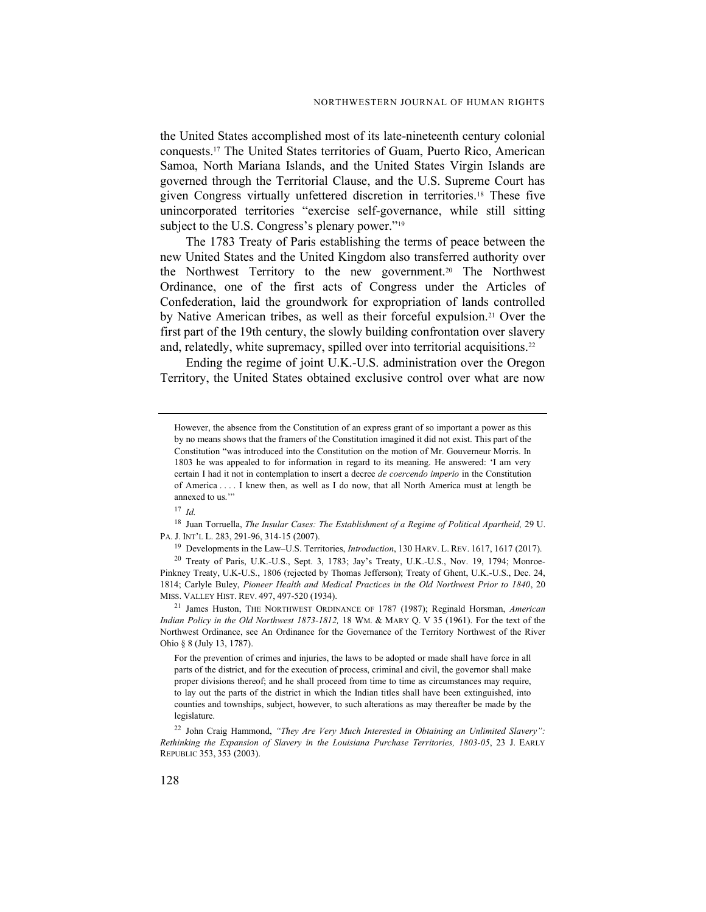the United States accomplished most of its late-nineteenth century colonial conquests.17 The United States territories of Guam, Puerto Rico, American Samoa, North Mariana Islands, and the United States Virgin Islands are governed through the Territorial Clause, and the U.S. Supreme Court has given Congress virtually unfettered discretion in territories.18 These five unincorporated territories "exercise self-governance, while still sitting subject to the U.S. Congress's plenary power."<sup>19</sup>

The 1783 Treaty of Paris establishing the terms of peace between the new United States and the United Kingdom also transferred authority over the Northwest Territory to the new government.20 The Northwest Ordinance, one of the first acts of Congress under the Articles of Confederation, laid the groundwork for expropriation of lands controlled by Native American tribes, as well as their forceful expulsion.<sup>21</sup> Over the first part of the 19th century, the slowly building confrontation over slavery and, relatedly, white supremacy, spilled over into territorial acquisitions.<sup>22</sup>

Ending the regime of joint U.K.-U.S. administration over the Oregon Territory, the United States obtained exclusive control over what are now

 $17$  *Id.* 

<sup>18</sup> Juan Torruella, The Insular Cases: The Establishment of a Regime of Political Apartheid, 29 U. PA. J. INT'L L. 283, 291-96, 314-15 (2007).

<sup>19</sup> Developments in the Law–U.S. Territories, *Introduction*, 130 HARV. L. REV. 1617, 1617 (2017).

<sup>20</sup> Treaty of Paris, U.K.-U.S., Sept. 3, 1783; Jay's Treaty, U.K.-U.S., Nov. 19, 1794; Monroe-Pinkney Treaty, U.K-U.S., 1806 (rejected by Thomas Jefferson); Treaty of Ghent, U.K.-U.S., Dec. 24, 1814; Carlyle Buley, Pioneer Health and Medical Practices in the Old Northwest Prior to 1840, 20 MISS. VALLEY HIST. REV. 497, 497-520 (1934).

<sup>21</sup> James Huston, THE NORTHWEST ORDINANCE OF 1787 (1987); Reginald Horsman, American Indian Policy in the Old Northwest 1873-1812, 18 WM. & MARY Q. V 35 (1961). For the text of the Northwest Ordinance, see An Ordinance for the Governance of the Territory Northwest of the River Ohio § 8 (July 13, 1787).

For the prevention of crimes and injuries, the laws to be adopted or made shall have force in all parts of the district, and for the execution of process, criminal and civil, the governor shall make proper divisions thereof; and he shall proceed from time to time as circumstances may require, to lay out the parts of the district in which the Indian titles shall have been extinguished, into counties and townships, subject, however, to such alterations as may thereafter be made by the legislature.

<sup>22</sup> John Craig Hammond, "They Are Very Much Interested in Obtaining an Unlimited Slavery": Rethinking the Expansion of Slavery in the Louisiana Purchase Territories, 1803-05, 23 J. EARLY REPUBLIC 353, 353 (2003).

However, the absence from the Constitution of an express grant of so important a power as this by no means shows that the framers of the Constitution imagined it did not exist. This part of the Constitution "was introduced into the Constitution on the motion of Mr. Gouverneur Morris. In 1803 he was appealed to for information in regard to its meaning. He answered: 'I am very certain I had it not in contemplation to insert a decree de coercendo imperio in the Constitution of America . . . . I knew then, as well as I do now, that all North America must at length be annexed to us.""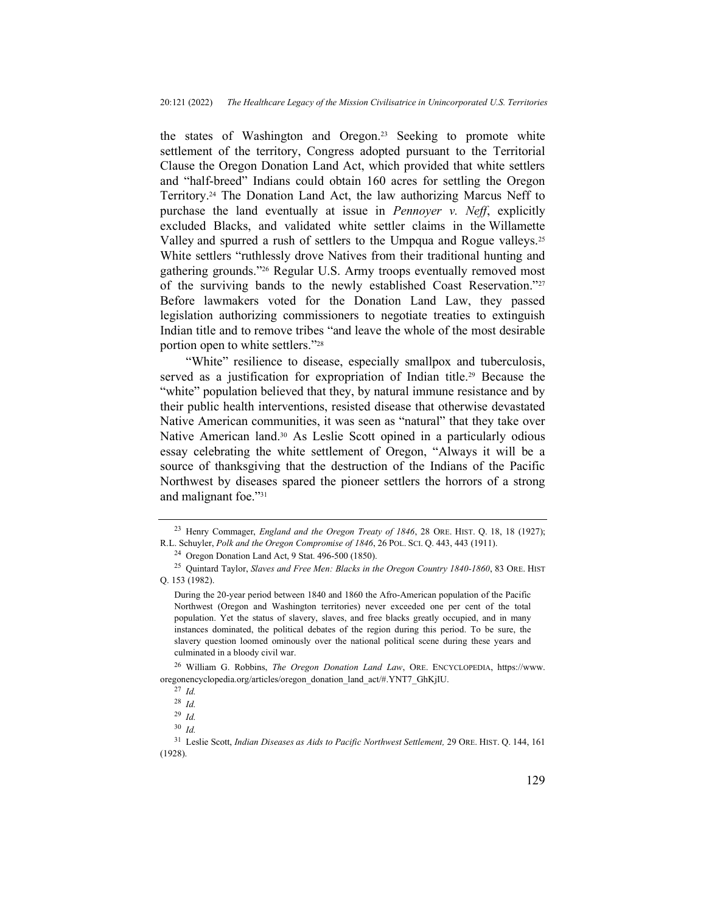the states of Washington and Oregon.23 Seeking to promote white settlement of the territory, Congress adopted pursuant to the Territorial Clause the Oregon Donation Land Act, which provided that white settlers and "half-breed" Indians could obtain 160 acres for settling the Oregon Territory.24 The Donation Land Act, the law authorizing Marcus Neff to purchase the land eventually at issue in *Pennoyer v. Neff*, explicitly excluded Blacks, and validated white settler claims in the Willamette Valley and spurred a rush of settlers to the Umpqua and Rogue valleys.<sup>25</sup> White settlers "ruthlessly drove Natives from their traditional hunting and gathering grounds."26 Regular U.S. Army troops eventually removed most of the surviving bands to the newly established Coast Reservation."<sup>27</sup> Before lawmakers voted for the Donation Land Law, they passed legislation authorizing commissioners to negotiate treaties to extinguish Indian title and to remove tribes "and leave the whole of the most desirable portion open to white settlers."<sup>28</sup>

"White" resilience to disease, especially smallpox and tuberculosis, served as a justification for expropriation of Indian title.<sup>29</sup> Because the "white" population believed that they, by natural immune resistance and by their public health interventions, resisted disease that otherwise devastated Native American communities, it was seen as "natural" that they take over Native American land.<sup>30</sup> As Leslie Scott opined in a particularly odious essay celebrating the white settlement of Oregon, "Always it will be a source of thanksgiving that the destruction of the Indians of the Pacific Northwest by diseases spared the pioneer settlers the horrors of a strong and malignant foe."<sup>31</sup>

<sup>26</sup> William G. Robbins, *The Oregon Donation Land Law*, ORE. ENCYCLOPEDIA, https://www. oregonencyclopedia.org/articles/oregon\_donation\_land\_act/#.YNT7\_GhKjIU.

<sup>&</sup>lt;sup>23</sup> Henry Commager, *England and the Oregon Treaty of 1846*, 28 ORE. HIST. Q. 18, 18 (1927); R.L. Schuyler, Polk and the Oregon Compromise of 1846, 26 POL. SCI. Q. 443, 443 (1911).

<sup>24</sup> Oregon Donation Land Act, 9 Stat. 496-500 (1850).

<sup>&</sup>lt;sup>25</sup> Quintard Taylor, Slaves and Free Men: Blacks in the Oregon Country 1840-1860, 83 ORE. HIST Q. 153 (1982).

During the 20-year period between 1840 and 1860 the Afro-American population of the Pacific Northwest (Oregon and Washington territories) never exceeded one per cent of the total population. Yet the status of slavery, slaves, and free blacks greatly occupied, and in many instances dominated, the political debates of the region during this period. To be sure, the slavery question loomed ominously over the national political scene during these years and culminated in a bloody civil war.

 $27$  Id.

<sup>28</sup> Id.

<sup>29</sup> Id.  $30$  *Id.* 

<sup>&</sup>lt;sup>31</sup> Leslie Scott, *Indian Diseases as Aids to Pacific Northwest Settlement*, 29 ORE. HIST. Q. 144, 161 (1928).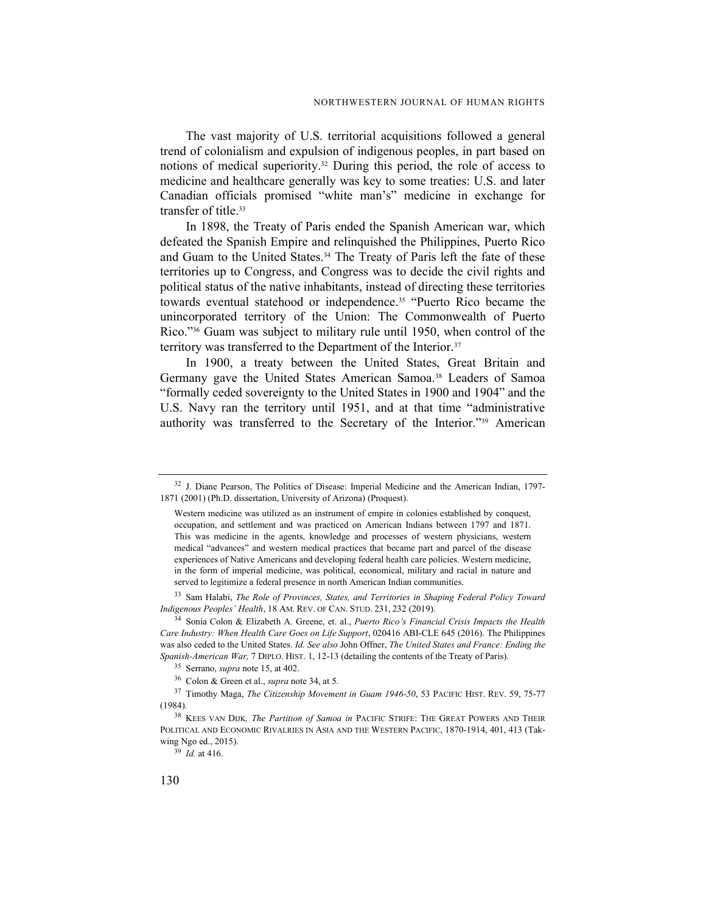The vast majority of U.S. territorial acquisitions followed a general trend of colonialism and expulsion of indigenous peoples, in part based on notions of medical superiority.32 During this period, the role of access to medicine and healthcare generally was key to some treaties: U.S. and later Canadian officials promised "white man's" medicine in exchange for transfer of title.<sup>33</sup>

In 1898, the Treaty of Paris ended the Spanish American war, which defeated the Spanish Empire and relinquished the Philippines, Puerto Rico and Guam to the United States.<sup>34</sup> The Treaty of Paris left the fate of these territories up to Congress, and Congress was to decide the civil rights and political status of the native inhabitants, instead of directing these territories towards eventual statehood or independence.35 "Puerto Rico became the unincorporated territory of the Union: The Commonwealth of Puerto Rico."36 Guam was subject to military rule until 1950, when control of the territory was transferred to the Department of the Interior.<sup>37</sup>

In 1900, a treaty between the United States, Great Britain and Germany gave the United States American Samoa.<sup>38</sup> Leaders of Samoa "formally ceded sovereignty to the United States in 1900 and 1904" and the U.S. Navy ran the territory until 1951, and at that time "administrative authority was transferred to the Secretary of the Interior."39 American

<sup>33</sup> Sam Halabi, The Role of Provinces, States, and Territories in Shaping Federal Policy Toward Indigenous Peoples' Health, 18 AM. REV. OF CAN. STUD. 231, 232 (2019).

<sup>34</sup> Sonia Colon & Elizabeth A. Greene, et. al., *Puerto Rico's Financial Crisis Impacts the Health* Care Industry: When Health Care Goes on Life Support, 020416 ABI-CLE 645 (2016). The Philippines was also ceded to the United States. Id. See also John Offner, The United States and France: Ending the Spanish-American War, 7 DIPLO. HIST. 1, 12-13 (detailing the contents of the Treaty of Paris).

<sup>&</sup>lt;sup>32</sup> J. Diane Pearson, The Politics of Disease: Imperial Medicine and the American Indian, 1797-1871 (2001) (Ph.D. dissertation, University of Arizona) (Proquest).

Western medicine was utilized as an instrument of empire in colonies established by conquest, occupation, and settlement and was practiced on American Indians between 1797 and 1871. This was medicine in the agents, knowledge and processes of western physicians, western medical "advances" and western medical practices that became part and parcel of the disease experiences of Native Americans and developing federal health care policies. Western medicine, in the form of imperial medicine, was political, economical, military and racial in nature and served to legitimize a federal presence in north American Indian communities.

<sup>35</sup> Serrano, supra note 15, at 402.

<sup>36</sup> Colon & Green et al., supra note 34, at 5.

<sup>&</sup>lt;sup>37</sup> Timothy Maga, *The Citizenship Movement in Guam 1946-50*, 53 PACIFIC HIST. REV. 59, 75-77 (1984).

<sup>&</sup>lt;sup>38</sup> KEES VAN DIJK, *The Partition of Samoa in* PACIFIC STRIFE: THE GREAT POWERS AND THEIR POLITICAL AND ECONOMIC RIVALRIES IN ASIA AND THE WESTERN PACIFIC, 1870-1914, 401, 413 (Takwing Ngo ed., 2015).

 $39$  *Id.* at 416.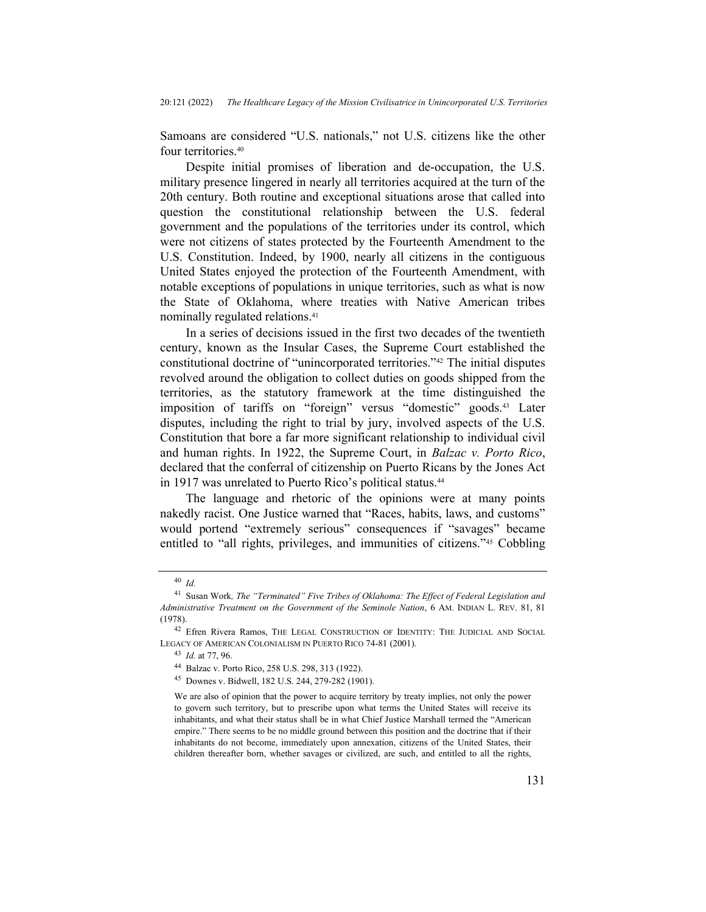Samoans are considered "U.S. nationals," not U.S. citizens like the other four territories.<sup>40</sup>

Despite initial promises of liberation and de-occupation, the U.S. military presence lingered in nearly all territories acquired at the turn of the 20th century. Both routine and exceptional situations arose that called into question the constitutional relationship between the U.S. federal government and the populations of the territories under its control, which were not citizens of states protected by the Fourteenth Amendment to the U.S. Constitution. Indeed, by 1900, nearly all citizens in the contiguous United States enjoyed the protection of the Fourteenth Amendment, with notable exceptions of populations in unique territories, such as what is now the State of Oklahoma, where treaties with Native American tribes nominally regulated relations.<sup>41</sup>

In a series of decisions issued in the first two decades of the twentieth century, known as the Insular Cases, the Supreme Court established the constitutional doctrine of "unincorporated territories."42 The initial disputes revolved around the obligation to collect duties on goods shipped from the territories, as the statutory framework at the time distinguished the imposition of tariffs on "foreign" versus "domestic" goods.43 Later disputes, including the right to trial by jury, involved aspects of the U.S. Constitution that bore a far more significant relationship to individual civil and human rights. In 1922, the Supreme Court, in Balzac v. Porto Rico, declared that the conferral of citizenship on Puerto Ricans by the Jones Act in 1917 was unrelated to Puerto Rico's political status.<sup>44</sup>

The language and rhetoric of the opinions were at many points nakedly racist. One Justice warned that "Races, habits, laws, and customs" would portend "extremely serious" consequences if "savages" became entitled to "all rights, privileges, and immunities of citizens."45 Cobbling

<sup>43</sup> Id. at 77, 96.

<sup>40</sup> Id.

<sup>41</sup> Susan Work, The "Terminated" Five Tribes of Oklahoma: The Effect of Federal Legislation and Administrative Treatment on the Government of the Seminole Nation, 6 AM. INDIAN L. REV. 81, 81 (1978).

<sup>42</sup> Efren Rivera Ramos, THE LEGAL CONSTRUCTION OF IDENTITY: THE JUDICIAL AND SOCIAL LEGACY OF AMERICAN COLONIALISM IN PUERTO RICO 74-81 (2001).

<sup>44</sup> Balzac v. Porto Rico, 258 U.S. 298, 313 (1922).

<sup>45</sup> Downes v. Bidwell, 182 U.S. 244, 279-282 (1901).

We are also of opinion that the power to acquire territory by treaty implies, not only the power to govern such territory, but to prescribe upon what terms the United States will receive its inhabitants, and what their status shall be in what Chief Justice Marshall termed the "American empire." There seems to be no middle ground between this position and the doctrine that if their inhabitants do not become, immediately upon annexation, citizens of the United States, their children thereafter born, whether savages or civilized, are such, and entitled to all the rights,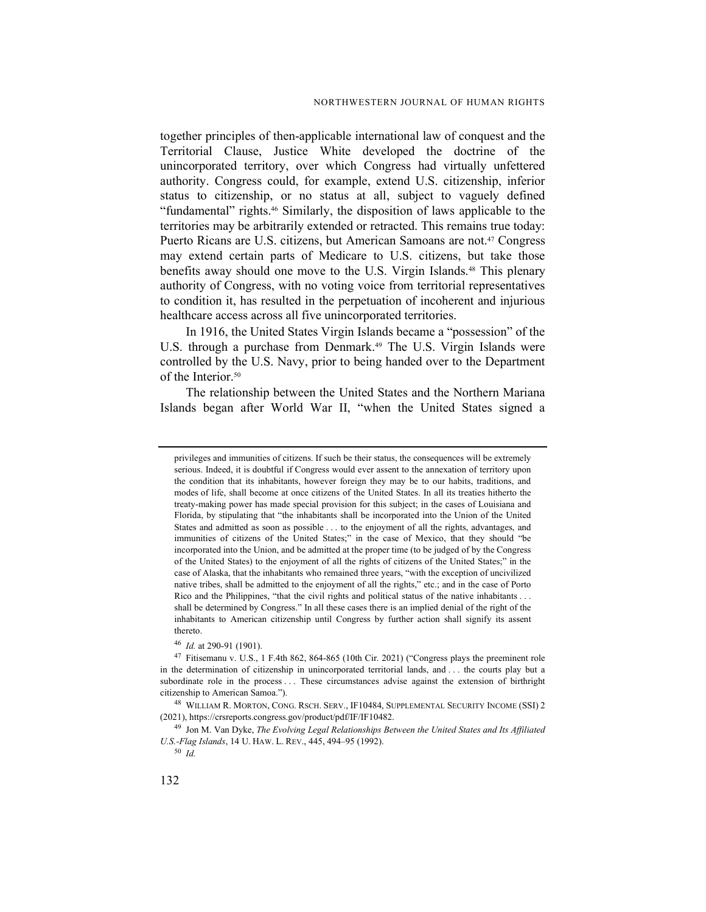together principles of then-applicable international law of conquest and the Territorial Clause, Justice White developed the doctrine of the unincorporated territory, over which Congress had virtually unfettered authority. Congress could, for example, extend U.S. citizenship, inferior status to citizenship, or no status at all, subject to vaguely defined "fundamental" rights.46 Similarly, the disposition of laws applicable to the territories may be arbitrarily extended or retracted. This remains true today: Puerto Ricans are U.S. citizens, but American Samoans are not.<sup>47</sup> Congress may extend certain parts of Medicare to U.S. citizens, but take those benefits away should one move to the U.S. Virgin Islands.<sup>48</sup> This plenary authority of Congress, with no voting voice from territorial representatives to condition it, has resulted in the perpetuation of incoherent and injurious healthcare access across all five unincorporated territories.

In 1916, the United States Virgin Islands became a "possession" of the U.S. through a purchase from Denmark.<sup>49</sup> The U.S. Virgin Islands were controlled by the U.S. Navy, prior to being handed over to the Department of the Interior.<sup>50</sup>

The relationship between the United States and the Northern Mariana Islands began after World War II, "when the United States signed a

<sup>46</sup> Id. at 290-91 (1901).

privileges and immunities of citizens. If such be their status, the consequences will be extremely serious. Indeed, it is doubtful if Congress would ever assent to the annexation of territory upon the condition that its inhabitants, however foreign they may be to our habits, traditions, and modes of life, shall become at once citizens of the United States. In all its treaties hitherto the treaty-making power has made special provision for this subject; in the cases of Louisiana and Florida, by stipulating that "the inhabitants shall be incorporated into the Union of the United States and admitted as soon as possible . . . to the enjoyment of all the rights, advantages, and immunities of citizens of the United States;" in the case of Mexico, that they should "be incorporated into the Union, and be admitted at the proper time (to be judged of by the Congress of the United States) to the enjoyment of all the rights of citizens of the United States;" in the case of Alaska, that the inhabitants who remained three years, "with the exception of uncivilized native tribes, shall be admitted to the enjoyment of all the rights," etc.; and in the case of Porto Rico and the Philippines, "that the civil rights and political status of the native inhabitants . . . shall be determined by Congress." In all these cases there is an implied denial of the right of the inhabitants to American citizenship until Congress by further action shall signify its assent thereto.

<sup>47</sup> Fitisemanu v. U.S., 1 F.4th 862, 864-865 (10th Cir. 2021) ("Congress plays the preeminent role in the determination of citizenship in unincorporated territorial lands, and . . . the courts play but a subordinate role in the process . . . These circumstances advise against the extension of birthright citizenship to American Samoa.").

<sup>48</sup> WILLIAM R. MORTON, CONG. RSCH. SERV., IF10484, SUPPLEMENTAL SECURITY INCOME (SSI) 2 (2021), https://crsreports.congress.gov/product/pdf/IF/IF10482.

<sup>&</sup>lt;sup>49</sup> Jon M. Van Dyke, The Evolving Legal Relationships Between the United States and Its Affiliated U.S.-Flag Islands, 14 U. HAW. L. REV., 445, 494–95 (1992).

<sup>50</sup> Id.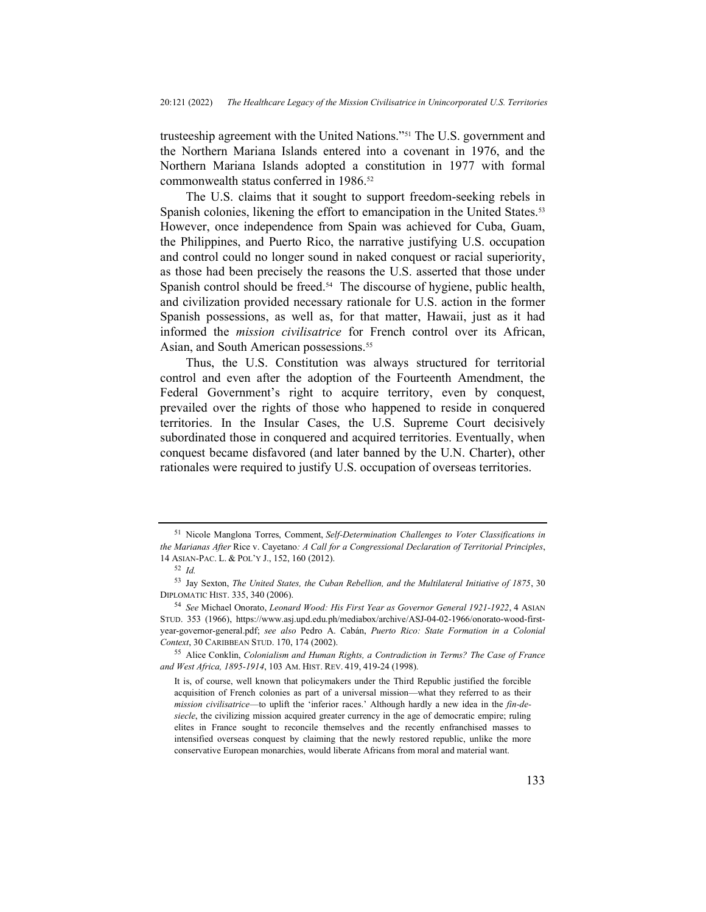trusteeship agreement with the United Nations."51 The U.S. government and the Northern Mariana Islands entered into a covenant in 1976, and the Northern Mariana Islands adopted a constitution in 1977 with formal commonwealth status conferred in 1986.<sup>52</sup>

The U.S. claims that it sought to support freedom-seeking rebels in Spanish colonies, likening the effort to emancipation in the United States.<sup>53</sup> However, once independence from Spain was achieved for Cuba, Guam, the Philippines, and Puerto Rico, the narrative justifying U.S. occupation and control could no longer sound in naked conquest or racial superiority, as those had been precisely the reasons the U.S. asserted that those under Spanish control should be freed.<sup>54</sup> The discourse of hygiene, public health, and civilization provided necessary rationale for U.S. action in the former Spanish possessions, as well as, for that matter, Hawaii, just as it had informed the mission civilisatrice for French control over its African, Asian, and South American possessions.<sup>55</sup>

Thus, the U.S. Constitution was always structured for territorial control and even after the adoption of the Fourteenth Amendment, the Federal Government's right to acquire territory, even by conquest, prevailed over the rights of those who happened to reside in conquered territories. In the Insular Cases, the U.S. Supreme Court decisively subordinated those in conquered and acquired territories. Eventually, when conquest became disfavored (and later banned by the U.N. Charter), other rationales were required to justify U.S. occupation of overseas territories.

<sup>&</sup>lt;sup>51</sup> Nicole Manglona Torres, Comment, Self-Determination Challenges to Voter Classifications in the Marianas After Rice v. Cayetano: A Call for a Congressional Declaration of Territorial Principles, 14 ASIAN-PAC. L. & POL'Y J., 152, 160 (2012).

 $52$  *Id.* 

<sup>53</sup> Jay Sexton, The United States, the Cuban Rebellion, and the Multilateral Initiative of 1875, 30 DIPLOMATIC HIST. 335, 340 (2006).

<sup>54</sup> See Michael Onorato, Leonard Wood: His First Year as Governor General 1921-1922, 4 ASIAN STUD. 353 (1966), https://www.asj.upd.edu.ph/mediabox/archive/ASJ-04-02-1966/onorato-wood-firstyear-governor-general.pdf; see also Pedro A. Cabán, Puerto Rico: State Formation in a Colonial Context, 30 CARIBBEAN STUD. 170, 174 (2002).

<sup>&</sup>lt;sup>55</sup> Alice Conklin, *Colonialism and Human Rights, a Contradiction in Terms? The Case of France* and West Africa, 1895-1914, 103 AM. HIST. REV. 419, 419-24 (1998).

It is, of course, well known that policymakers under the Third Republic justified the forcible acquisition of French colonies as part of a universal mission—what they referred to as their mission civilisatrice—to uplift the 'inferior races.' Although hardly a new idea in the fin-desiecle, the civilizing mission acquired greater currency in the age of democratic empire; ruling elites in France sought to reconcile themselves and the recently enfranchised masses to intensified overseas conquest by claiming that the newly restored republic, unlike the more conservative European monarchies, would liberate Africans from moral and material want.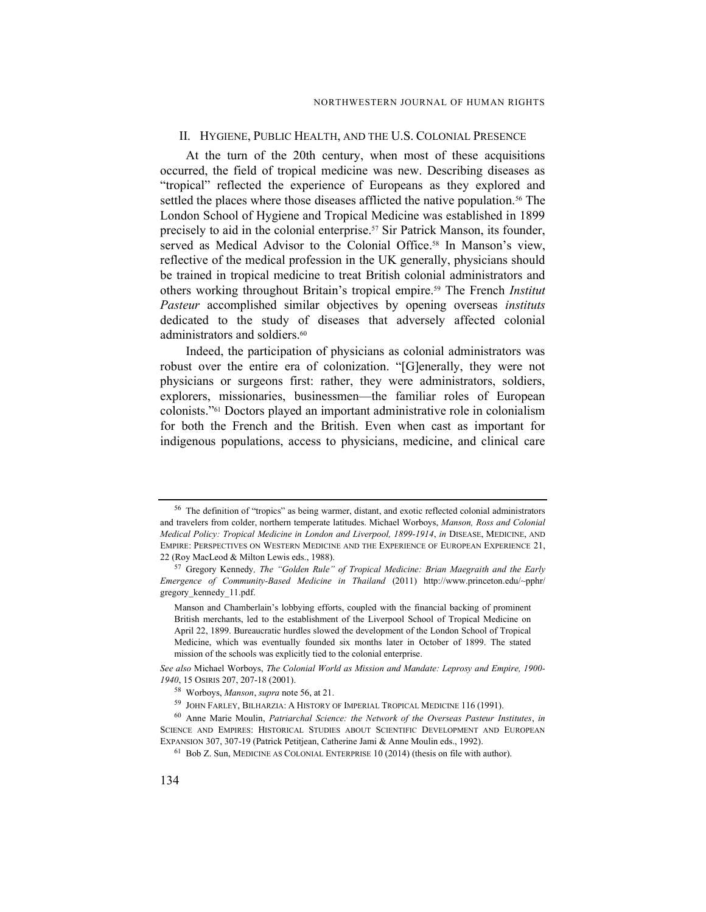#### II. HYGIENE, PUBLIC HEALTH, AND THE U.S. COLONIAL PRESENCE

At the turn of the 20th century, when most of these acquisitions occurred, the field of tropical medicine was new. Describing diseases as "tropical" reflected the experience of Europeans as they explored and settled the places where those diseases afflicted the native population.<sup>56</sup> The London School of Hygiene and Tropical Medicine was established in 1899 precisely to aid in the colonial enterprise.<sup>57</sup> Sir Patrick Manson, its founder, served as Medical Advisor to the Colonial Office.<sup>58</sup> In Manson's view, reflective of the medical profession in the UK generally, physicians should be trained in tropical medicine to treat British colonial administrators and others working throughout Britain's tropical empire.<sup>59</sup> The French *Institut* Pasteur accomplished similar objectives by opening overseas instituts dedicated to the study of diseases that adversely affected colonial administrators and soldiers.<sup>60</sup>

Indeed, the participation of physicians as colonial administrators was robust over the entire era of colonization. "[G]enerally, they were not physicians or surgeons first: rather, they were administrators, soldiers, explorers, missionaries, businessmen—the familiar roles of European colonists."61 Doctors played an important administrative role in colonialism for both the French and the British. Even when cast as important for indigenous populations, access to physicians, medicine, and clinical care

<sup>&</sup>lt;sup>56</sup> The definition of "tropics" as being warmer, distant, and exotic reflected colonial administrators and travelers from colder, northern temperate latitudes. Michael Worboys, Manson, Ross and Colonial Medical Policy: Tropical Medicine in London and Liverpool, 1899-1914, in DISEASE, MEDICINE, AND EMPIRE: PERSPECTIVES ON WESTERN MEDICINE AND THE EXPERIENCE OF EUROPEAN EXPERIENCE 21, 22 (Roy MacLeod & Milton Lewis eds., 1988).

<sup>57</sup> Gregory Kennedy, The "Golden Rule" of Tropical Medicine: Brian Maegraith and the Early Emergence of Community-Based Medicine in Thailand (2011) http://www.princeton.edu/~pphr/ gregory\_kennedy\_11.pdf.

Manson and Chamberlain's lobbying efforts, coupled with the financial backing of prominent British merchants, led to the establishment of the Liverpool School of Tropical Medicine on April 22, 1899. Bureaucratic hurdles slowed the development of the London School of Tropical Medicine, which was eventually founded six months later in October of 1899. The stated mission of the schools was explicitly tied to the colonial enterprise.

See also Michael Worboys, The Colonial World as Mission and Mandate: Leprosy and Empire, 1900- 1940, 15 OSIRIS 207, 207-18 (2001).

<sup>58</sup> Worboys, Manson, supra note 56, at 21.

<sup>59</sup> JOHN FARLEY, BILHARZIA: A HISTORY OF IMPERIAL TROPICAL MEDICINE 116 (1991).

<sup>&</sup>lt;sup>60</sup> Anne Marie Moulin, Patriarchal Science: the Network of the Overseas Pasteur Institutes, in SCIENCE AND EMPIRES: HISTORICAL STUDIES ABOUT SCIENTIFIC DEVELOPMENT AND EUROPEAN EXPANSION 307, 307-19 (Patrick Petitjean, Catherine Jami & Anne Moulin eds., 1992).

<sup>61</sup> Bob Z. Sun, MEDICINE AS COLONIAL ENTERPRISE 10 (2014) (thesis on file with author).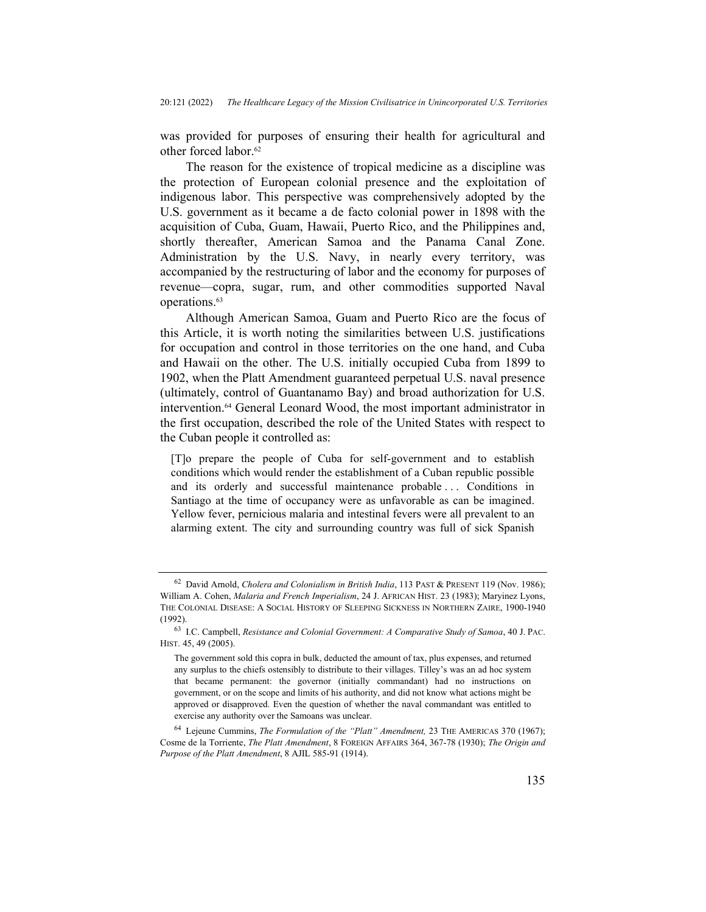was provided for purposes of ensuring their health for agricultural and other forced labor.<sup>62</sup>

The reason for the existence of tropical medicine as a discipline was the protection of European colonial presence and the exploitation of indigenous labor. This perspective was comprehensively adopted by the U.S. government as it became a de facto colonial power in 1898 with the acquisition of Cuba, Guam, Hawaii, Puerto Rico, and the Philippines and, shortly thereafter, American Samoa and the Panama Canal Zone. Administration by the U.S. Navy, in nearly every territory, was accompanied by the restructuring of labor and the economy for purposes of revenue—copra, sugar, rum, and other commodities supported Naval operations.<sup>63</sup>

Although American Samoa, Guam and Puerto Rico are the focus of this Article, it is worth noting the similarities between U.S. justifications for occupation and control in those territories on the one hand, and Cuba and Hawaii on the other. The U.S. initially occupied Cuba from 1899 to 1902, when the Platt Amendment guaranteed perpetual U.S. naval presence (ultimately, control of Guantanamo Bay) and broad authorization for U.S. intervention.64 General Leonard Wood, the most important administrator in the first occupation, described the role of the United States with respect to the Cuban people it controlled as:

[T]o prepare the people of Cuba for self-government and to establish conditions which would render the establishment of a Cuban republic possible and its orderly and successful maintenance probable . . . Conditions in Santiago at the time of occupancy were as unfavorable as can be imagined. Yellow fever, pernicious malaria and intestinal fevers were all prevalent to an alarming extent. The city and surrounding country was full of sick Spanish

 $62$  David Arnold, Cholera and Colonialism in British India, 113 PAST & PRESENT 119 (Nov. 1986); William A. Cohen, Malaria and French Imperialism, 24 J. AFRICAN HIST. 23 (1983); Maryinez Lyons, THE COLONIAL DISEASE: A SOCIAL HISTORY OF SLEEPING SICKNESS IN NORTHERN ZAIRE, 1900-1940 (1992).

<sup>63</sup> I.C. Campbell, Resistance and Colonial Government: A Comparative Study of Samoa, 40 J. PAC. HIST. 45, 49 (2005).

The government sold this copra in bulk, deducted the amount of tax, plus expenses, and returned any surplus to the chiefs ostensibly to distribute to their villages. Tilley's was an ad hoc system that became permanent: the governor (initially commandant) had no instructions on government, or on the scope and limits of his authority, and did not know what actions might be approved or disapproved. Even the question of whether the naval commandant was entitled to exercise any authority over the Samoans was unclear.

 $64$  Lejeune Cummins, *The Formulation of the "Platt" Amendment*, 23 THE AMERICAS 370 (1967); Cosme de la Torriente, The Platt Amendment, 8 FOREIGN AFFAIRS 364, 367-78 (1930); The Origin and Purpose of the Platt Amendment, 8 AJIL 585-91 (1914).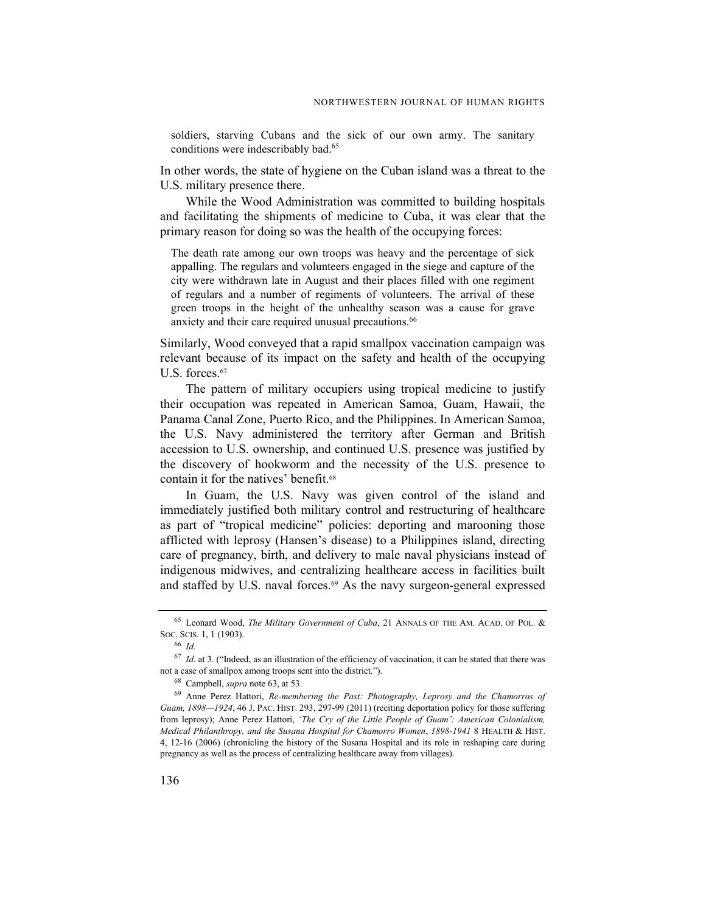soldiers, starving Cubans and the sick of our own army. The sanitary conditions were indescribably bad.<sup>65</sup>

In other words, the state of hygiene on the Cuban island was a threat to the U.S. military presence there.

While the Wood Administration was committed to building hospitals and facilitating the shipments of medicine to Cuba, it was clear that the primary reason for doing so was the health of the occupying forces:

The death rate among our own troops was heavy and the percentage of sick appalling. The regulars and volunteers engaged in the siege and capture of the city were withdrawn late in August and their places filled with one regiment of regulars and a number of regiments of volunteers. The arrival of these green troops in the height of the unhealthy season was a cause for grave anxiety and their care required unusual precautions.<sup>66</sup>

Similarly, Wood conveyed that a rapid smallpox vaccination campaign was relevant because of its impact on the safety and health of the occupying U.S. forces.<sup>67</sup>

The pattern of military occupiers using tropical medicine to justify their occupation was repeated in American Samoa, Guam, Hawaii, the Panama Canal Zone, Puerto Rico, and the Philippines. In American Samoa, the U.S. Navy administered the territory after German and British accession to U.S. ownership, and continued U.S. presence was justified by the discovery of hookworm and the necessity of the U.S. presence to contain it for the natives' benefit.<sup>68</sup>

In Guam, the U.S. Navy was given control of the island and immediately justified both military control and restructuring of healthcare as part of "tropical medicine" policies: deporting and marooning those afflicted with leprosy (Hansen's disease) to a Philippines island, directing care of pregnancy, birth, and delivery to male naval physicians instead of indigenous midwives, and centralizing healthcare access in facilities built and staffed by U.S. naval forces.<sup>69</sup> As the navy surgeon-general expressed

<sup>65</sup> Leonard Wood, The Military Government of Cuba, 21 ANNALS OF THE AM. ACAD. OF POL. & SOC. SCIS. 1, 1 (1903).

<sup>66</sup> Id.

 $67$  *Id.* at 3. ("Indeed, as an illustration of the efficiency of vaccination, it can be stated that there was not a case of smallpox among troops sent into the district.").

<sup>68</sup> Campbell, supra note 63, at 53.

<sup>&</sup>lt;sup>69</sup> Anne Perez Hattori, Re-membering the Past: Photography, Leprosy and the Chamorros of Guam, 1898—1924, 46 J. PAC. HIST. 293, 297-99 (2011) (reciting deportation policy for those suffering from leprosy); Anne Perez Hattori, 'The Cry of the Little People of Guam': American Colonialism, Medical Philanthropy, and the Susana Hospital for Chamorro Women, 1898-1941 8 HEALTH & HIST. 4, 12-16 (2006) (chronicling the history of the Susana Hospital and its role in reshaping care during pregnancy as well as the process of centralizing healthcare away from villages).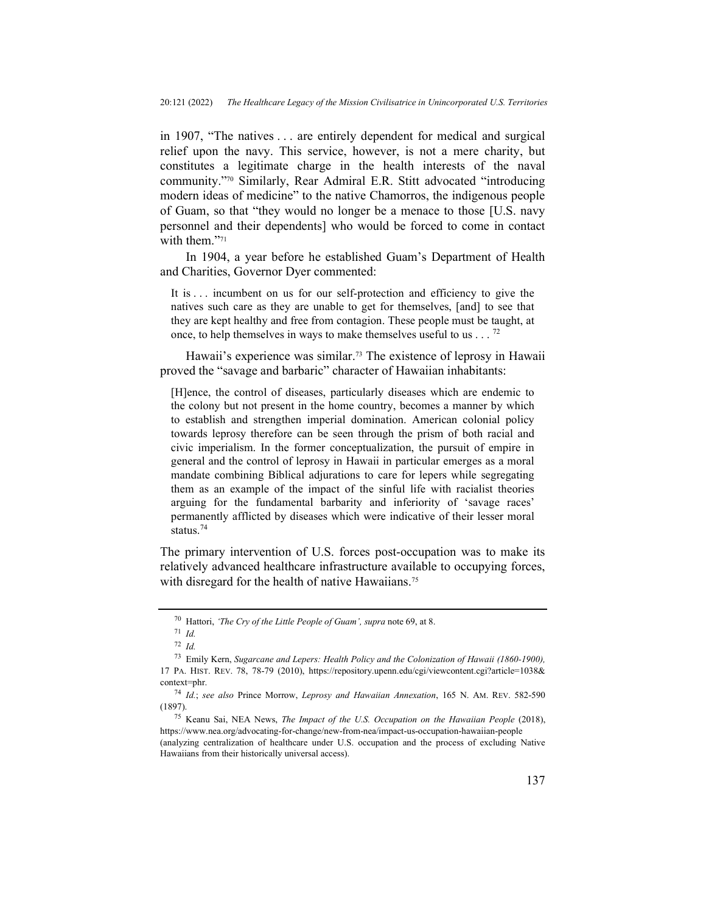in 1907, "The natives . . . are entirely dependent for medical and surgical relief upon the navy. This service, however, is not a mere charity, but constitutes a legitimate charge in the health interests of the naval community."70 Similarly, Rear Admiral E.R. Stitt advocated "introducing modern ideas of medicine" to the native Chamorros, the indigenous people of Guam, so that "they would no longer be a menace to those [U.S. navy personnel and their dependents] who would be forced to come in contact with them."71

In 1904, a year before he established Guam's Department of Health and Charities, Governor Dyer commented:

It is ... incumbent on us for our self-protection and efficiency to give the natives such care as they are unable to get for themselves, [and] to see that they are kept healthy and free from contagion. These people must be taught, at once, to help themselves in ways to make themselves useful to us  $\ldots$  <sup>72</sup>

Hawaii's experience was similar.<sup>73</sup> The existence of leprosy in Hawaii proved the "savage and barbaric" character of Hawaiian inhabitants:

[H]ence, the control of diseases, particularly diseases which are endemic to the colony but not present in the home country, becomes a manner by which to establish and strengthen imperial domination. American colonial policy towards leprosy therefore can be seen through the prism of both racial and civic imperialism. In the former conceptualization, the pursuit of empire in general and the control of leprosy in Hawaii in particular emerges as a moral mandate combining Biblical adjurations to care for lepers while segregating them as an example of the impact of the sinful life with racialist theories arguing for the fundamental barbarity and inferiority of 'savage races' permanently afflicted by diseases which were indicative of their lesser moral status.<sup>74</sup>

The primary intervention of U.S. forces post-occupation was to make its relatively advanced healthcare infrastructure available to occupying forces, with disregard for the health of native Hawaiians.<sup>75</sup>

<sup>&</sup>lt;sup>70</sup> Hattori, 'The Cry of the Little People of Guam', supra note 69, at 8.

 $71$  *Id.* 

 $72$  *Id.* 

<sup>73</sup> Emily Kern, Sugarcane and Lepers: Health Policy and the Colonization of Hawaii (1860-1900), 17 PA. HIST. REV. 78, 78-79 (2010), https://repository.upenn.edu/cgi/viewcontent.cgi?article=1038& context=phr.

<sup>74</sup> Id.; see also Prince Morrow, Leprosy and Hawaiian Annexation, 165 N. AM. REV. 582-590 (1897).

<sup>&</sup>lt;sup>75</sup> Keanu Sai, NEA News, *The Impact of the U.S. Occupation on the Hawaiian People* (2018), https://www.nea.org/advocating-for-change/new-from-nea/impact-us-occupation-hawaiian-people

<sup>(</sup>analyzing centralization of healthcare under U.S. occupation and the process of excluding Native Hawaiians from their historically universal access).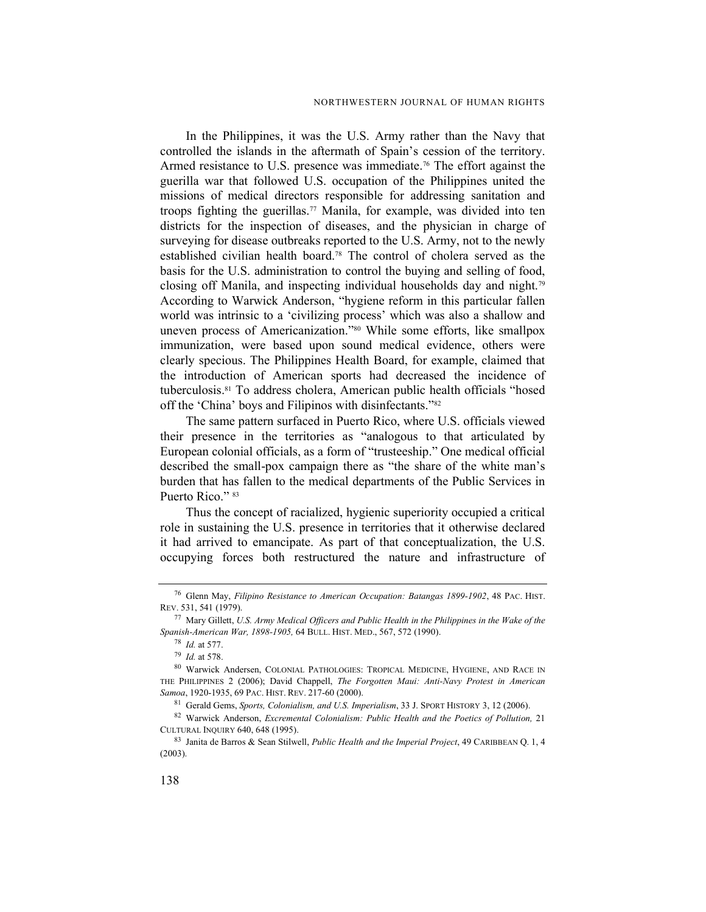In the Philippines, it was the U.S. Army rather than the Navy that controlled the islands in the aftermath of Spain's cession of the territory. Armed resistance to U.S. presence was immediate.<sup>76</sup> The effort against the guerilla war that followed U.S. occupation of the Philippines united the missions of medical directors responsible for addressing sanitation and troops fighting the guerillas.<sup>77</sup> Manila, for example, was divided into ten districts for the inspection of diseases, and the physician in charge of surveying for disease outbreaks reported to the U.S. Army, not to the newly established civilian health board.78 The control of cholera served as the basis for the U.S. administration to control the buying and selling of food, closing off Manila, and inspecting individual households day and night.<sup>79</sup> According to Warwick Anderson, "hygiene reform in this particular fallen world was intrinsic to a 'civilizing process' which was also a shallow and uneven process of Americanization."80 While some efforts, like smallpox immunization, were based upon sound medical evidence, others were clearly specious. The Philippines Health Board, for example, claimed that the introduction of American sports had decreased the incidence of tuberculosis.81 To address cholera, American public health officials "hosed off the 'China' boys and Filipinos with disinfectants."<sup>82</sup>

The same pattern surfaced in Puerto Rico, where U.S. officials viewed their presence in the territories as "analogous to that articulated by European colonial officials, as a form of "trusteeship." One medical official described the small-pox campaign there as "the share of the white man's burden that has fallen to the medical departments of the Public Services in Puerto Rico." 83

Thus the concept of racialized, hygienic superiority occupied a critical role in sustaining the U.S. presence in territories that it otherwise declared it had arrived to emancipate. As part of that conceptualization, the U.S. occupying forces both restructured the nature and infrastructure of

<sup>76</sup> Glenn May, Filipino Resistance to American Occupation: Batangas 1899-1902, 48 PAC. HIST. REV. 531, 541 (1979).

 $77$  Mary Gillett, U.S. Army Medical Officers and Public Health in the Philippines in the Wake of the Spanish-American War, 1898-1905, 64 BULL. HIST. MED., 567, 572 (1990).

<sup>78</sup> Id. at 577.

<sup>79</sup> Id. at 578.

<sup>80</sup> Warwick Andersen, COLONIAL PATHOLOGIES: TROPICAL MEDICINE, HYGIENE, AND RACE IN THE PHILIPPINES 2 (2006); David Chappell, The Forgotten Maui: Anti-Navy Protest in American Samoa, 1920-1935, 69 PAC. HIST. REV. 217-60 (2000).

<sup>81</sup> Gerald Gems, Sports, Colonialism, and U.S. Imperialism, 33 J. SPORT HISTORY 3, 12 (2006).

<sup>82</sup> Warwick Anderson, Excremental Colonialism: Public Health and the Poetics of Pollution, 21 CULTURAL INQUIRY 640, 648 (1995).

<sup>83</sup> Janita de Barros & Sean Stilwell, *Public Health and the Imperial Project*, 49 CARIBBEAN Q. 1, 4 (2003).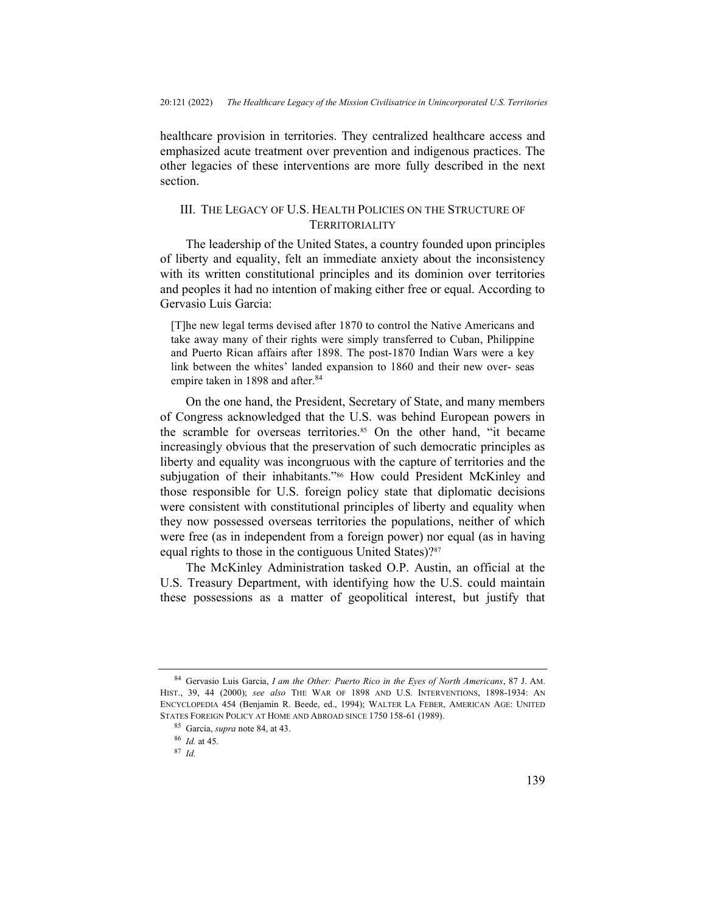healthcare provision in territories. They centralized healthcare access and emphasized acute treatment over prevention and indigenous practices. The other legacies of these interventions are more fully described in the next section.

## III. THE LEGACY OF U.S. HEALTH POLICIES ON THE STRUCTURE OF **TERRITORIALITY**

The leadership of the United States, a country founded upon principles of liberty and equality, felt an immediate anxiety about the inconsistency with its written constitutional principles and its dominion over territories and peoples it had no intention of making either free or equal. According to Gervasio Luis Garcia:

[T]he new legal terms devised after 1870 to control the Native Americans and take away many of their rights were simply transferred to Cuban, Philippine and Puerto Rican affairs after 1898. The post-1870 Indian Wars were a key link between the whites' landed expansion to 1860 and their new over- seas empire taken in 1898 and after.<sup>84</sup>

On the one hand, the President, Secretary of State, and many members of Congress acknowledged that the U.S. was behind European powers in the scramble for overseas territories.<sup>85</sup> On the other hand, "it became increasingly obvious that the preservation of such democratic principles as liberty and equality was incongruous with the capture of territories and the subjugation of their inhabitants."86 How could President McKinley and those responsible for U.S. foreign policy state that diplomatic decisions were consistent with constitutional principles of liberty and equality when they now possessed overseas territories the populations, neither of which were free (as in independent from a foreign power) nor equal (as in having equal rights to those in the contiguous United States)?<sup>87</sup>

The McKinley Administration tasked O.P. Austin, an official at the U.S. Treasury Department, with identifying how the U.S. could maintain these possessions as a matter of geopolitical interest, but justify that

<sup>84</sup> Gervasio Luis Garcia, I am the Other: Puerto Rico in the Eyes of North Americans, 87 J. AM. HIST., 39, 44 (2000); see also THE WAR OF 1898 AND U.S. INTERVENTIONS, 1898-1934: AN ENCYCLOPEDIA 454 (Benjamin R. Beede, ed., 1994); WALTER LA FEBER, AMERICAN AGE: UNITED STATES FOREIGN POLICY AT HOME AND ABROAD SINCE 1750 158-61 (1989).

<sup>85</sup> Garcia, supra note 84, at 43.

<sup>86</sup> Id. at 45.

<sup>87</sup> Id.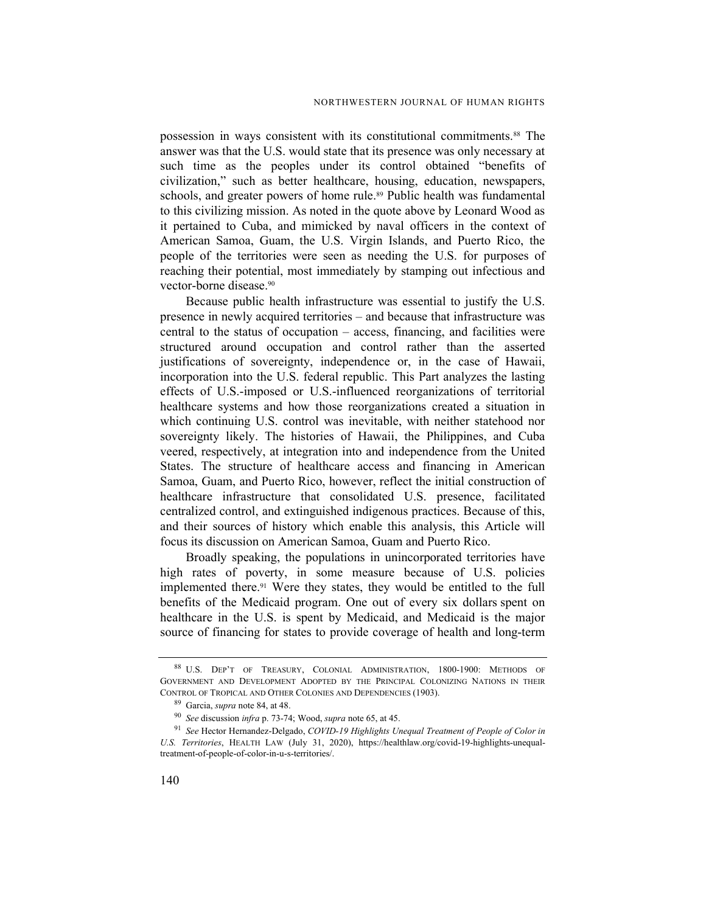possession in ways consistent with its constitutional commitments.88 The answer was that the U.S. would state that its presence was only necessary at such time as the peoples under its control obtained "benefits of civilization," such as better healthcare, housing, education, newspapers, schools, and greater powers of home rule.<sup>89</sup> Public health was fundamental to this civilizing mission. As noted in the quote above by Leonard Wood as it pertained to Cuba, and mimicked by naval officers in the context of American Samoa, Guam, the U.S. Virgin Islands, and Puerto Rico, the people of the territories were seen as needing the U.S. for purposes of reaching their potential, most immediately by stamping out infectious and vector-borne disease.<sup>90</sup>

Because public health infrastructure was essential to justify the U.S. presence in newly acquired territories – and because that infrastructure was central to the status of occupation – access, financing, and facilities were structured around occupation and control rather than the asserted justifications of sovereignty, independence or, in the case of Hawaii, incorporation into the U.S. federal republic. This Part analyzes the lasting effects of U.S.-imposed or U.S.-influenced reorganizations of territorial healthcare systems and how those reorganizations created a situation in which continuing U.S. control was inevitable, with neither statehood nor sovereignty likely. The histories of Hawaii, the Philippines, and Cuba veered, respectively, at integration into and independence from the United States. The structure of healthcare access and financing in American Samoa, Guam, and Puerto Rico, however, reflect the initial construction of healthcare infrastructure that consolidated U.S. presence, facilitated centralized control, and extinguished indigenous practices. Because of this, and their sources of history which enable this analysis, this Article will focus its discussion on American Samoa, Guam and Puerto Rico.

Broadly speaking, the populations in unincorporated territories have high rates of poverty, in some measure because of U.S. policies implemented there.91 Were they states, they would be entitled to the full benefits of the Medicaid program. One out of every six dollars spent on healthcare in the U.S. is spent by Medicaid, and Medicaid is the major source of financing for states to provide coverage of health and long-term

<sup>88</sup> U.S. DEP'T OF TREASURY, COLONIAL ADMINISTRATION, 1800-1900: METHODS OF GOVERNMENT AND DEVELOPMENT ADOPTED BY THE PRINCIPAL COLONIZING NATIONS IN THEIR CONTROL OF TROPICAL AND OTHER COLONIES AND DEPENDENCIES (1903).

<sup>89</sup> Garcia, supra note 84, at 48.

<sup>90</sup> See discussion infra p. 73-74; Wood, supra note 65, at 45.

<sup>&</sup>lt;sup>91</sup> See Hector Hernandez-Delgado, COVID-19 Highlights Unequal Treatment of People of Color in U.S. Territories, HEALTH LAW (July 31, 2020), https://healthlaw.org/covid-19-highlights-unequaltreatment-of-people-of-color-in-u-s-territories/.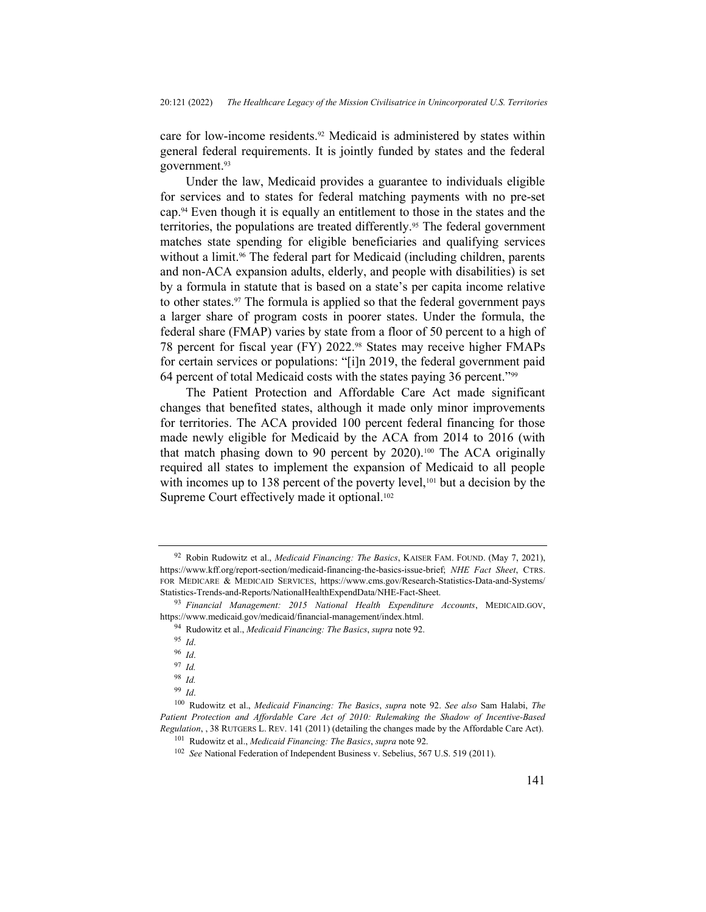care for low-income residents.92 Medicaid is administered by states within general federal requirements. It is jointly funded by states and the federal government.<sup>93</sup>

Under the law, Medicaid provides a guarantee to individuals eligible for services and to states for federal matching payments with no pre-set cap.94 Even though it is equally an entitlement to those in the states and the territories, the populations are treated differently.95 The federal government matches state spending for eligible beneficiaries and qualifying services without a limit.<sup>96</sup> The federal part for Medicaid (including children, parents and non-ACA expansion adults, elderly, and people with disabilities) is set by a formula in statute that is based on a state's per capita income relative to other states.97 The formula is applied so that the federal government pays a larger share of program costs in poorer states. Under the formula, the federal share (FMAP) varies by state from a floor of 50 percent to a high of 78 percent for fiscal year (FY) 2022.98 States may receive higher FMAPs for certain services or populations: "[i]n 2019, the federal government paid 64 percent of total Medicaid costs with the states paying 36 percent."<sup>99</sup>

The Patient Protection and Affordable Care Act made significant changes that benefited states, although it made only minor improvements for territories. The ACA provided 100 percent federal financing for those made newly eligible for Medicaid by the ACA from 2014 to 2016 (with that match phasing down to 90 percent by 2020).100 The ACA originally required all states to implement the expansion of Medicaid to all people with incomes up to 138 percent of the poverty level,  $101$  but a decision by the Supreme Court effectively made it optional.<sup>102</sup>

<sup>&</sup>lt;sup>92</sup> Robin Rudowitz et al., *Medicaid Financing: The Basics*, KAISER FAM. FOUND. (May 7, 2021), https://www.kff.org/report-section/medicaid-financing-the-basics-issue-brief; NHE Fact Sheet, CTRS. FOR MEDICARE & MEDICAID SERVICES, https://www.cms.gov/Research-Statistics-Data-and-Systems/ Statistics-Trends-and-Reports/NationalHealthExpendData/NHE-Fact-Sheet.

 $93$  Financial Management: 2015 National Health Expenditure Accounts, MEDICAID.GOV, https://www.medicaid.gov/medicaid/financial-management/index.html.

<sup>94</sup> Rudowitz et al., Medicaid Financing: The Basics, supra note 92.

<sup>95</sup> Id.

<sup>96</sup> Id.

<sup>97</sup> Id.

<sup>98</sup> Id.

<sup>99</sup> Id.

<sup>&</sup>lt;sup>100</sup> Rudowitz et al., *Medicaid Financing: The Basics, supra* note 92. See also Sam Halabi, The Patient Protection and Affordable Care Act of 2010: Rulemaking the Shadow of Incentive-Based Regulation, , 38 RUTGERS L. REV. 141 (2011) (detailing the changes made by the Affordable Care Act).

<sup>&</sup>lt;sup>101</sup> Rudowitz et al., *Medicaid Financing: The Basics*, *supra* note 92.

<sup>102</sup> See National Federation of Independent Business v. Sebelius, 567 U.S. 519 (2011).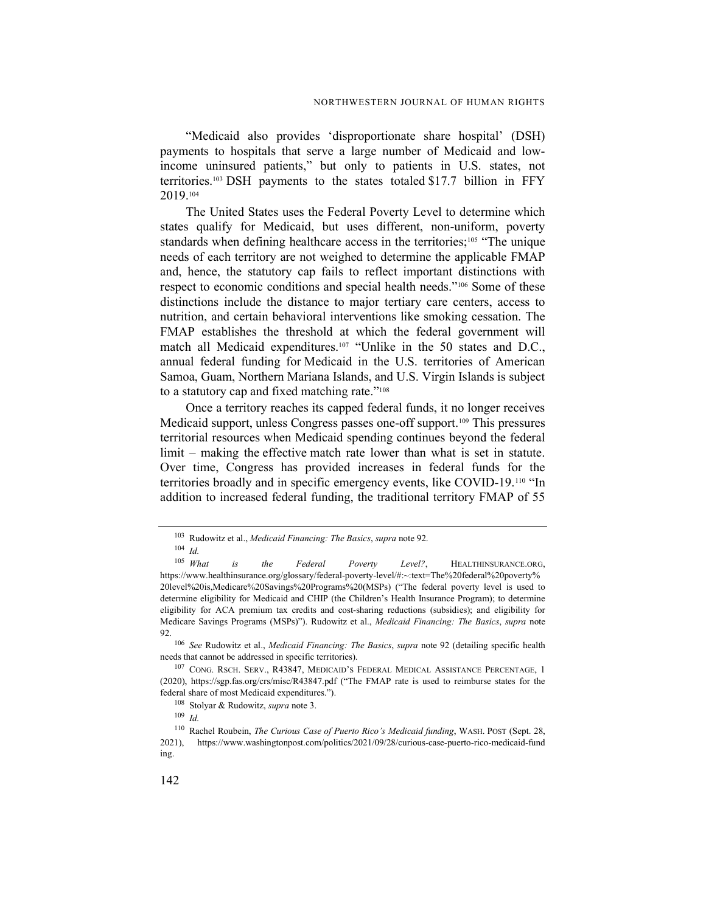"Medicaid also provides 'disproportionate share hospital' (DSH) payments to hospitals that serve a large number of Medicaid and lowincome uninsured patients," but only to patients in U.S. states, not territories.103 DSH payments to the states totaled \$17.7 billion in FFY 2019.<sup>104</sup>

The United States uses the Federal Poverty Level to determine which states qualify for Medicaid, but uses different, non-uniform, poverty standards when defining healthcare access in the territories;<sup>105</sup> "The unique needs of each territory are not weighed to determine the applicable FMAP and, hence, the statutory cap fails to reflect important distinctions with respect to economic conditions and special health needs."106 Some of these distinctions include the distance to major tertiary care centers, access to nutrition, and certain behavioral interventions like smoking cessation. The FMAP establishes the threshold at which the federal government will match all Medicaid expenditures.<sup>107</sup> "Unlike in the 50 states and D.C., annual federal funding for Medicaid in the U.S. territories of American Samoa, Guam, Northern Mariana Islands, and U.S. Virgin Islands is subject to a statutory cap and fixed matching rate."<sup>108</sup>

Once a territory reaches its capped federal funds, it no longer receives Medicaid support, unless Congress passes one-off support.<sup>109</sup> This pressures territorial resources when Medicaid spending continues beyond the federal limit – making the effective match rate lower than what is set in statute. Over time, Congress has provided increases in federal funds for the territories broadly and in specific emergency events, like COVID-19.110 "In addition to increased federal funding, the traditional territory FMAP of 55

<sup>&</sup>lt;sup>103</sup> Rudowitz et al., Medicaid Financing: The Basics, supra note 92.

 $\frac{104}{105}$  *Id.*<br>*What* is the Federal Poverty Level?, HEALTHINSURANCE.ORG, https://www.healthinsurance.org/glossary/federal-poverty-level/#:~:text=The%20federal%20poverty% 20level%20is,Medicare%20Savings%20Programs%20(MSPs) ("The federal poverty level is used to determine eligibility for Medicaid and CHIP (the Children's Health Insurance Program); to determine eligibility for ACA premium tax credits and cost-sharing reductions (subsidies); and eligibility for Medicare Savings Programs (MSPs)"). Rudowitz et al., Medicaid Financing: The Basics, supra note 92.

<sup>&</sup>lt;sup>106</sup> See Rudowitz et al., Medicaid Financing: The Basics, supra note 92 (detailing specific health needs that cannot be addressed in specific territories).

<sup>107</sup> CONG. RSCH. SERV., R43847, MEDICAID'S FEDERAL MEDICAL ASSISTANCE PERCENTAGE, 1 (2020), https://sgp.fas.org/crs/misc/R43847.pdf ("The FMAP rate is used to reimburse states for the federal share of most Medicaid expenditures.").

<sup>108</sup> Stolyar & Rudowitz, supra note 3.

<sup>109</sup> Id.

<sup>&</sup>lt;sup>110</sup> Rachel Roubein, The Curious Case of Puerto Rico's Medicaid funding, WASH. POST (Sept. 28, 2021), https://www.washingtonpost.com/politics/2021/09/28/curious-case-puerto-rico-medicaid-fund ing.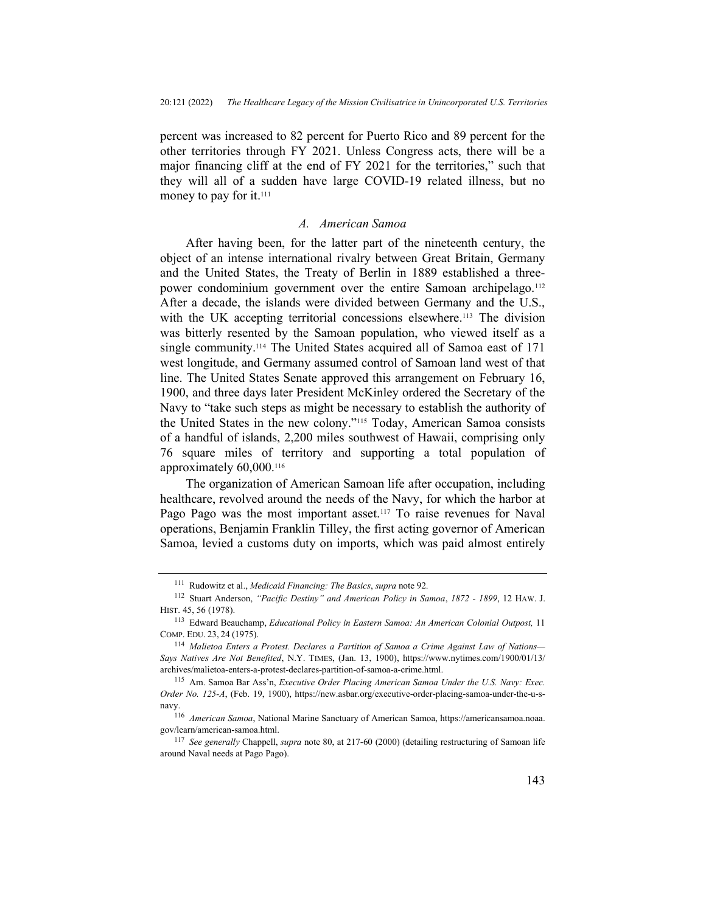percent was increased to 82 percent for Puerto Rico and 89 percent for the other territories through FY 2021. Unless Congress acts, there will be a major financing cliff at the end of FY 2021 for the territories," such that they will all of a sudden have large COVID-19 related illness, but no money to pay for it.<sup>111</sup>

#### A. American Samoa

After having been, for the latter part of the nineteenth century, the object of an intense international rivalry between Great Britain, Germany and the United States, the Treaty of Berlin in 1889 established a threepower condominium government over the entire Samoan archipelago.<sup>112</sup> After a decade, the islands were divided between Germany and the U.S., with the UK accepting territorial concessions elsewhere.<sup>113</sup> The division was bitterly resented by the Samoan population, who viewed itself as a single community.<sup>114</sup> The United States acquired all of Samoa east of 171 west longitude, and Germany assumed control of Samoan land west of that line. The United States Senate approved this arrangement on February 16, 1900, and three days later President McKinley ordered the Secretary of the Navy to "take such steps as might be necessary to establish the authority of the United States in the new colony."115 Today, American Samoa consists of a handful of islands, 2,200 miles southwest of Hawaii, comprising only 76 square miles of territory and supporting a total population of approximately 60,000.<sup>116</sup>

The organization of American Samoan life after occupation, including healthcare, revolved around the needs of the Navy, for which the harbor at Pago Pago was the most important asset.<sup>117</sup> To raise revenues for Naval operations, Benjamin Franklin Tilley, the first acting governor of American Samoa, levied a customs duty on imports, which was paid almost entirely

 $111$  Rudowitz et al., *Medicaid Financing: The Basics*, *supra* note 92.

<sup>112</sup> Stuart Anderson, "Pacific Destiny" and American Policy in Samoa, 1872 - 1899, 12 HAW. J. HIST. 45, 56 (1978).

<sup>&</sup>lt;sup>113</sup> Edward Beauchamp, Educational Policy in Eastern Samoa: An American Colonial Outpost, 11 COMP. EDU. 23, 24 (1975).

<sup>&</sup>lt;sup>114</sup> Malietoa Enters a Protest. Declares a Partition of Samoa a Crime Against Law of Nations-Says Natives Are Not Benefited, N.Y. TIMES, (Jan. 13, 1900), https://www.nytimes.com/1900/01/13/ archives/malietoa-enters-a-protest-declares-partition-of-samoa-a-crime.html.

<sup>115</sup> Am. Samoa Bar Ass'n, Executive Order Placing American Samoa Under the U.S. Navy: Exec. Order No. 125-A, (Feb. 19, 1900), https://new.asbar.org/executive-order-placing-samoa-under-the-u-snavy.

<sup>116</sup> American Samoa, National Marine Sanctuary of American Samoa, https://americansamoa.noaa. gov/learn/american-samoa.html.

<sup>&</sup>lt;sup>117</sup> See generally Chappell, supra note 80, at 217-60 (2000) (detailing restructuring of Samoan life around Naval needs at Pago Pago).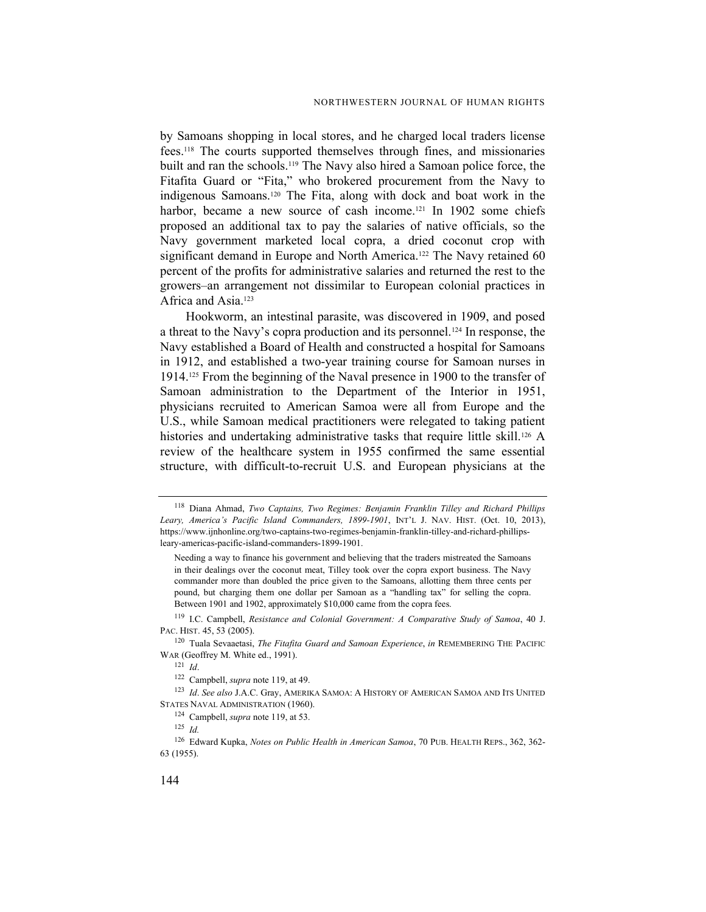by Samoans shopping in local stores, and he charged local traders license fees.118 The courts supported themselves through fines, and missionaries built and ran the schools.119 The Navy also hired a Samoan police force, the Fitafita Guard or "Fita," who brokered procurement from the Navy to indigenous Samoans.120 The Fita, along with dock and boat work in the harbor, became a new source of cash income.<sup>121</sup> In 1902 some chiefs proposed an additional tax to pay the salaries of native officials, so the Navy government marketed local copra, a dried coconut crop with significant demand in Europe and North America.<sup>122</sup> The Navy retained 60 percent of the profits for administrative salaries and returned the rest to the growers–an arrangement not dissimilar to European colonial practices in Africa and Asia.<sup>123</sup>

Hookworm, an intestinal parasite, was discovered in 1909, and posed a threat to the Navy's copra production and its personnel.124 In response, the Navy established a Board of Health and constructed a hospital for Samoans in 1912, and established a two-year training course for Samoan nurses in 1914.125 From the beginning of the Naval presence in 1900 to the transfer of Samoan administration to the Department of the Interior in 1951, physicians recruited to American Samoa were all from Europe and the U.S., while Samoan medical practitioners were relegated to taking patient histories and undertaking administrative tasks that require little skill.<sup>126</sup> A review of the healthcare system in 1955 confirmed the same essential structure, with difficult-to-recruit U.S. and European physicians at the

Needing a way to finance his government and believing that the traders mistreated the Samoans in their dealings over the coconut meat, Tilley took over the copra export business. The Navy commander more than doubled the price given to the Samoans, allotting them three cents per pound, but charging them one dollar per Samoan as a "handling tax" for selling the copra. Between 1901 and 1902, approximately \$10,000 came from the copra fees.

<sup>119</sup> I.C. Campbell, Resistance and Colonial Government: A Comparative Study of Samoa, 40 J. PAC. HIST. 45, 53 (2005).

<sup>120</sup> Tuala Sevaaetasi, The Fitafita Guard and Samoan Experience, in REMEMBERING THE PACIFIC WAR (Geoffrey M. White ed., 1991).

 $121$  *Id.* 

 $^{123}\,$  Id. See also J.A.C. Gray, AMERIKA SAMOA: A HISTORY OF AMERICAN SAMOA AND ITS UNITED STATES NAVAL ADMINISTRATION (1960).

<sup>126</sup> Edward Kupka, Notes on Public Health in American Samoa, 70 PUB. HEALTH REPS., 362, 362- 63 (1955).

<sup>118</sup> Diana Ahmad, Two Captains, Two Regimes: Benjamin Franklin Tilley and Richard Phillips Leary, America's Pacific Island Commanders, 1899-1901, INT'L J. NAV. HIST. (Oct. 10, 2013), https://www.ijnhonline.org/two-captains-two-regimes-benjamin-franklin-tilley-and-richard-phillipsleary-americas-pacific-island-commanders-1899-1901.

<sup>&</sup>lt;sup>122</sup> Campbell, *supra* note 119, at 49.

<sup>&</sup>lt;sup>124</sup> Campbell, *supra* note 119, at 53.

 $125$  *Id.*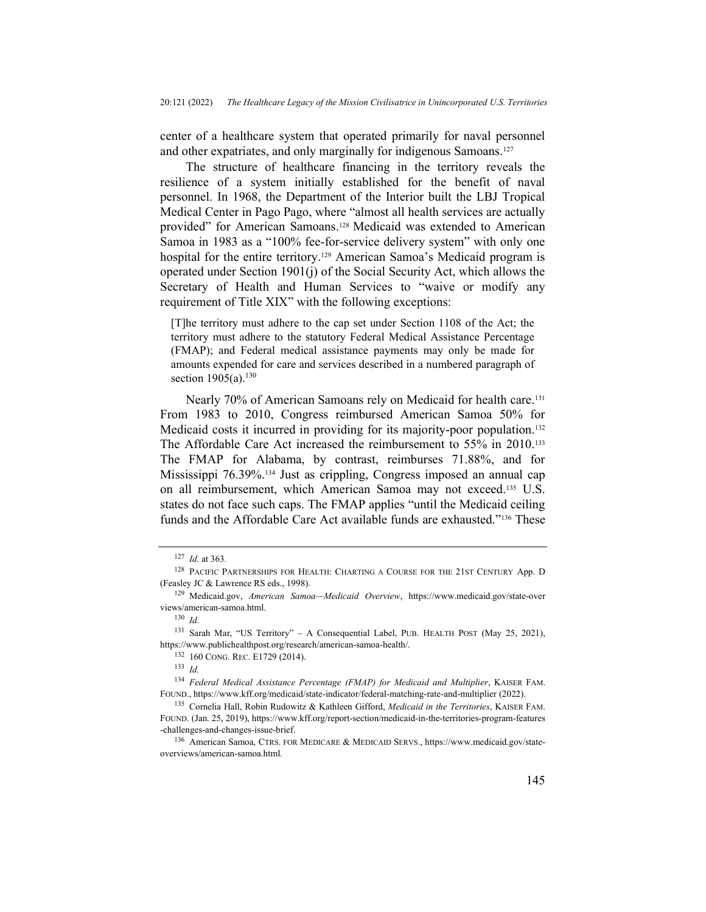center of a healthcare system that operated primarily for naval personnel and other expatriates, and only marginally for indigenous Samoans.<sup>127</sup>

The structure of healthcare financing in the territory reveals the resilience of a system initially established for the benefit of naval personnel. In 1968, the Department of the Interior built the LBJ Tropical Medical Center in Pago Pago, where "almost all health services are actually provided" for American Samoans.<sup>128</sup> Medicaid was extended to American Samoa in 1983 as a "100% fee-for-service delivery system" with only one hospital for the entire territory.<sup>129</sup> American Samoa's Medicaid program is operated under Section 1901(j) of the Social Security Act, which allows the Secretary of Health and Human Services to "waive or modify any requirement of Title XIX" with the following exceptions:

[T]he territory must adhere to the cap set under Section 1108 of the Act; the territory must adhere to the statutory Federal Medical Assistance Percentage (FMAP); and Federal medical assistance payments may only be made for amounts expended for care and services described in a numbered paragraph of section  $1905(a)$ .<sup>130</sup>

Nearly 70% of American Samoans rely on Medicaid for health care.<sup>131</sup> From 1983 to 2010, Congress reimbursed American Samoa 50% for Medicaid costs it incurred in providing for its majority-poor population.<sup>132</sup> The Affordable Care Act increased the reimbursement to 55% in 2010.<sup>133</sup> The FMAP for Alabama, by contrast, reimburses 71.88%, and for Mississippi 76.39%.134 Just as crippling, Congress imposed an annual cap on all reimbursement, which American Samoa may not exceed.135 U.S. states do not face such caps. The FMAP applies "until the Medicaid ceiling funds and the Affordable Care Act available funds are exhausted."136 These

<sup>132</sup> 160 CONG. REC. E1729 (2014).

 $127$  *Id.* at 363.

<sup>128</sup> PACIFIC PARTNERSHIPS FOR HEALTH: CHARTING A COURSE FOR THE 21ST CENTURY App. D (Feasley JC & Lawrence RS eds., 1998).

<sup>129</sup> Medicaid.gov, American Samoa—Medicaid Overview, https://www.medicaid.gov/state-over views/american-samoa.html.

<sup>130</sup> Id.

<sup>131</sup> Sarah Mar, "US Territory" – A Consequential Label, PUB. HEALTH POST (May 25, 2021), https://www.publichealthpost.org/research/american-samoa-health/.

 $133 \, Id$ 

<sup>&</sup>lt;sup>134</sup> Federal Medical Assistance Percentage (FMAP) for Medicaid and Multiplier, KAISER FAM. FOUND., https://www.kff.org/medicaid/state-indicator/federal-matching-rate-and-multiplier (2022).

<sup>135</sup> Cornelia Hall, Robin Rudowitz & Kathleen Gifford, Medicaid in the Territories, KAISER FAM. FOUND. (Jan. 25, 2019), https://www.kff.org/report-section/medicaid-in-the-territories-program-features -challenges-and-changes-issue-brief.

<sup>136</sup> American Samoa, CTRS. FOR MEDICARE & MEDICAID SERVS., https://www.medicaid.gov/stateoverviews/american-samoa.html.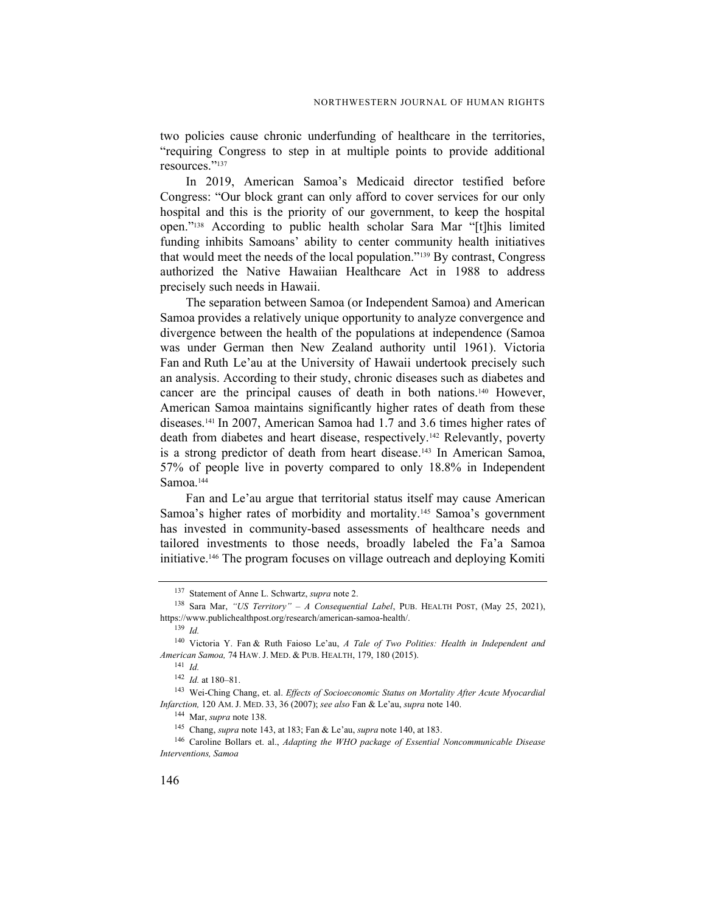two policies cause chronic underfunding of healthcare in the territories, "requiring Congress to step in at multiple points to provide additional resources."<sup>137</sup>

In 2019, American Samoa's Medicaid director testified before Congress: "Our block grant can only afford to cover services for our only hospital and this is the priority of our government, to keep the hospital open."138 According to public health scholar Sara Mar "[t]his limited funding inhibits Samoans' ability to center community health initiatives that would meet the needs of the local population."139 By contrast, Congress authorized the Native Hawaiian Healthcare Act in 1988 to address precisely such needs in Hawaii.

The separation between Samoa (or Independent Samoa) and American Samoa provides a relatively unique opportunity to analyze convergence and divergence between the health of the populations at independence (Samoa was under German then New Zealand authority until 1961). Victoria Fan and Ruth Le'au at the University of Hawaii undertook precisely such an analysis. According to their study, chronic diseases such as diabetes and cancer are the principal causes of death in both nations.140 However, American Samoa maintains significantly higher rates of death from these diseases.<sup>141</sup> In 2007, American Samoa had 1.7 and 3.6 times higher rates of death from diabetes and heart disease, respectively.142 Relevantly, poverty is a strong predictor of death from heart disease.143 In American Samoa, 57% of people live in poverty compared to only 18.8% in Independent Samoa.<sup>144</sup>

Fan and Le'au argue that territorial status itself may cause American Samoa's higher rates of morbidity and mortality.<sup>145</sup> Samoa's government has invested in community-based assessments of healthcare needs and tailored investments to those needs, broadly labeled the Fa'a Samoa initiative.146 The program focuses on village outreach and deploying Komiti

<sup>&</sup>lt;sup>137</sup> Statement of Anne L. Schwartz, *supra* note 2.

<sup>&</sup>lt;sup>138</sup> Sara Mar, "US Territory" – A Consequential Label, PUB. HEALTH POST, (May 25, 2021), https://www.publichealthpost.org/research/american-samoa-health/.

 $139$  Id.

<sup>140</sup> Victoria Y. Fan & Ruth Faioso Le'au, A Tale of Two Polities: Health in Independent and American Samoa, 74 HAW. J. MED. & PUB. HEALTH, 179, 180 (2015).

<sup>141</sup> Id.

<sup>142</sup> Id. at 180–81.

<sup>&</sup>lt;sup>143</sup> Wei-Ching Chang, et. al. Effects of Socioeconomic Status on Mortality After Acute Myocardial Infarction, 120 AM. J. MED. 33, 36 (2007); see also Fan & Le'au, supra note 140.

<sup>144</sup> Mar, supra note 138.

<sup>145</sup> Chang, supra note 143, at 183; Fan & Le'au, supra note 140, at 183.

<sup>&</sup>lt;sup>146</sup> Caroline Bollars et. al., Adapting the WHO package of Essential Noncommunicable Disease Interventions, Samoa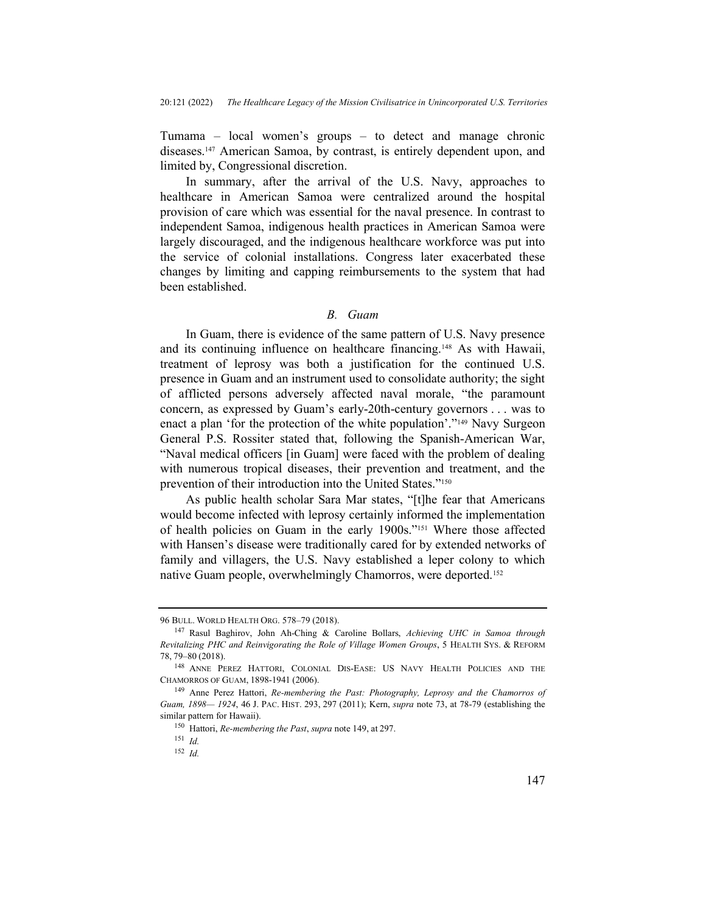Tumama – local women's groups – to detect and manage chronic diseases.147 American Samoa, by contrast, is entirely dependent upon, and limited by, Congressional discretion.

In summary, after the arrival of the U.S. Navy, approaches to healthcare in American Samoa were centralized around the hospital provision of care which was essential for the naval presence. In contrast to independent Samoa, indigenous health practices in American Samoa were largely discouraged, and the indigenous healthcare workforce was put into the service of colonial installations. Congress later exacerbated these changes by limiting and capping reimbursements to the system that had been established.

#### B. Guam

In Guam, there is evidence of the same pattern of U.S. Navy presence and its continuing influence on healthcare financing.148 As with Hawaii, treatment of leprosy was both a justification for the continued U.S. presence in Guam and an instrument used to consolidate authority; the sight of afflicted persons adversely affected naval morale, "the paramount concern, as expressed by Guam's early-20th-century governors . . . was to enact a plan 'for the protection of the white population'."149 Navy Surgeon General P.S. Rossiter stated that, following the Spanish-American War, "Naval medical officers [in Guam] were faced with the problem of dealing with numerous tropical diseases, their prevention and treatment, and the prevention of their introduction into the United States."<sup>150</sup>

As public health scholar Sara Mar states, "[t]he fear that Americans would become infected with leprosy certainly informed the implementation of health policies on Guam in the early 1900s."151 Where those affected with Hansen's disease were traditionally cared for by extended networks of family and villagers, the U.S. Navy established a leper colony to which native Guam people, overwhelmingly Chamorros, were deported.<sup>152</sup>

<sup>96</sup> BULL. WORLD HEALTH ORG. 578–79 (2018).

<sup>147</sup> Rasul Baghirov, John Ah-Ching & Caroline Bollars, Achieving UHC in Samoa through Revitalizing PHC and Reinvigorating the Role of Village Women Groups, 5 HEALTH SYS. & REFORM 78, 79–80 (2018).

<sup>148</sup> ANNE PEREZ HATTORI, COLONIAL DIS-EASE: US NAVY HEALTH POLICIES AND THE CHAMORROS OF GUAM, 1898-1941 (2006).

<sup>&</sup>lt;sup>149</sup> Anne Perez Hattori, Re-membering the Past: Photography, Leprosy and the Chamorros of Guam, 1898— 1924, 46 J. PAC. HIST. 293, 297 (2011); Kern, supra note 73, at 78-79 (establishing the similar pattern for Hawaii).

<sup>150</sup> Hattori, Re-membering the Past, supra note 149, at 297.

 $151$  *Id.* 

 $152$  *Id.*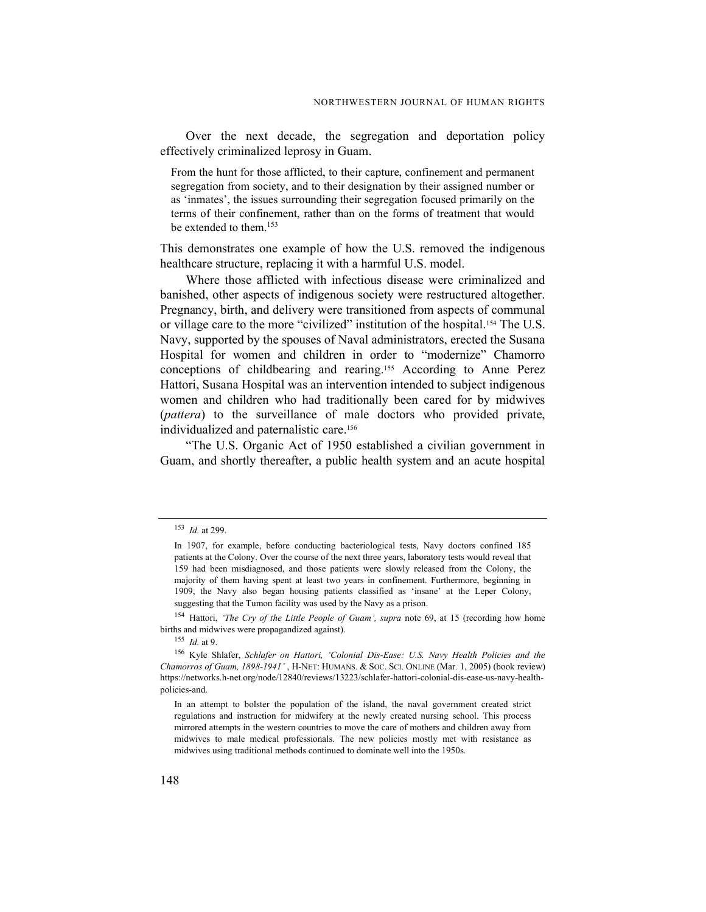Over the next decade, the segregation and deportation policy effectively criminalized leprosy in Guam.

From the hunt for those afflicted, to their capture, confinement and permanent segregation from society, and to their designation by their assigned number or as 'inmates', the issues surrounding their segregation focused primarily on the terms of their confinement, rather than on the forms of treatment that would be extended to them.<sup>153</sup>

This demonstrates one example of how the U.S. removed the indigenous healthcare structure, replacing it with a harmful U.S. model.

Where those afflicted with infectious disease were criminalized and banished, other aspects of indigenous society were restructured altogether. Pregnancy, birth, and delivery were transitioned from aspects of communal or village care to the more "civilized" institution of the hospital.154 The U.S. Navy, supported by the spouses of Naval administrators, erected the Susana Hospital for women and children in order to "modernize" Chamorro conceptions of childbearing and rearing.155 According to Anne Perez Hattori, Susana Hospital was an intervention intended to subject indigenous women and children who had traditionally been cared for by midwives (pattera) to the surveillance of male doctors who provided private, individualized and paternalistic care.<sup>156</sup>

"The U.S. Organic Act of 1950 established a civilian government in Guam, and shortly thereafter, a public health system and an acute hospital

<sup>153</sup> Id. at 299.

In 1907, for example, before conducting bacteriological tests, Navy doctors confined 185 patients at the Colony. Over the course of the next three years, laboratory tests would reveal that 159 had been misdiagnosed, and those patients were slowly released from the Colony, the majority of them having spent at least two years in confinement. Furthermore, beginning in 1909, the Navy also began housing patients classified as 'insane' at the Leper Colony, suggesting that the Tumon facility was used by the Navy as a prison.

<sup>&</sup>lt;sup>154</sup> Hattori, 'The Cry of the Little People of Guam', supra note 69, at 15 (recording how home births and midwives were propagandized against).

 $155$  *Id.* at 9.

<sup>&</sup>lt;sup>156</sup> Kyle Shlafer, Schlafer on Hattori, 'Colonial Dis-Ease: U.S. Navy Health Policies and the Chamorros of Guam, 1898-1941' , H-NET: HUMANS. & SOC. SCI. ONLINE (Mar. 1, 2005) (book review) https://networks.h-net.org/node/12840/reviews/13223/schlafer-hattori-colonial-dis-ease-us-navy-healthpolicies-and.

In an attempt to bolster the population of the island, the naval government created strict regulations and instruction for midwifery at the newly created nursing school. This process mirrored attempts in the western countries to move the care of mothers and children away from midwives to male medical professionals. The new policies mostly met with resistance as midwives using traditional methods continued to dominate well into the 1950s.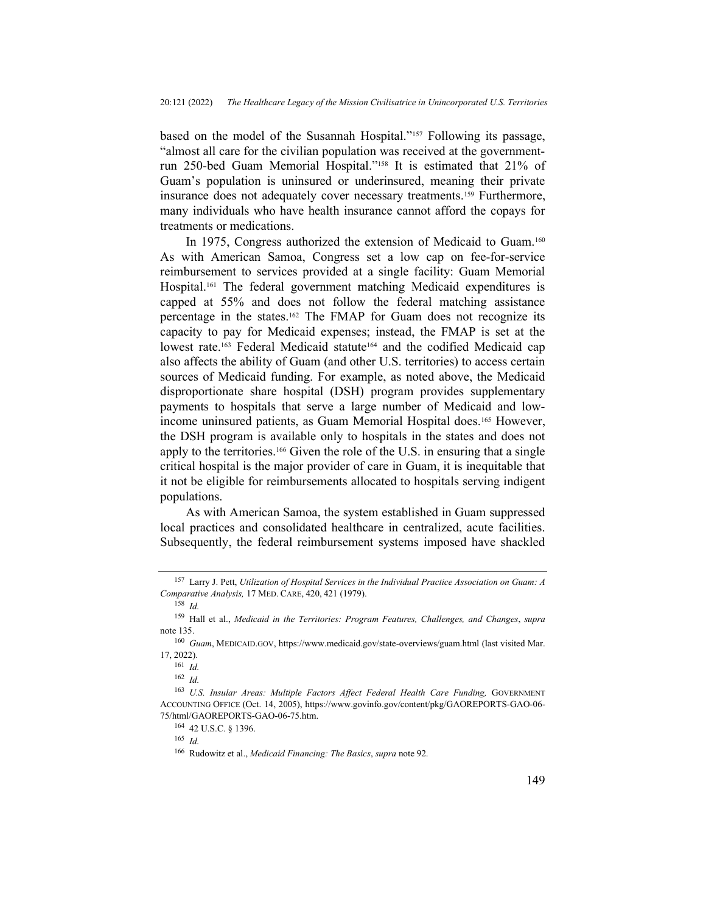based on the model of the Susannah Hospital."157 Following its passage, "almost all care for the civilian population was received at the governmentrun 250-bed Guam Memorial Hospital."158 It is estimated that 21% of Guam's population is uninsured or underinsured, meaning their private insurance does not adequately cover necessary treatments.159 Furthermore, many individuals who have health insurance cannot afford the copays for treatments or medications.

In 1975, Congress authorized the extension of Medicaid to Guam.<sup>160</sup> As with American Samoa, Congress set a low cap on fee-for-service reimbursement to services provided at a single facility: Guam Memorial Hospital.161 The federal government matching Medicaid expenditures is capped at 55% and does not follow the federal matching assistance percentage in the states.162 The FMAP for Guam does not recognize its capacity to pay for Medicaid expenses; instead, the FMAP is set at the lowest rate.<sup>163</sup> Federal Medicaid statute<sup>164</sup> and the codified Medicaid cap also affects the ability of Guam (and other U.S. territories) to access certain sources of Medicaid funding. For example, as noted above, the Medicaid disproportionate share hospital (DSH) program provides supplementary payments to hospitals that serve a large number of Medicaid and lowincome uninsured patients, as Guam Memorial Hospital does.165 However, the DSH program is available only to hospitals in the states and does not apply to the territories.166 Given the role of the U.S. in ensuring that a single critical hospital is the major provider of care in Guam, it is inequitable that it not be eligible for reimbursements allocated to hospitals serving indigent populations.

As with American Samoa, the system established in Guam suppressed local practices and consolidated healthcare in centralized, acute facilities. Subsequently, the federal reimbursement systems imposed have shackled

 $165$  *Id.* 

<sup>157</sup> Larry J. Pett, Utilization of Hospital Services in the Individual Practice Association on Guam: A Comparative Analysis, 17 MED. CARE, 420, 421 (1979).

 $158$  Id.

<sup>&</sup>lt;sup>159</sup> Hall et al., Medicaid in the Territories: Program Features, Challenges, and Changes, supra note 135.

<sup>160</sup> Guam, MEDICAID.GOV, https://www.medicaid.gov/state-overviews/guam.html (last visited Mar. 17, 2022).

<sup>161</sup> Id.

 $162$  *Id.* 

<sup>&</sup>lt;sup>163</sup> U.S. Insular Areas: Multiple Factors Affect Federal Health Care Funding, GOVERNMENT ACCOUNTING OFFICE (Oct. 14, 2005), https://www.govinfo.gov/content/pkg/GAOREPORTS-GAO-06- 75/html/GAOREPORTS-GAO-06-75.htm.

<sup>164</sup> 42 U.S.C. § 1396.

<sup>166</sup> Rudowitz et al., Medicaid Financing: The Basics, supra note 92.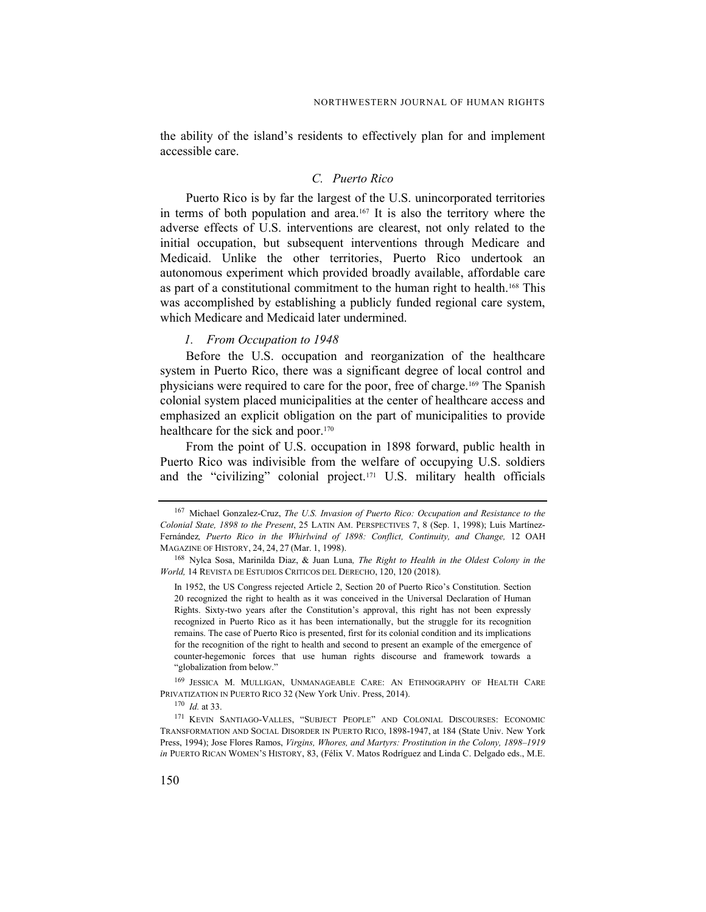the ability of the island's residents to effectively plan for and implement accessible care.

## C. Puerto Rico

Puerto Rico is by far the largest of the U.S. unincorporated territories in terms of both population and area.167 It is also the territory where the adverse effects of U.S. interventions are clearest, not only related to the initial occupation, but subsequent interventions through Medicare and Medicaid. Unlike the other territories, Puerto Rico undertook an autonomous experiment which provided broadly available, affordable care as part of a constitutional commitment to the human right to health.168 This was accomplished by establishing a publicly funded regional care system, which Medicare and Medicaid later undermined.

#### 1. From Occupation to 1948

Before the U.S. occupation and reorganization of the healthcare system in Puerto Rico, there was a significant degree of local control and physicians were required to care for the poor, free of charge.169 The Spanish colonial system placed municipalities at the center of healthcare access and emphasized an explicit obligation on the part of municipalities to provide healthcare for the sick and poor.<sup>170</sup>

From the point of U.S. occupation in 1898 forward, public health in Puerto Rico was indivisible from the welfare of occupying U.S. soldiers and the "civilizing" colonial project.171 U.S. military health officials

<sup>&</sup>lt;sup>167</sup> Michael Gonzalez-Cruz, The U.S. Invasion of Puerto Rico: Occupation and Resistance to the Colonial State, 1898 to the Present, 25 LATIN AM. PERSPECTIVES 7, 8 (Sep. 1, 1998); Luis Martínez-Fernández, Puerto Rico in the Whirlwind of 1898: Conflict, Continuity, and Change, 12 OAH MAGAZINE OF HISTORY, 24, 24, 27 (Mar. 1, 1998).

<sup>&</sup>lt;sup>168</sup> Nylca Sosa, Marinilda Diaz, & Juan Luna, *The Right to Health in the Oldest Colony in the* World, 14 REVISTA DE ESTUDIOS CRITICOS DEL DERECHO, 120, 120 (2018).

In 1952, the US Congress rejected Article 2, Section 20 of Puerto Rico's Constitution. Section 20 recognized the right to health as it was conceived in the Universal Declaration of Human Rights. Sixty-two years after the Constitution's approval, this right has not been expressly recognized in Puerto Rico as it has been internationally, but the struggle for its recognition remains. The case of Puerto Rico is presented, first for its colonial condition and its implications for the recognition of the right to health and second to present an example of the emergence of counter-hegemonic forces that use human rights discourse and framework towards a "globalization from below."

<sup>169</sup> JESSICA M. MULLIGAN, UNMANAGEABLE CARE: AN ETHNOGRAPHY OF HEALTH CARE PRIVATIZATION IN PUERTO RICO 32 (New York Univ. Press, 2014).

 $170$  *Id.* at 33.

<sup>171</sup> KEVIN SANTIAGO-VALLES, "SUBJECT PEOPLE" AND COLONIAL DISCOURSES: ECONOMIC TRANSFORMATION AND SOCIAL DISORDER IN PUERTO RICO, 1898-1947, at 184 (State Univ. New York Press, 1994); Jose Flores Ramos, Virgins, Whores, and Martyrs: Prostitution in the Colony, 1898–1919 in PUERTO RICAN WOMEN'S HISTORY, 83, (Félix V. Matos Rodríguez and Linda C. Delgado eds., M.E.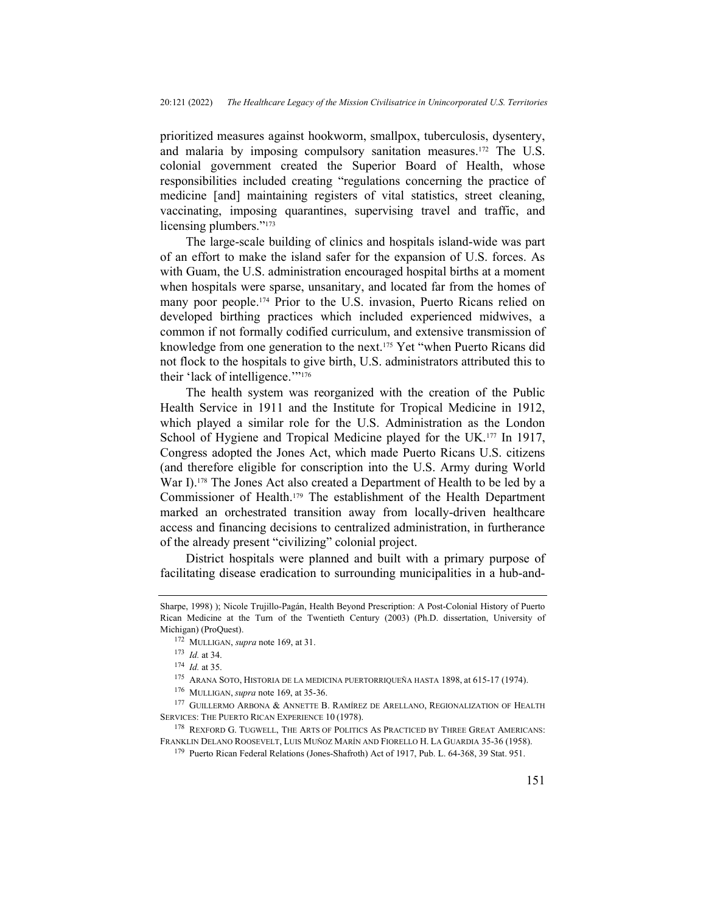prioritized measures against hookworm, smallpox, tuberculosis, dysentery, and malaria by imposing compulsory sanitation measures.172 The U.S. colonial government created the Superior Board of Health, whose responsibilities included creating "regulations concerning the practice of medicine [and] maintaining registers of vital statistics, street cleaning, vaccinating, imposing quarantines, supervising travel and traffic, and licensing plumbers."<sup>173</sup>

The large-scale building of clinics and hospitals island-wide was part of an effort to make the island safer for the expansion of U.S. forces. As with Guam, the U.S. administration encouraged hospital births at a moment when hospitals were sparse, unsanitary, and located far from the homes of many poor people.174 Prior to the U.S. invasion, Puerto Ricans relied on developed birthing practices which included experienced midwives, a common if not formally codified curriculum, and extensive transmission of knowledge from one generation to the next.<sup>175</sup> Yet "when Puerto Ricans did not flock to the hospitals to give birth, U.S. administrators attributed this to their 'lack of intelligence.'"<sup>176</sup>

The health system was reorganized with the creation of the Public Health Service in 1911 and the Institute for Tropical Medicine in 1912, which played a similar role for the U.S. Administration as the London School of Hygiene and Tropical Medicine played for the UK.<sup>177</sup> In 1917, Congress adopted the Jones Act, which made Puerto Ricans U.S. citizens (and therefore eligible for conscription into the U.S. Army during World War I).<sup>178</sup> The Jones Act also created a Department of Health to be led by a Commissioner of Health.179 The establishment of the Health Department marked an orchestrated transition away from locally-driven healthcare access and financing decisions to centralized administration, in furtherance of the already present "civilizing" colonial project.

District hospitals were planned and built with a primary purpose of facilitating disease eradication to surrounding municipalities in a hub-and-

Sharpe, 1998) ); Nicole Trujillo-Pagán, Health Beyond Prescription: A Post-Colonial History of Puerto Rican Medicine at the Turn of the Twentieth Century (2003) (Ph.D. dissertation, University of Michigan) (ProQuest).

<sup>&</sup>lt;sup>172</sup> MULLIGAN, *supra* note 169, at 31.

<sup>173</sup> Id. at 34.

 $174$  *Id.* at 35.

<sup>175</sup> ARANA SOTO, HISTORIA DE LA MEDICINA PUERTORRIQUEÑA HASTA 1898, at 615-17 (1974).

<sup>&</sup>lt;sup>176</sup> MULLIGAN, *supra* note 169, at 35-36.

<sup>177</sup> GUILLERMO ARBONA & ANNETTE B. RAMÍREZ DE ARELLANO, REGIONALIZATION OF HEALTH SERVICES: THE PUERTO RICAN EXPERIENCE 10 (1978).

<sup>178</sup> REXFORD G. TUGWELL, THE ARTS OF POLITICS AS PRACTICED BY THREE GREAT AMERICANS: FRANKLIN DELANO ROOSEVELT, LUIS MUÑOZ MARÍN AND FIORELLO H. LA GUARDIA 35-36 (1958).

<sup>179</sup> Puerto Rican Federal Relations (Jones-Shafroth) Act of 1917, Pub. L. 64-368, 39 Stat. 951.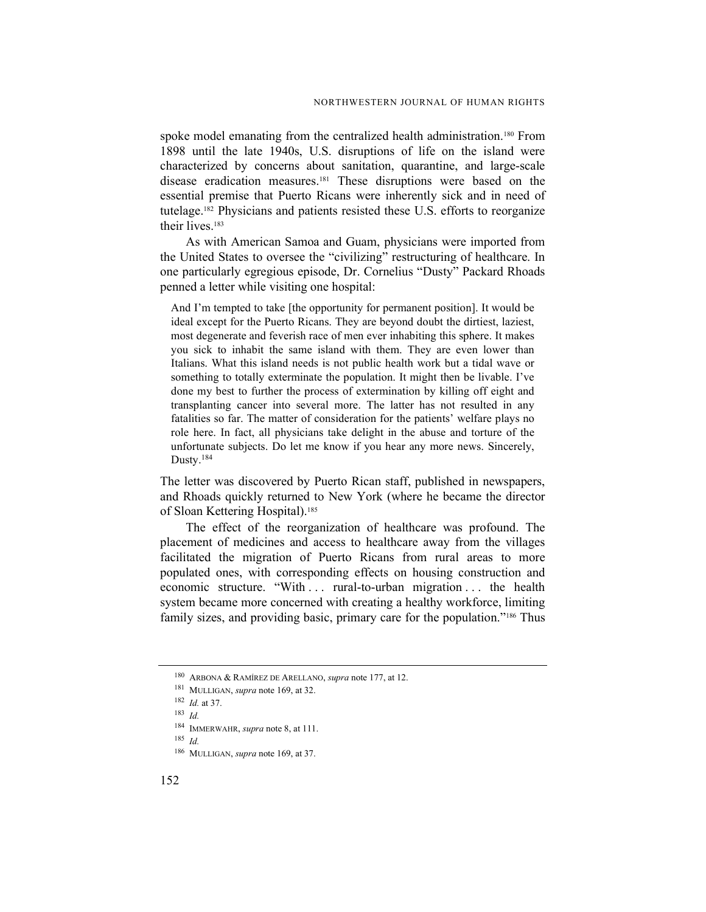spoke model emanating from the centralized health administration.<sup>180</sup> From 1898 until the late 1940s, U.S. disruptions of life on the island were characterized by concerns about sanitation, quarantine, and large-scale disease eradication measures.181 These disruptions were based on the essential premise that Puerto Ricans were inherently sick and in need of tutelage.182 Physicians and patients resisted these U.S. efforts to reorganize their lives.<sup>183</sup>

As with American Samoa and Guam, physicians were imported from the United States to oversee the "civilizing" restructuring of healthcare. In one particularly egregious episode, Dr. Cornelius "Dusty" Packard Rhoads penned a letter while visiting one hospital:

And I'm tempted to take [the opportunity for permanent position]. It would be ideal except for the Puerto Ricans. They are beyond doubt the dirtiest, laziest, most degenerate and feverish race of men ever inhabiting this sphere. It makes you sick to inhabit the same island with them. They are even lower than Italians. What this island needs is not public health work but a tidal wave or something to totally exterminate the population. It might then be livable. I've done my best to further the process of extermination by killing off eight and transplanting cancer into several more. The latter has not resulted in any fatalities so far. The matter of consideration for the patients' welfare plays no role here. In fact, all physicians take delight in the abuse and torture of the unfortunate subjects. Do let me know if you hear any more news. Sincerely, Dusty.<sup>184</sup>

The letter was discovered by Puerto Rican staff, published in newspapers, and Rhoads quickly returned to New York (where he became the director of Sloan Kettering Hospital).<sup>185</sup>

The effect of the reorganization of healthcare was profound. The placement of medicines and access to healthcare away from the villages facilitated the migration of Puerto Ricans from rural areas to more populated ones, with corresponding effects on housing construction and economic structure. "With . . . rural-to-urban migration . . . the health system became more concerned with creating a healthy workforce, limiting family sizes, and providing basic, primary care for the population."<sup>186</sup> Thus

<sup>180</sup> ARBONA & RAMÍREZ DE ARELLANO, supra note 177, at 12.

<sup>&</sup>lt;sup>181</sup> MULLIGAN, *supra* note 169, at 32.

 $182$  *Id.* at 37.

 $183$  *Id.* 

<sup>&</sup>lt;sup>184</sup> IMMERWAHR, supra note 8, at 111.

<sup>185</sup> Id.

<sup>186</sup> MULLIGAN, supra note 169, at 37.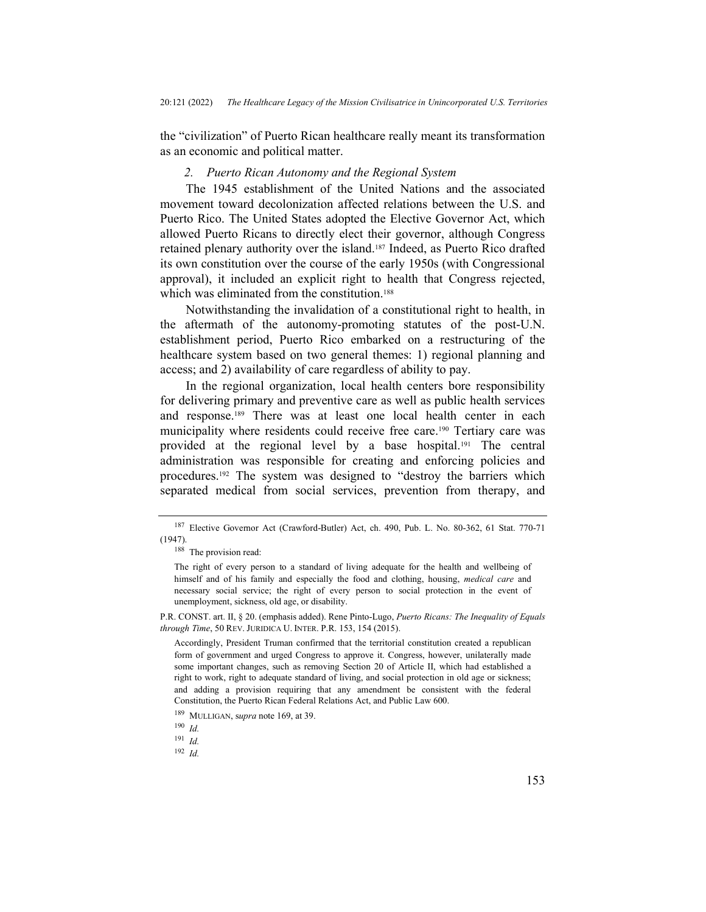the "civilization" of Puerto Rican healthcare really meant its transformation as an economic and political matter.

### 2. Puerto Rican Autonomy and the Regional System

The 1945 establishment of the United Nations and the associated movement toward decolonization affected relations between the U.S. and Puerto Rico. The United States adopted the Elective Governor Act, which allowed Puerto Ricans to directly elect their governor, although Congress retained plenary authority over the island.187 Indeed, as Puerto Rico drafted its own constitution over the course of the early 1950s (with Congressional approval), it included an explicit right to health that Congress rejected, which was eliminated from the constitution.<sup>188</sup>

Notwithstanding the invalidation of a constitutional right to health, in the aftermath of the autonomy-promoting statutes of the post-U.N. establishment period, Puerto Rico embarked on a restructuring of the healthcare system based on two general themes: 1) regional planning and access; and 2) availability of care regardless of ability to pay.

In the regional organization, local health centers bore responsibility for delivering primary and preventive care as well as public health services and response.189 There was at least one local health center in each municipality where residents could receive free care.190 Tertiary care was provided at the regional level by a base hospital.191 The central administration was responsible for creating and enforcing policies and procedures.192 The system was designed to "destroy the barriers which separated medical from social services, prevention from therapy, and

<sup>187</sup> Elective Governor Act (Crawford-Butler) Act, ch. 490, Pub. L. No. 80-362, 61 Stat. 770-71 (1947).

<sup>188</sup> The provision read:

The right of every person to a standard of living adequate for the health and wellbeing of himself and of his family and especially the food and clothing, housing, *medical care* and necessary social service; the right of every person to social protection in the event of unemployment, sickness, old age, or disability.

P.R. CONST. art. II, § 20. (emphasis added). Rene Pinto-Lugo, *Puerto Ricans: The Inequality of Equals* through Time, 50 REV. JURIDICA U. INTER. P.R. 153, 154 (2015).

Accordingly, President Truman confirmed that the territorial constitution created a republican form of government and urged Congress to approve it. Congress, however, unilaterally made some important changes, such as removing Section 20 of Article II, which had established a right to work, right to adequate standard of living, and social protection in old age or sickness; and adding a provision requiring that any amendment be consistent with the federal Constitution, the Puerto Rican Federal Relations Act, and Public Law 600.

<sup>&</sup>lt;sup>189</sup> MULLIGAN, supra note 169, at 39.

 $190$  *Id.* 

 $191$  *Id.* 

 $192$  *Id.*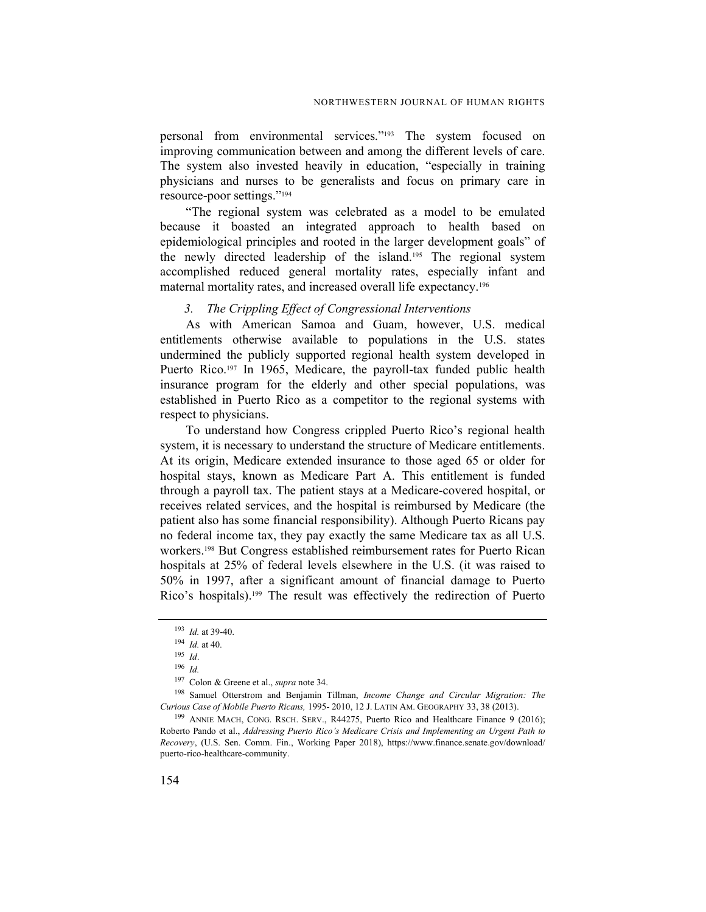personal from environmental services."193 The system focused on improving communication between and among the different levels of care. The system also invested heavily in education, "especially in training physicians and nurses to be generalists and focus on primary care in resource-poor settings."<sup>194</sup>

"The regional system was celebrated as a model to be emulated because it boasted an integrated approach to health based on epidemiological principles and rooted in the larger development goals" of the newly directed leadership of the island.195 The regional system accomplished reduced general mortality rates, especially infant and maternal mortality rates, and increased overall life expectancy.<sup>196</sup>

### 3. The Crippling Effect of Congressional Interventions

As with American Samoa and Guam, however, U.S. medical entitlements otherwise available to populations in the U.S. states undermined the publicly supported regional health system developed in Puerto Rico.<sup>197</sup> In 1965, Medicare, the payroll-tax funded public health insurance program for the elderly and other special populations, was established in Puerto Rico as a competitor to the regional systems with respect to physicians.

To understand how Congress crippled Puerto Rico's regional health system, it is necessary to understand the structure of Medicare entitlements. At its origin, Medicare extended insurance to those aged 65 or older for hospital stays, known as Medicare Part A. This entitlement is funded through a payroll tax. The patient stays at a Medicare-covered hospital, or receives related services, and the hospital is reimbursed by Medicare (the patient also has some financial responsibility). Although Puerto Ricans pay no federal income tax, they pay exactly the same Medicare tax as all U.S. workers.198 But Congress established reimbursement rates for Puerto Rican hospitals at 25% of federal levels elsewhere in the U.S. (it was raised to 50% in 1997, after a significant amount of financial damage to Puerto Rico's hospitals).199 The result was effectively the redirection of Puerto

<sup>193</sup> Id. at 39-40.

 $194$  *Id.* at 40.

<sup>195</sup> Id.

<sup>196</sup> Id.

<sup>&</sup>lt;sup>197</sup> Colon & Greene et al., *supra* note 34.

<sup>198</sup> Samuel Otterstrom and Benjamin Tillman, Income Change and Circular Migration: The Curious Case of Mobile Puerto Ricans, 1995- 2010, 12 J. LATIN AM. GEOGRAPHY 33, 38 (2013).

<sup>&</sup>lt;sup>199</sup> ANNIE MACH, CONG. RSCH. SERV., R44275, Puerto Rico and Healthcare Finance 9 (2016); Roberto Pando et al., Addressing Puerto Rico's Medicare Crisis and Implementing an Urgent Path to Recovery, (U.S. Sen. Comm. Fin., Working Paper 2018), https://www.finance.senate.gov/download/ puerto-rico-healthcare-community.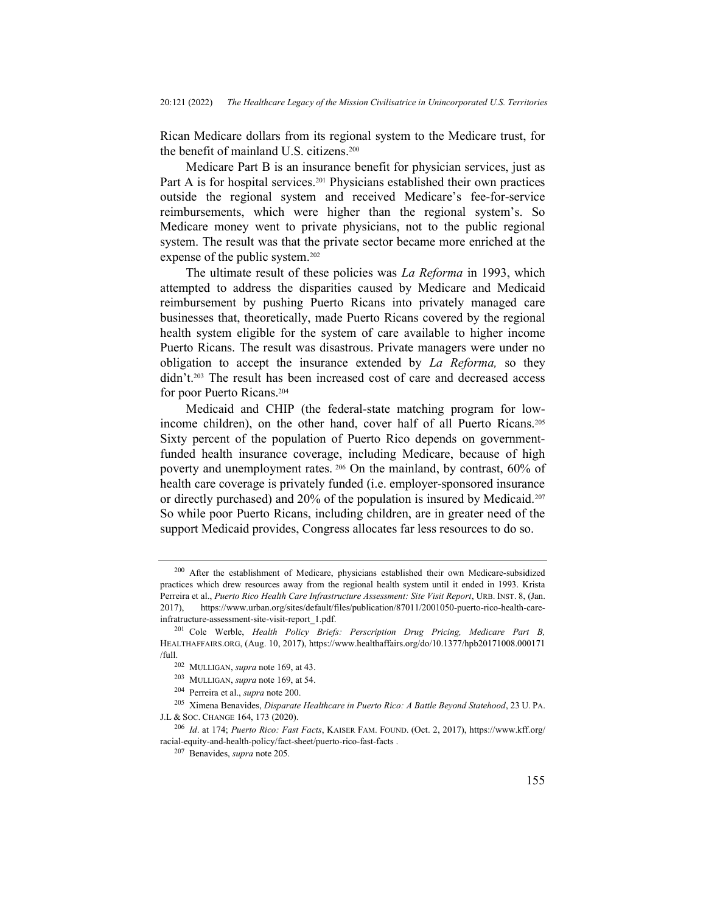Rican Medicare dollars from its regional system to the Medicare trust, for the benefit of mainland U.S. citizens.<sup>200</sup>

Medicare Part B is an insurance benefit for physician services, just as Part A is for hospital services.<sup>201</sup> Physicians established their own practices outside the regional system and received Medicare's fee-for-service reimbursements, which were higher than the regional system's. So Medicare money went to private physicians, not to the public regional system. The result was that the private sector became more enriched at the expense of the public system.<sup>202</sup>

The ultimate result of these policies was *La Reforma* in 1993, which attempted to address the disparities caused by Medicare and Medicaid reimbursement by pushing Puerto Ricans into privately managed care businesses that, theoretically, made Puerto Ricans covered by the regional health system eligible for the system of care available to higher income Puerto Ricans. The result was disastrous. Private managers were under no obligation to accept the insurance extended by La Reforma, so they didn't.203 The result has been increased cost of care and decreased access for poor Puerto Ricans.<sup>204</sup>

Medicaid and CHIP (the federal-state matching program for lowincome children), on the other hand, cover half of all Puerto Ricans.<sup>205</sup> Sixty percent of the population of Puerto Rico depends on governmentfunded health insurance coverage, including Medicare, because of high poverty and unemployment rates. <sup>206</sup> On the mainland, by contrast, 60% of health care coverage is privately funded (i.e. employer-sponsored insurance or directly purchased) and 20% of the population is insured by Medicaid.<sup>207</sup> So while poor Puerto Ricans, including children, are in greater need of the support Medicaid provides, Congress allocates far less resources to do so.

<sup>&</sup>lt;sup>200</sup> After the establishment of Medicare, physicians established their own Medicare-subsidized practices which drew resources away from the regional health system until it ended in 1993. Krista Perreira et al., Puerto Rico Health Care Infrastructure Assessment: Site Visit Report, URB. INST. 8, (Jan. 2017), https://www.urban.org/sites/default/files/publication/87011/2001050-puerto-rico-health-careinfratructure-assessment-site-visit-report\_1.pdf.

<sup>&</sup>lt;sup>201</sup> Cole Werble, Health Policy Briefs: Perscription Drug Pricing, Medicare Part B, HEALTHAFFAIRS.ORG, (Aug. 10, 2017), https://www.healthaffairs.org/do/10.1377/hpb20171008.000171 /full.

<sup>202</sup> MULLIGAN, supra note 169, at 43.

<sup>203</sup> MULLIGAN, supra note 169, at 54.

<sup>204</sup> Perreira et al., supra note 200.

<sup>205</sup> Ximena Benavides, Disparate Healthcare in Puerto Rico: A Battle Beyond Statehood, 23 U. PA. J.L & SOC. CHANGE 164, 173 (2020).

<sup>206</sup> Id. at 174; Puerto Rico: Fast Facts, KAISER FAM. FOUND. (Oct. 2, 2017), https://www.kff.org/ racial-equity-and-health-policy/fact-sheet/puerto-rico-fast-facts .

<sup>207</sup> Benavides, supra note 205.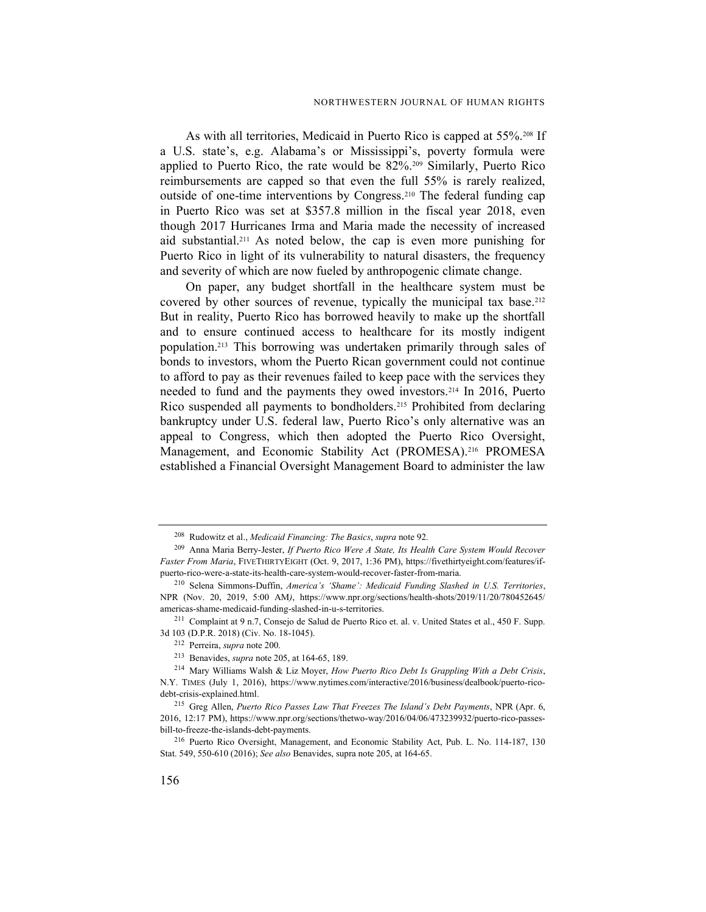As with all territories, Medicaid in Puerto Rico is capped at 55%.<sup>208</sup> If a U.S. state's, e.g. Alabama's or Mississippi's, poverty formula were applied to Puerto Rico, the rate would be 82%.209 Similarly, Puerto Rico reimbursements are capped so that even the full 55% is rarely realized, outside of one-time interventions by Congress.210 The federal funding cap in Puerto Rico was set at \$357.8 million in the fiscal year 2018, even though 2017 Hurricanes Irma and Maria made the necessity of increased aid substantial.<sup>211</sup> As noted below, the cap is even more punishing for Puerto Rico in light of its vulnerability to natural disasters, the frequency and severity of which are now fueled by anthropogenic climate change.

On paper, any budget shortfall in the healthcare system must be covered by other sources of revenue, typically the municipal tax base.<sup>212</sup> But in reality, Puerto Rico has borrowed heavily to make up the shortfall and to ensure continued access to healthcare for its mostly indigent population.213 This borrowing was undertaken primarily through sales of bonds to investors, whom the Puerto Rican government could not continue to afford to pay as their revenues failed to keep pace with the services they needed to fund and the payments they owed investors.214 In 2016, Puerto Rico suspended all payments to bondholders.215 Prohibited from declaring bankruptcy under U.S. federal law, Puerto Rico's only alternative was an appeal to Congress, which then adopted the Puerto Rico Oversight, Management, and Economic Stability Act (PROMESA).<sup>216</sup> PROMESA established a Financial Oversight Management Board to administer the law

<sup>&</sup>lt;sup>208</sup> Rudowitz et al., *Medicaid Financing: The Basics*, *supra* note 92.

<sup>&</sup>lt;sup>209</sup> Anna Maria Berry-Jester, If Puerto Rico Were A State, Its Health Care System Would Recover Faster From Maria, FIVETHIRTYEIGHT (Oct. 9, 2017, 1:36 PM), https://fivethirtyeight.com/features/ifpuerto-rico-were-a-state-its-health-care-system-would-recover-faster-from-maria.

<sup>210</sup> Selena Simmons-Duffin, America's 'Shame': Medicaid Funding Slashed in U.S. Territories, NPR (Nov. 20, 2019, 5:00 AM), https://www.npr.org/sections/health-shots/2019/11/20/780452645/ americas-shame-medicaid-funding-slashed-in-u-s-territories.

<sup>211</sup> Complaint at 9 n.7, Consejo de Salud de Puerto Rico et. al. v. United States et al., 450 F. Supp. 3d 103 (D.P.R. 2018) (Civ. No. 18-1045).

<sup>212</sup> Perreira, supra note 200.

<sup>213</sup> Benavides, supra note 205, at 164-65, 189.

<sup>&</sup>lt;sup>214</sup> Mary Williams Walsh & Liz Moyer, *How Puerto Rico Debt Is Grappling With a Debt Crisis*, N.Y. TIMES (July 1, 2016), https://www.nytimes.com/interactive/2016/business/dealbook/puerto-ricodebt-crisis-explained.html.

<sup>&</sup>lt;sup>215</sup> Greg Allen, Puerto Rico Passes Law That Freezes The Island's Debt Payments, NPR (Apr. 6, 2016, 12:17 PM), https://www.npr.org/sections/thetwo-way/2016/04/06/473239932/puerto-rico-passesbill-to-freeze-the-islands-debt-payments.

<sup>216</sup> Puerto Rico Oversight, Management, and Economic Stability Act, Pub. L. No. 114-187, 130 Stat. 549, 550-610 (2016); See also Benavides, supra note 205, at 164-65.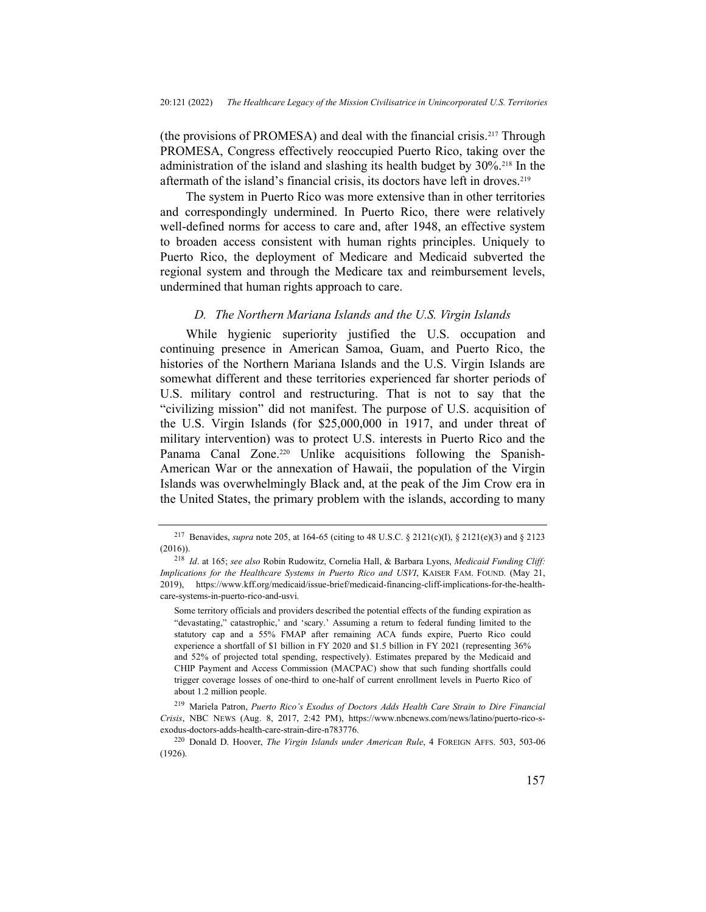(the provisions of PROMESA) and deal with the financial crisis.217 Through PROMESA, Congress effectively reoccupied Puerto Rico, taking over the administration of the island and slashing its health budget by 30%.218 In the aftermath of the island's financial crisis, its doctors have left in droves.<sup>219</sup>

The system in Puerto Rico was more extensive than in other territories and correspondingly undermined. In Puerto Rico, there were relatively well-defined norms for access to care and, after 1948, an effective system to broaden access consistent with human rights principles. Uniquely to Puerto Rico, the deployment of Medicare and Medicaid subverted the regional system and through the Medicare tax and reimbursement levels, undermined that human rights approach to care.

#### D. The Northern Mariana Islands and the U.S. Virgin Islands

While hygienic superiority justified the U.S. occupation and continuing presence in American Samoa, Guam, and Puerto Rico, the histories of the Northern Mariana Islands and the U.S. Virgin Islands are somewhat different and these territories experienced far shorter periods of U.S. military control and restructuring. That is not to say that the "civilizing mission" did not manifest. The purpose of U.S. acquisition of the U.S. Virgin Islands (for \$25,000,000 in 1917, and under threat of military intervention) was to protect U.S. interests in Puerto Rico and the Panama Canal Zone.<sup>220</sup> Unlike acquisitions following the Spanish-American War or the annexation of Hawaii, the population of the Virgin Islands was overwhelmingly Black and, at the peak of the Jim Crow era in the United States, the primary problem with the islands, according to many

<sup>217</sup> Benavides, supra note 205, at 164-65 (citing to 48 U.S.C. § 2121(c)(I), § 2121(e)(3) and § 2123 (2016)).

<sup>&</sup>lt;sup>218</sup> Id. at 165; see also Robin Rudowitz, Cornelia Hall, & Barbara Lyons, Medicaid Funding Cliff: Implications for the Healthcare Systems in Puerto Rico and USVI, KAISER FAM. FOUND. (May 21, 2019), https://www.kff.org/medicaid/issue-brief/medicaid-financing-cliff-implications-for-the-healthcare-systems-in-puerto-rico-and-usvi.

Some territory officials and providers described the potential effects of the funding expiration as "devastating," catastrophic,' and 'scary.' Assuming a return to federal funding limited to the statutory cap and a 55% FMAP after remaining ACA funds expire, Puerto Rico could experience a shortfall of \$1 billion in FY 2020 and \$1.5 billion in FY 2021 (representing 36% and 52% of projected total spending, respectively). Estimates prepared by the Medicaid and CHIP Payment and Access Commission (MACPAC) show that such funding shortfalls could trigger coverage losses of one-third to one-half of current enrollment levels in Puerto Rico of about 1.2 million people.

<sup>219</sup> Mariela Patron, Puerto Rico's Exodus of Doctors Adds Health Care Strain to Dire Financial Crisis, NBC NEWS (Aug. 8, 2017, 2:42 PM), https://www.nbcnews.com/news/latino/puerto-rico-sexodus-doctors-adds-health-care-strain-dire-n783776.

<sup>&</sup>lt;sup>220</sup> Donald D. Hoover, *The Virgin Islands under American Rule*, 4 FOREIGN AFFS. 503, 503-06 (1926).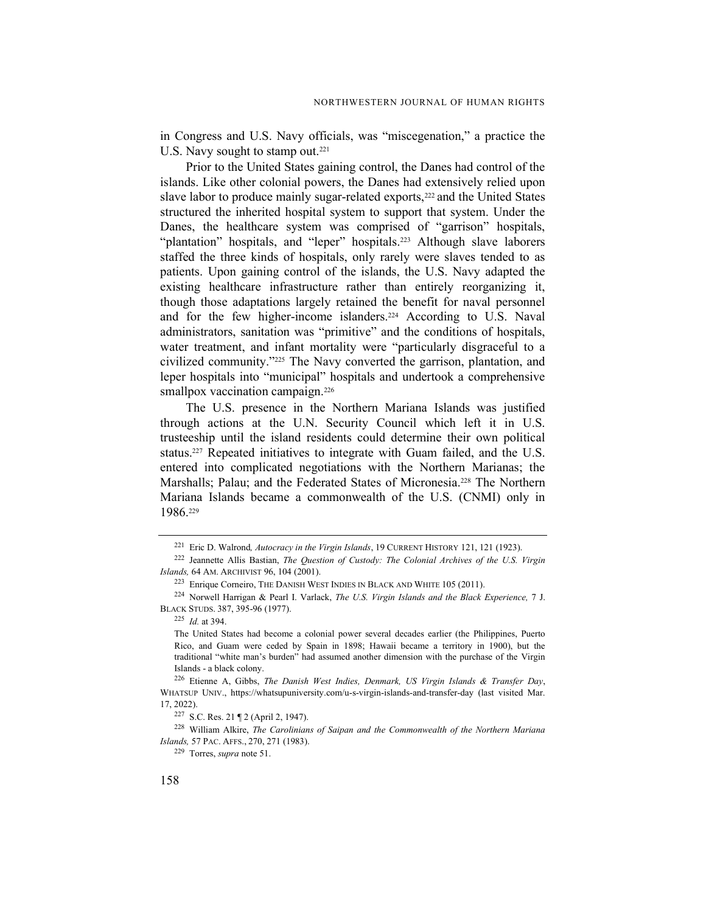in Congress and U.S. Navy officials, was "miscegenation," a practice the U.S. Navy sought to stamp out.<sup>221</sup>

Prior to the United States gaining control, the Danes had control of the islands. Like other colonial powers, the Danes had extensively relied upon slave labor to produce mainly sugar-related exports,<sup>222</sup> and the United States structured the inherited hospital system to support that system. Under the Danes, the healthcare system was comprised of "garrison" hospitals, "plantation" hospitals, and "leper" hospitals.<sup>223</sup> Although slave laborers staffed the three kinds of hospitals, only rarely were slaves tended to as patients. Upon gaining control of the islands, the U.S. Navy adapted the existing healthcare infrastructure rather than entirely reorganizing it, though those adaptations largely retained the benefit for naval personnel and for the few higher-income islanders.<sup>224</sup> According to U.S. Naval administrators, sanitation was "primitive" and the conditions of hospitals, water treatment, and infant mortality were "particularly disgraceful to a civilized community."225 The Navy converted the garrison, plantation, and leper hospitals into "municipal" hospitals and undertook a comprehensive smallpox vaccination campaign.<sup>226</sup>

The U.S. presence in the Northern Mariana Islands was justified through actions at the U.N. Security Council which left it in U.S. trusteeship until the island residents could determine their own political status.227 Repeated initiatives to integrate with Guam failed, and the U.S. entered into complicated negotiations with the Northern Marianas; the Marshalls; Palau; and the Federated States of Micronesia.<sup>228</sup> The Northern Mariana Islands became a commonwealth of the U.S. (CNMI) only in 1986.<sup>229</sup>

<sup>228</sup> William Alkire, The Carolinians of Saipan and the Commonwealth of the Northern Mariana Islands, 57 PAC. AFFS., 270, 271 (1983).

<sup>&</sup>lt;sup>221</sup> Eric D. Walrond, *Autocracy in the Virgin Islands*, 19 CURRENT HISTORY 121, 121 (1923).

<sup>&</sup>lt;sup>222</sup> Jeannette Allis Bastian, *The Ouestion of Custody: The Colonial Archives of the U.S. Virgin* Islands, 64 AM. ARCHIVIST 96, 104 (2001).

<sup>&</sup>lt;sup>223</sup> Enrique Corneiro, THE DANISH WEST INDIES IN BLACK AND WHITE 105 (2011).

 $224$  Norwell Harrigan & Pearl I. Varlack, The U.S. Virgin Islands and the Black Experience, 7 J. BLACK STUDS. 387, 395-96 (1977).

<sup>225</sup> Id. at 394.

The United States had become a colonial power several decades earlier (the Philippines, Puerto Rico, and Guam were ceded by Spain in 1898; Hawaii became a territory in 1900), but the traditional "white man's burden" had assumed another dimension with the purchase of the Virgin Islands - a black colony.

 $226$  Etienne A, Gibbs, The Danish West Indies, Denmark, US Virgin Islands & Transfer Day, WHATSUP UNIV., https://whatsupuniversity.com/u-s-virgin-islands-and-transfer-day (last visited Mar. 17, 2022).

<sup>227</sup> S.C. Res. 21 ¶ 2 (April 2, 1947).

<sup>229</sup> Torres, supra note 51.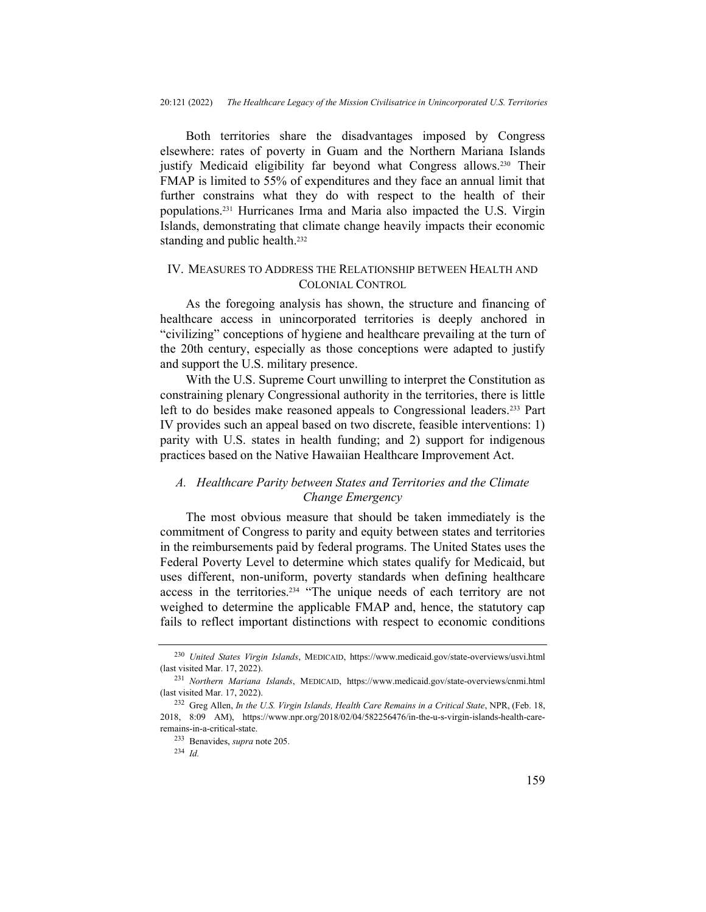Both territories share the disadvantages imposed by Congress elsewhere: rates of poverty in Guam and the Northern Mariana Islands justify Medicaid eligibility far beyond what Congress allows.<sup>230</sup> Their FMAP is limited to 55% of expenditures and they face an annual limit that further constrains what they do with respect to the health of their populations.231 Hurricanes Irma and Maria also impacted the U.S. Virgin Islands, demonstrating that climate change heavily impacts their economic standing and public health.<sup>232</sup>

## IV. MEASURES TO ADDRESS THE RELATIONSHIP BETWEEN HEALTH AND COLONIAL CONTROL

As the foregoing analysis has shown, the structure and financing of healthcare access in unincorporated territories is deeply anchored in "civilizing" conceptions of hygiene and healthcare prevailing at the turn of the 20th century, especially as those conceptions were adapted to justify and support the U.S. military presence.

With the U.S. Supreme Court unwilling to interpret the Constitution as constraining plenary Congressional authority in the territories, there is little left to do besides make reasoned appeals to Congressional leaders.233 Part IV provides such an appeal based on two discrete, feasible interventions: 1) parity with U.S. states in health funding; and 2) support for indigenous practices based on the Native Hawaiian Healthcare Improvement Act.

## A. Healthcare Parity between States and Territories and the Climate Change Emergency

The most obvious measure that should be taken immediately is the commitment of Congress to parity and equity between states and territories in the reimbursements paid by federal programs. The United States uses the Federal Poverty Level to determine which states qualify for Medicaid, but uses different, non-uniform, poverty standards when defining healthcare access in the territories.234 "The unique needs of each territory are not weighed to determine the applicable FMAP and, hence, the statutory cap fails to reflect important distinctions with respect to economic conditions

<sup>&</sup>lt;sup>230</sup> United States Virgin Islands, MEDICAID, https://www.medicaid.gov/state-overviews/usvi.html (last visited Mar. 17, 2022).

<sup>231</sup> Northern Mariana Islands, MEDICAID, https://www.medicaid.gov/state-overviews/cnmi.html (last visited Mar. 17, 2022).

<sup>&</sup>lt;sup>232</sup> Greg Allen, In the U.S. Virgin Islands, Health Care Remains in a Critical State, NPR, (Feb. 18, 2018, 8:09 AM), https://www.npr.org/2018/02/04/582256476/in-the-u-s-virgin-islands-health-careremains-in-a-critical-state.

<sup>233</sup> Benavides, supra note 205.

 $234$  *Id.*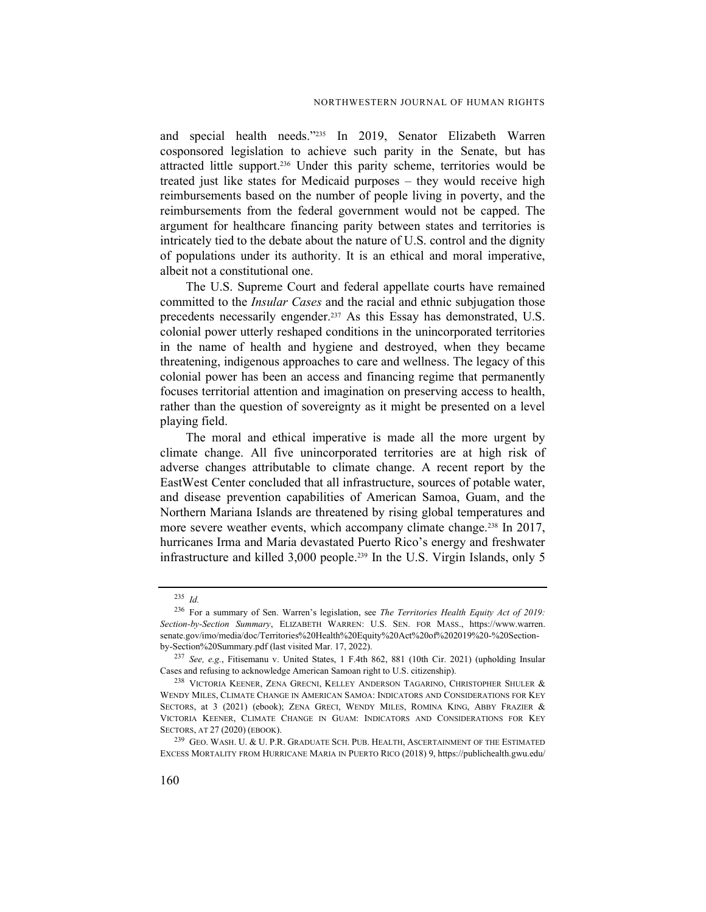and special health needs."235 In 2019, Senator Elizabeth Warren cosponsored legislation to achieve such parity in the Senate, but has attracted little support.236 Under this parity scheme, territories would be treated just like states for Medicaid purposes – they would receive high reimbursements based on the number of people living in poverty, and the reimbursements from the federal government would not be capped. The argument for healthcare financing parity between states and territories is intricately tied to the debate about the nature of U.S. control and the dignity of populations under its authority. It is an ethical and moral imperative, albeit not a constitutional one.

The U.S. Supreme Court and federal appellate courts have remained committed to the *Insular Cases* and the racial and ethnic subjugation those precedents necessarily engender.<sup>237</sup> As this Essay has demonstrated, U.S. colonial power utterly reshaped conditions in the unincorporated territories in the name of health and hygiene and destroyed, when they became threatening, indigenous approaches to care and wellness. The legacy of this colonial power has been an access and financing regime that permanently focuses territorial attention and imagination on preserving access to health, rather than the question of sovereignty as it might be presented on a level playing field.

The moral and ethical imperative is made all the more urgent by climate change. All five unincorporated territories are at high risk of adverse changes attributable to climate change. A recent report by the EastWest Center concluded that all infrastructure, sources of potable water, and disease prevention capabilities of American Samoa, Guam, and the Northern Mariana Islands are threatened by rising global temperatures and more severe weather events, which accompany climate change.<sup>238</sup> In 2017, hurricanes Irma and Maria devastated Puerto Rico's energy and freshwater infrastructure and killed 3,000 people.239 In the U.S. Virgin Islands, only 5

<sup>235</sup> Id.

<sup>&</sup>lt;sup>236</sup> For a summary of Sen. Warren's legislation, see The Territories Health Equity Act of 2019: Section-by-Section Summary, ELIZABETH WARREN: U.S. SEN. FOR MASS., https://www.warren. senate.gov/imo/media/doc/Territories%20Health%20Equity%20Act%20of%202019%20-%20Sectionby-Section%20Summary.pdf (last visited Mar. 17, 2022).

<sup>237</sup> See, e.g., Fitisemanu v. United States, 1 F.4th 862, 881 (10th Cir. 2021) (upholding Insular Cases and refusing to acknowledge American Samoan right to U.S. citizenship).

<sup>238</sup> VICTORIA KEENER, ZENA GRECNI, KELLEY ANDERSON TAGARINO, CHRISTOPHER SHULER & WENDY MILES, CLIMATE CHANGE IN AMERICAN SAMOA: INDICATORS AND CONSIDERATIONS FOR KEY SECTORS, at 3 (2021) (ebook); ZENA GRECI, WENDY MILES, ROMINA KING, ABBY FRAZIER & VICTORIA KEENER, CLIMATE CHANGE IN GUAM: INDICATORS AND CONSIDERATIONS FOR KEY SECTORS, AT 27 (2020) (EBOOK).

<sup>239</sup> GEO. WASH. U. & U. P.R. GRADUATE SCH. PUB. HEALTH, ASCERTAINMENT OF THE ESTIMATED EXCESS MORTALITY FROM HURRICANE MARIA IN PUERTO RICO (2018) 9, https://publichealth.gwu.edu/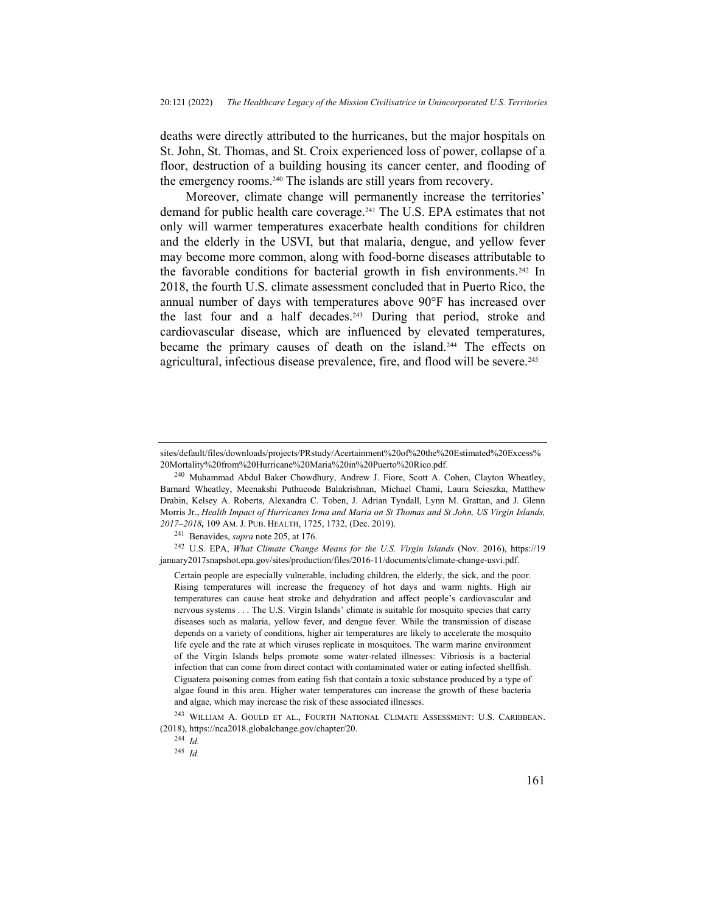deaths were directly attributed to the hurricanes, but the major hospitals on St. John, St. Thomas, and St. Croix experienced loss of power, collapse of a floor, destruction of a building housing its cancer center, and flooding of the emergency rooms.240 The islands are still years from recovery.

Moreover, climate change will permanently increase the territories' demand for public health care coverage.241 The U.S. EPA estimates that not only will warmer temperatures exacerbate health conditions for children and the elderly in the USVI, but that malaria, dengue, and yellow fever may become more common, along with food-borne diseases attributable to the favorable conditions for bacterial growth in fish environments.<sup>242</sup> In 2018, the fourth U.S. climate assessment concluded that in Puerto Rico, the annual number of days with temperatures above 90°F has increased over the last four and a half decades.<sup>243</sup> During that period, stroke and cardiovascular disease, which are influenced by elevated temperatures, became the primary causes of death on the island.244 The effects on agricultural, infectious disease prevalence, fire, and flood will be severe.<sup>245</sup>

sites/default/files/downloads/projects/PRstudy/Acertainment%20of%20the%20Estimated%20Excess% 20Mortality%20from%20Hurricane%20Maria%20in%20Puerto%20Rico.pdf.

<sup>240</sup> Muhammad Abdul Baker Chowdhury, Andrew J. Fiore, Scott A. Cohen, Clayton Wheatley, Barnard Wheatley, Meenakshi Puthucode Balakrishnan, Michael Chami, Laura Scieszka, Matthew Drabin, Kelsey A. Roberts, Alexandra C. Toben, J. Adrian Tyndall, Lynn M. Grattan, and J. Glenn Morris Jr., Health Impact of Hurricanes Irma and Maria on St Thomas and St John, US Virgin Islands, 2017–2018, 109 AM. J. PUB. HEALTH, 1725, 1732, (Dec. 2019).

<sup>241</sup> Benavides, supra note 205, at 176.

<sup>242</sup> U.S. EPA, What Climate Change Means for the U.S. Virgin Islands (Nov. 2016), https://19 january2017snapshot.epa.gov/sites/production/files/2016-11/documents/climate-change-usvi.pdf.

Certain people are especially vulnerable, including children, the elderly, the sick, and the poor. Rising temperatures will increase the frequency of hot days and warm nights. High air temperatures can cause heat stroke and dehydration and affect people's cardiovascular and nervous systems . . . The U.S. Virgin Islands' climate is suitable for mosquito species that carry diseases such as malaria, yellow fever, and dengue fever. While the transmission of disease depends on a variety of conditions, higher air temperatures are likely to accelerate the mosquito life cycle and the rate at which viruses replicate in mosquitoes. The warm marine environment of the Virgin Islands helps promote some water-related illnesses: Vibriosis is a bacterial infection that can come from direct contact with contaminated water or eating infected shellfish. Ciguatera poisoning comes from eating fish that contain a toxic substance produced by a type of algae found in this area. Higher water temperatures can increase the growth of these bacteria and algae, which may increase the risk of these associated illnesses.

<sup>243</sup> WILLIAM A. GOULD ET AL., FOURTH NATIONAL CLIMATE ASSESSMENT: U.S. CARIBBEAN. (2018), https://nca2018.globalchange.gov/chapter/20.

<sup>244</sup> Id.

 $245$  *Id.*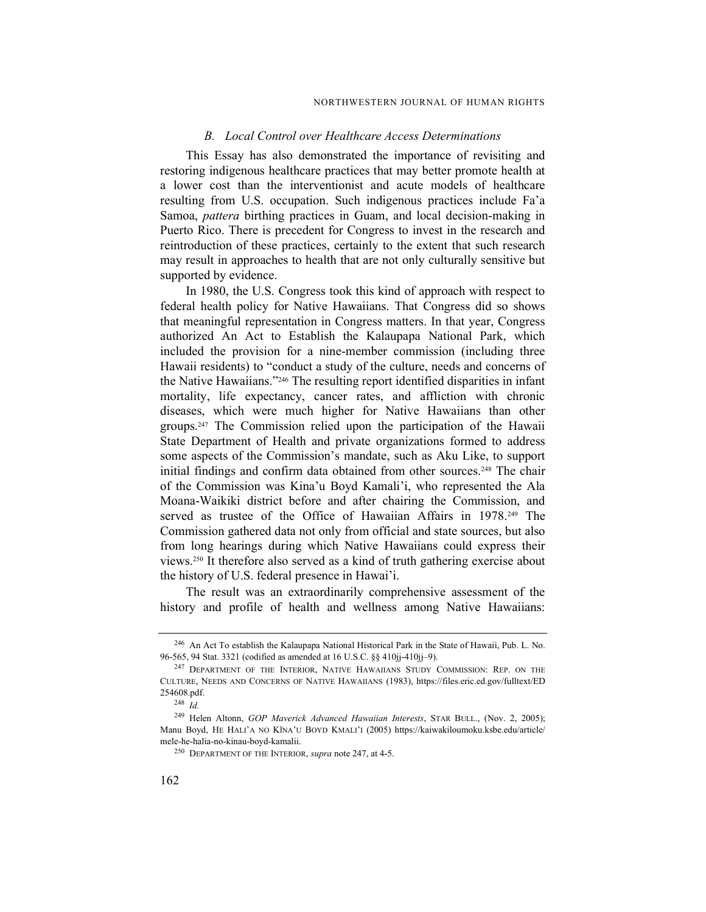#### B. Local Control over Healthcare Access Determinations

This Essay has also demonstrated the importance of revisiting and restoring indigenous healthcare practices that may better promote health at a lower cost than the interventionist and acute models of healthcare resulting from U.S. occupation. Such indigenous practices include Fa'a Samoa, pattera birthing practices in Guam, and local decision-making in Puerto Rico. There is precedent for Congress to invest in the research and reintroduction of these practices, certainly to the extent that such research may result in approaches to health that are not only culturally sensitive but supported by evidence.

In 1980, the U.S. Congress took this kind of approach with respect to federal health policy for Native Hawaiians. That Congress did so shows that meaningful representation in Congress matters. In that year, Congress authorized An Act to Establish the Kalaupapa National Park, which included the provision for a nine-member commission (including three Hawaii residents) to "conduct a study of the culture, needs and concerns of the Native Hawaiians."246 The resulting report identified disparities in infant mortality, life expectancy, cancer rates, and affliction with chronic diseases, which were much higher for Native Hawaiians than other groups.247 The Commission relied upon the participation of the Hawaii State Department of Health and private organizations formed to address some aspects of the Commission's mandate, such as Aku Like, to support initial findings and confirm data obtained from other sources.<sup>248</sup> The chair of the Commission was Kina'u Boyd Kamali'i, who represented the Ala Moana-Waikiki district before and after chairing the Commission, and served as trustee of the Office of Hawaiian Affairs in 1978.<sup>249</sup> The Commission gathered data not only from official and state sources, but also from long hearings during which Native Hawaiians could express their views.250 It therefore also served as a kind of truth gathering exercise about the history of U.S. federal presence in Hawai'i.

The result was an extraordinarily comprehensive assessment of the history and profile of health and wellness among Native Hawaiians:

<sup>246</sup> An Act To establish the Kalaupapa National Historical Park in the State of Hawaii, Pub. L. No. 96-565, 94 Stat. 3321 (codified as amended at 16 U.S.C. §§ 410jj-410jj–9).

<sup>&</sup>lt;sup>247</sup> DEPARTMENT OF THE INTERIOR, NATIVE HAWAIIANS STUDY COMMISSION: REP. ON THE CULTURE, NEEDS AND CONCERNS OF NATIVE HAWAIIANS (1983), https://files.eric.ed.gov/fulltext/ED 254608.pdf.

 $248$  *Id.* 

<sup>&</sup>lt;sup>249</sup> Helen Altonn, GOP Maverick Advanced Hawaiian Interests, STAR BULL., (Nov. 2, 2005); Manu Boyd, HE HALI'A NO KĪNA'U BOYD KMALI'I (2005) https://kaiwakiloumoku.ksbe.edu/article/ mele-he-halia-no-kinau-boyd-kamalii.

<sup>250</sup> DEPARTMENT OF THE INTERIOR, supra note 247, at 4-5.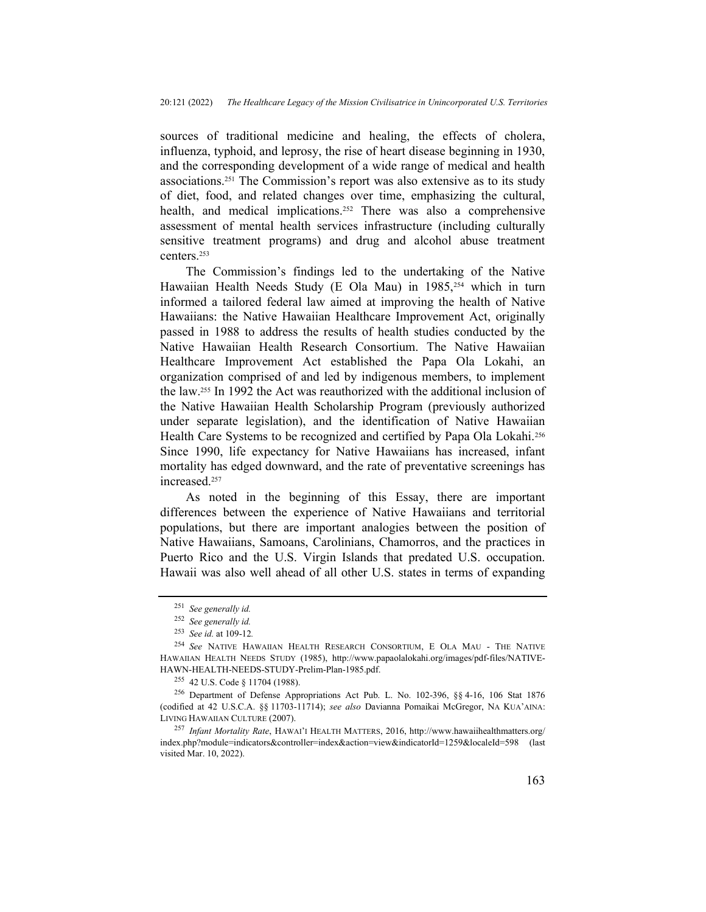sources of traditional medicine and healing, the effects of cholera, influenza, typhoid, and leprosy, the rise of heart disease beginning in 1930, and the corresponding development of a wide range of medical and health associations.251 The Commission's report was also extensive as to its study of diet, food, and related changes over time, emphasizing the cultural, health, and medical implications.<sup>252</sup> There was also a comprehensive assessment of mental health services infrastructure (including culturally sensitive treatment programs) and drug and alcohol abuse treatment centers.<sup>253</sup>

The Commission's findings led to the undertaking of the Native Hawaiian Health Needs Study (E Ola Mau) in 1985,<sup>254</sup> which in turn informed a tailored federal law aimed at improving the health of Native Hawaiians: the Native Hawaiian Healthcare Improvement Act, originally passed in 1988 to address the results of health studies conducted by the Native Hawaiian Health Research Consortium. The Native Hawaiian Healthcare Improvement Act established the Papa Ola Lokahi, an organization comprised of and led by indigenous members, to implement the law.255 In 1992 the Act was reauthorized with the additional inclusion of the Native Hawaiian Health Scholarship Program (previously authorized under separate legislation), and the identification of Native Hawaiian Health Care Systems to be recognized and certified by Papa Ola Lokahi.<sup>256</sup> Since 1990, life expectancy for Native Hawaiians has increased, infant mortality has edged downward, and the rate of preventative screenings has increased.<sup>257</sup>

As noted in the beginning of this Essay, there are important differences between the experience of Native Hawaiians and territorial populations, but there are important analogies between the position of Native Hawaiians, Samoans, Carolinians, Chamorros, and the practices in Puerto Rico and the U.S. Virgin Islands that predated U.S. occupation. Hawaii was also well ahead of all other U.S. states in terms of expanding

<sup>251</sup> See generally id.

<sup>252</sup> See generally id.

<sup>253</sup> See id. at 109-12.

<sup>254</sup> See NATIVE HAWAIIAN HEALTH RESEARCH CONSORTIUM, E OLA MAU - THE NATIVE HAWAIIAN HEALTH NEEDS STUDY (1985), http://www.papaolalokahi.org/images/pdf-files/NATIVE-HAWN-HEALTH-NEEDS-STUDY-Prelim-Plan-1985.pdf.

<sup>255</sup> 42 U.S. Code § 11704 (1988).

<sup>256</sup> Department of Defense Appropriations Act Pub. L. No. 102-396, §§ 4-16, 106 Stat 1876 (codified at 42 U.S.C.A. §§ 11703-11714); see also Davianna Pomaikai McGregor, NA KUA'AINA: LIVING HAWAIIAN CULTURE (2007).

<sup>&</sup>lt;sup>257</sup> Infant Mortality Rate, HAWAI'I HEALTH MATTERS, 2016, http://www.hawaiihealthmatters.org/ index.php?module=indicators&controller=index&action=view&indicatorId=1259&localeId=598 (last visited Mar. 10, 2022).